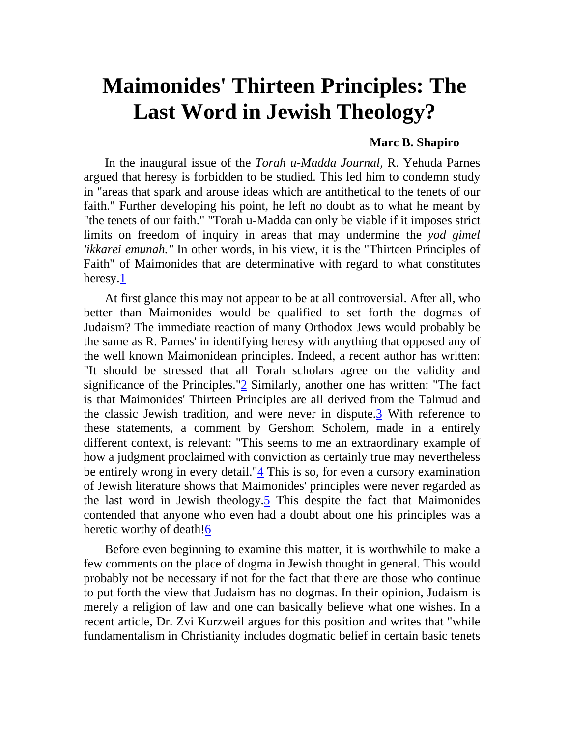# **Maimonides' Thirteen Principles: The Last Word in Jewish Theology?**

### **Marc B. Shapiro**

In the inaugural issue of the *Torah u-Madda Journal,* R. Yehuda Parnes argued that heresy is forbidden to be studied. This led him to condemn study in "areas that spark and arouse ideas which are antithetical to the tenets of our faith." Further developing his point, he left no doubt as to what he meant by "the tenets of our faith." "Torah u-Madda can only be viable if it imposes strict limits on freedom of inquiry in areas that may undermine the *yod gimel 'ikkarei emunah."* In other words, in his view, it is the "Thirteen Principles of Faith" of Maimonides that are determinative with regard to what constitutes heresy.1

At first glance this may not appear to be at all controversial. After all*,* who better than Maimonides would be qualified to set forth the dogmas of Judaism? The immediate reaction of many Orthodox Jews would probably be the same as R. Parnes' in identifying heresy with anything that opposed any of the well known Maimonidean principles. Indeed, a recent author has written: "It should be stressed that all Torah scholars agree on the validity and significance of the Principles."2 Similarly, another one has written: "The fact is that Maimonides' Thirteen Principles are all derived from the Talmud and the classic Jewish tradition, and were never in dispute. $\frac{3}{2}$  With reference to these statements, a comment by Gershom Scholem, made in a entirely different context, is relevant: "This seems to me an extraordinary example of how a judgment proclaimed with conviction as certainly true may nevertheless be entirely wrong in every detail."4 This is so, for even a cursory examination of Jewish literature shows that Maimonides' principles were never regarded as the last word in Jewish theology. $\overline{5}$  This despite the fact that Maimonides contended that anyone who even had a doubt about one his principles was a heretic worthy of death!6

Before even beginning to examine this matter, it is worthwhile to make a few comments on the place of dogma in Jewish thought in general. This would probably not be necessary if not for the fact that there are those who continue to put forth the view that Judaism has no dogmas. In their opinion, Judaism is merely a religion of law and one can basically believe what one wishes. In a recent article, Dr. Zvi Kurzweil argues for this position and writes that "while fundamentalism in Christianity includes dogmatic belief in certain basic tenets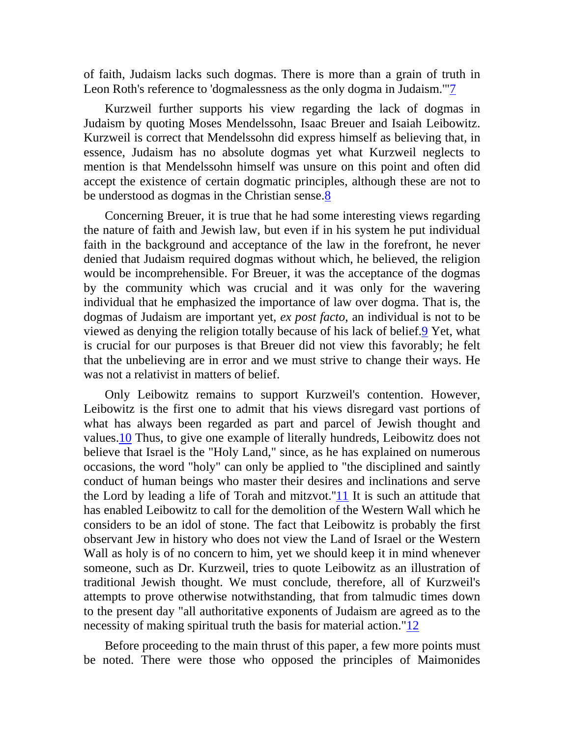of faith, Judaism lacks such dogmas. There is more than a grain of truth in Leon Roth's reference to 'dogmalessness as the only dogma in Judaism.'"7

Kurzweil further supports his view regarding the lack of dogmas in Judaism by quoting Moses Mendelssohn, Isaac Breuer and Isaiah Leibowitz. Kurzweil is correct that Mendelssohn did express himself as believing that, in essence, Judaism has no absolute dogmas yet what Kurzweil neglects to mention is that Mendelssohn himself was unsure on this point and often did accept the existence of certain dogmatic principles, although these are not to be understood as dogmas in the Christian sense.8

Concerning Breuer, it is true that he had some interesting views regarding the nature of faith and Jewish law, but even if in his system he put individual faith in the background and acceptance of the law in the forefront, he never denied that Judaism required dogmas without which, he believed, the religion would be incomprehensible. For Breuer, it was the acceptance of the dogmas by the community which was crucial and it was only for the wavering individual that he emphasized the importance of law over dogma. That is, the dogmas of Judaism are important yet, *ex post facto*, an individual is not to be viewed as denying the religion totally because of his lack of belief.9 Yet, what is crucial for our purposes is that Breuer did not view this favorably; he felt that the unbelieving are in error and we must strive to change their ways. He was not a relativist in matters of belief.

Only Leibowitz remains to support Kurzweil's contention. However, Leibowitz is the first one to admit that his views disregard vast portions of what has always been regarded as part and parcel of Jewish thought and values.10 Thus, to give one example of literally hundreds, Leibowitz does not believe that Israel is the "Holy Land," since, as he has explained on numerous occasions, the word "holy" can only be applied to "the disciplined and saintly conduct of human beings who master their desires and inclinations and serve the Lord by leading a life of Torah and mitzvot.''11 It is such an attitude that has enabled Leibowitz to call for the demolition of the Western Wall which he considers to be an idol of stone. The fact that Leibowitz is probably the first observant Jew in history who does not view the Land of Israel or the Western Wall as holy is of no concern to him, yet we should keep it in mind whenever someone, such as Dr. Kurzweil, tries to quote Leibowitz as an illustration of traditional Jewish thought. We must conclude*,* therefore, all of Kurzweil's attempts to prove otherwise notwithstanding, that from talmudic times down to the present day "all authoritative exponents of Judaism are agreed as to the necessity of making spiritual truth the basis for material action."12

Before proceeding to the main thrust of this paper, a few more points must be noted. There were those who opposed the principles of Maimonides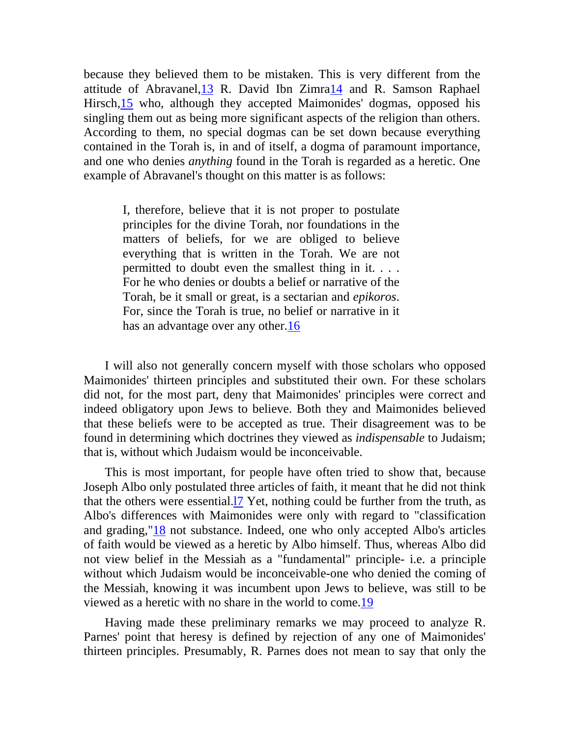because they believed them to be mistaken. This is very different from the attitude of Abravanel,13 R. David Ibn Zimra14 and R. Samson Raphael Hirsch,15 who, although they accepted Maimonides' dogmas, opposed his singling them out as being more significant aspects of the religion than others. According to them, no special dogmas can be set down because everything contained in the Torah is, in and of itself, a dogma of paramount importance, and one who denies *anything* found in the Torah is regarded as a heretic. One example of Abravanel's thought on this matter is as follows:

I, therefore, believe that it is not proper to postulate principles for the divine Torah, nor foundations in the matters of beliefs, for we are obliged to believe everything that is written in the Torah. We are not permitted to doubt even the smallest thing in it. . . . For he who denies or doubts a belief or narrative of the Torah, be it small or great, is a sectarian and *epikoros*. For, since the Torah is true, no belief or narrative in it has an advantage over any other.16

I will also not generally concern myself with those scholars who opposed Maimonides' thirteen principles and substituted their own. For these scholars did not, for the most part, deny that Maimonides' principles were correct and indeed obligatory upon Jews to believe. Both they and Maimonides believed that these beliefs were to be accepted as true. Their disagreement was to be found in determining which doctrines they viewed as *indispensable* to Judaism; that is, without which Judaism would be inconceivable.

This is most important, for people have often tried to show that, because Joseph Albo only postulated three articles of faith, it meant that he did not think that the others were essential.l7 Yet, nothing could be further from the truth, as Albo's differences with Maimonides were only with regard to "classification and grading,"18 not substance. Indeed, one who only accepted Albo's articles of faith would be viewed as a heretic by Albo himself. Thus, whereas Albo did not view belief in the Messiah as a "fundamental" principle- i.e. a principle without which Judaism would be inconceivable-one who denied the coming of the Messiah, knowing it was incumbent upon Jews to believe, was still to be viewed as a heretic with no share in the world to come.19

Having made these preliminary remarks we may proceed to analyze R. Parnes' point that heresy is defined by rejection of any one of Maimonides' thirteen principles. Presumably, R. Parnes does not mean to say that only the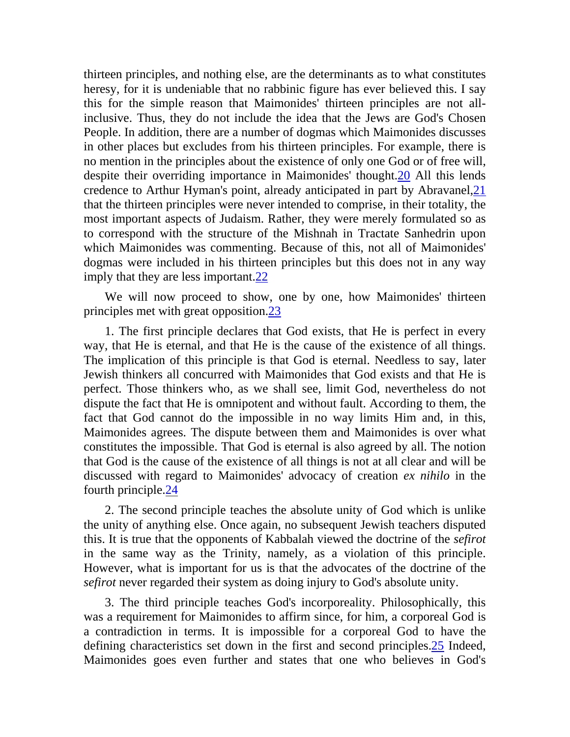thirteen principles, and nothing else, are the determinants as to what constitutes heresy, for it is undeniable that no rabbinic figure has ever believed this. I say this for the simple reason that Maimonides' thirteen principles are not allinclusive. Thus, they do not include the idea that the Jews are God's Chosen People. In addition, there are a number of dogmas which Maimonides discusses in other places but excludes from his thirteen principles. For example, there is no mention in the principles about the existence of only one God or of free will, despite their overriding importance in Maimonides' thought.20 All this lends credence to Arthur Hyman's point, already anticipated in part by Abravanel,21 that the thirteen principles were never intended to comprise, in their totality, the most important aspects of Judaism. Rather, they were merely formulated so as to correspond with the structure of the Mishnah in Tractate Sanhedrin upon which Maimonides was commenting. Because of this, not all of Maimonides' dogmas were included in his thirteen principles but this does not in any way imply that they are less important.22

We will now proceed to show, one by one, how Maimonides' thirteen principles met with great opposition.23

1. The first principle declares that God exists, that He is perfect in every way, that He is eternal, and that He is the cause of the existence of all things. The implication of this principle is that God is eternal. Needless to say, later Jewish thinkers all concurred with Maimonides that God exists and that He is perfect. Those thinkers who, as we shall see, limit God, nevertheless do not dispute the fact that He is omnipotent and without fault. According to them, the fact that God cannot do the impossible in no way limits Him and, in this, Maimonides agrees. The dispute between them and Maimonides is over what constitutes the impossible. That God is eternal is also agreed by all. The notion that God is the cause of the existence of all things is not at all clear and will be discussed with regard to Maimonides' advocacy of creation *ex nihilo* in the fourth principle.24

2. The second principle teaches the absolute unity of God which is unlike the unity of anything else. Once again, no subsequent Jewish teachers disputed this. It is true that the opponents of Kabbalah viewed the doctrine of the *sefirot* in the same way as the Trinity, namely, as a violation of this principle. However, what is important for us is that the advocates of the doctrine of the *sefirot* never regarded their system as doing injury to God's absolute unity.

3. The third principle teaches God's incorporeality. Philosophically, this was a requirement for Maimonides to affirm since, for him, a corporeal God is a contradiction in terms. It is impossible for a corporeal God to have the defining characteristics set down in the first and second principles.25 Indeed, Maimonides goes even further and states that one who believes in God's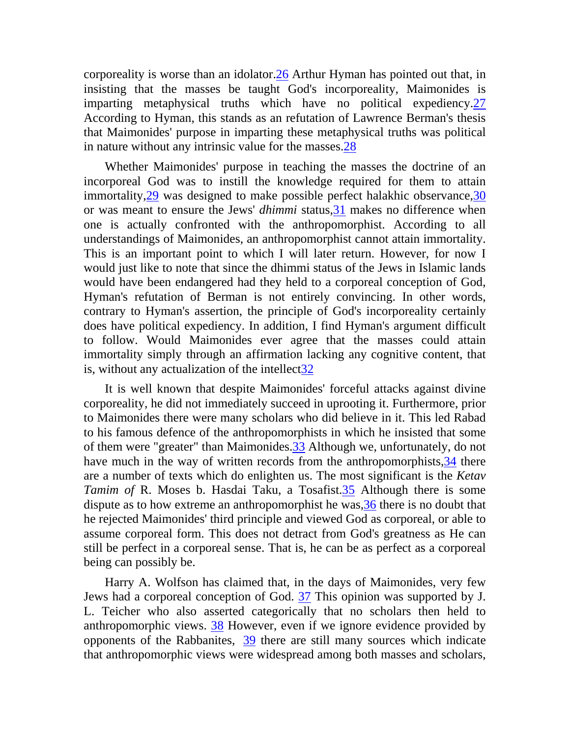corporeality is worse than an idolator.26 Arthur Hyman has pointed out that, in insisting that the masses be taught God's incorporeality, Maimonides is imparting metaphysical truths which have no political expediency.27 According to Hyman, this stands as an refutation of Lawrence Berman's thesis that Maimonides' purpose in imparting these metaphysical truths was political in nature without any intrinsic value for the masses.28

Whether Maimonides' purpose in teaching the masses the doctrine of an incorporeal God was to instill the knowledge required for them to attain immortality,29 was designed to make possible perfect halakhic observance,30 or was meant to ensure the Jews' *dhimmi* status,31 makes no difference when one is actually confronted with the anthropomorphist. According to all understandings of Maimonides, an anthropomorphist cannot attain immortality. This is an important point to which I will later return. However, for now I would just like to note that since the dhimmi status of the Jews in Islamic lands would have been endangered had they held to a corporeal conception of God, Hyman's refutation of Berman is not entirely convincing. In other words, contrary to Hyman's assertion, the principle of God's incorporeality certainly does have political expediency. In addition, I find Hyman's argument difficult to follow. Would Maimonides ever agree that the masses could attain immortality simply through an affirmation lacking any cognitive content, that is, without any actualization of the intellect  $32$ 

It is well known that despite Maimonides' forceful attacks against divine corporeality, he did not immediately succeed in uprooting it. Furthermore, prior to Maimonides there were many scholars who did believe in it. This led Rabad to his famous defence of the anthropomorphists in which he insisted that some of them were "greater" than Maimonides.33 Although we, unfortunately, do not have much in the way of written records from the anthropomorphists, 34 there are a number of texts which do enlighten us. The most significant is the *Ketav Tamim of* R. Moses b. Hasdai Taku, a Tosafist. 35 Although there is some dispute as to how extreme an anthropomorphist he was, 36 there is no doubt that he rejected Maimonides' third principle and viewed God as corporeal, or able to assume corporeal form. This does not detract from God's greatness as He can still be perfect in a corporeal sense. That is, he can be as perfect as a corporeal being can possibly be.

Harry A. Wolfson has claimed that, in the days of Maimonides, very few Jews had a corporeal conception of God. 37 This opinion was supported by J. L. Teicher who also asserted categorically that no scholars then held to anthropomorphic views. 38 However, even if we ignore evidence provided by opponents of the Rabbanites, 39 there are still many sources which indicate that anthropomorphic views were widespread among both masses and scholars,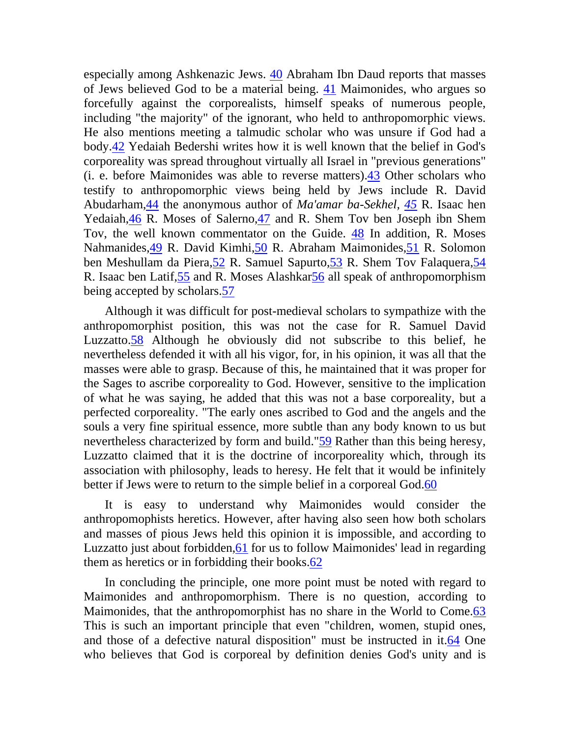especially among Ashkenazic Jews. 40 Abraham Ibn Daud reports that masses of Jews believed God to be a material being. 41 Maimonides, who argues so forcefully against the corporealists, himself speaks of numerous people, including "the majority" of the ignorant, who held to anthropomorphic views. He also mentions meeting a talmudic scholar who was unsure if God had a body.42 Yedaiah Bedershi writes how it is well known that the belief in God's corporeality was spread throughout virtually all Israel in "previous generations" (i. e. before Maimonides was able to reverse matters).43 Other scholars who testify to anthropomorphic views being held by Jews include R. David Abudarham,44 the anonymous author of *Ma'amar ba-Sekhel, 45* R. Isaac hen Yedaiah, 46 R. Moses of Salerno, 47 and R. Shem Tov ben Joseph ibn Shem Tov, the well known commentator on the Guide. 48 In addition, R. Moses Nahmanides, 49 R. David Kimhi, 50 R. Abraham Maimonides, 51 R. Solomon ben Meshullam da Piera,52 R. Samuel Sapurto,53 R. Shem Tov Falaquera,54 R. Isaac ben Latif,55 and R. Moses Alashkar56 all speak of anthropomorphism being accepted by scholars.57

Although it was difficult for post-medieval scholars to sympathize with the anthropomorphist position, this was not the case for R. Samuel David Luzzatto.58 Although he obviously did not subscribe to this belief, he nevertheless defended it with all his vigor, for, in his opinion, it was all that the masses were able to grasp. Because of this, he maintained that it was proper for the Sages to ascribe corporeality to God. However, sensitive to the implication of what he was saying, he added that this was not a base corporeality, but a perfected corporeality. "The early ones ascribed to God and the angels and the souls a very fine spiritual essence, more subtle than any body known to us but nevertheless characterized by form and build."59 Rather than this being heresy, Luzzatto claimed that it is the doctrine of incorporeality which, through its association with philosophy, leads to heresy. He felt that it would be infinitely better if Jews were to return to the simple belief in a corporeal God.60

It is easy to understand why Maimonides would consider the anthropomophists heretics. However, after having also seen how both scholars and masses of pious Jews held this opinion it is impossible, and according to Luzzatto just about forbidden, 61 for us to follow Maimonides' lead in regarding them as heretics or in forbidding their books.62

In concluding the principle, one more point must be noted with regard to Maimonides and anthropomorphism. There is no question, according to Maimonides, that the anthropomorphist has no share in the World to Come.63 This is such an important principle that even "children, women, stupid ones, and those of a defective natural disposition" must be instructed in it.64 One who believes that God is corporeal by definition denies God's unity and is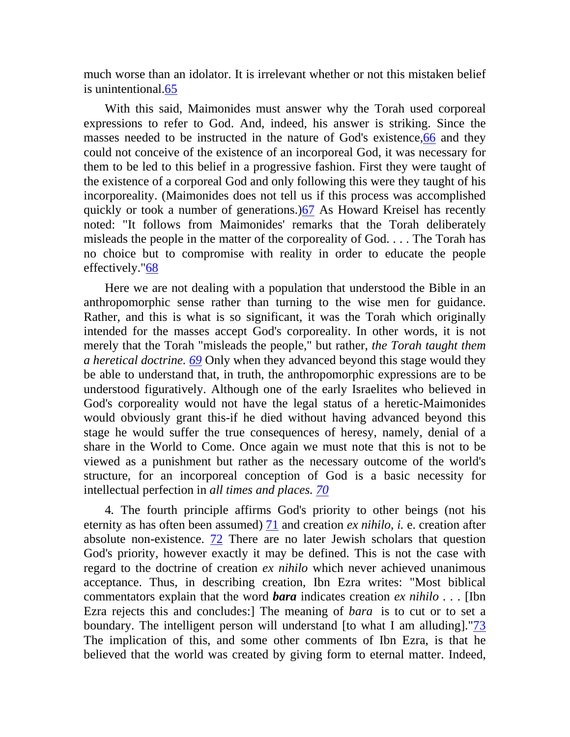much worse than an idolator. It is irrelevant whether or not this mistaken belief is unintentional.65

With this said, Maimonides must answer why the Torah used corporeal expressions to refer to God. And, indeed, his answer is striking. Since the masses needed to be instructed in the nature of God's existence, 66 and they could not conceive of the existence of an incorporeal God, it was necessary for them to be led to this belief in a progressive fashion. First they were taught of the existence of a corporeal God and only following this were they taught of his incorporeality. (Maimonides does not tell us if this process was accomplished quickly or took a number of generations.)67 As Howard Kreisel has recently noted: "It follows from Maimonides' remarks that the Torah deliberately misleads the people in the matter of the corporeality of God. . . . The Torah has no choice but to compromise with reality in order to educate the people effectively."68

Here we are not dealing with a population that understood the Bible in an anthropomorphic sense rather than turning to the wise men for guidance. Rather, and this is what is so significant, it was the Torah which originally intended for the masses accept God's corporeality. In other words, it is not merely that the Torah "misleads the people," but rather, *the Torah taught them a heretical doctrine. 69* Only when they advanced beyond this stage would they be able to understand that, in truth, the anthropomorphic expressions are to be understood figuratively. Although one of the early Israelites who believed in God's corporeality would not have the legal status of a heretic-Maimonides would obviously grant this-if he died without having advanced beyond this stage he would suffer the true consequences of heresy, namely, denial of a share in the World to Come. Once again we must note that this is not to be viewed as a punishment but rather as the necessary outcome of the world's structure, for an incorporeal conception of God is a basic necessity for intellectual perfection in *all times and places. 70*

4*.* The fourth principle affirms God's priority to other beings (not his eternity as has often been assumed) 71 and creation *ex nihilo, i.* e. creation after absolute non-existence. 72 There are no later Jewish scholars that question God's priority, however exactly it may be defined. This is not the case with regard to the doctrine of creation *ex nihilo* which never achieved unanimous acceptance. Thus, in describing creation, Ibn Ezra writes: "Most biblical commentators explain that the word *bara* indicates creation *ex nihilo . . .* [Ibn Ezra rejects this and concludes:] The meaning of *bara* is to cut or to set a boundary. The intelligent person will understand [to what I am alluding]."73 The implication of this, and some other comments of Ibn Ezra, is that he believed that the world was created by giving form to eternal matter. Indeed,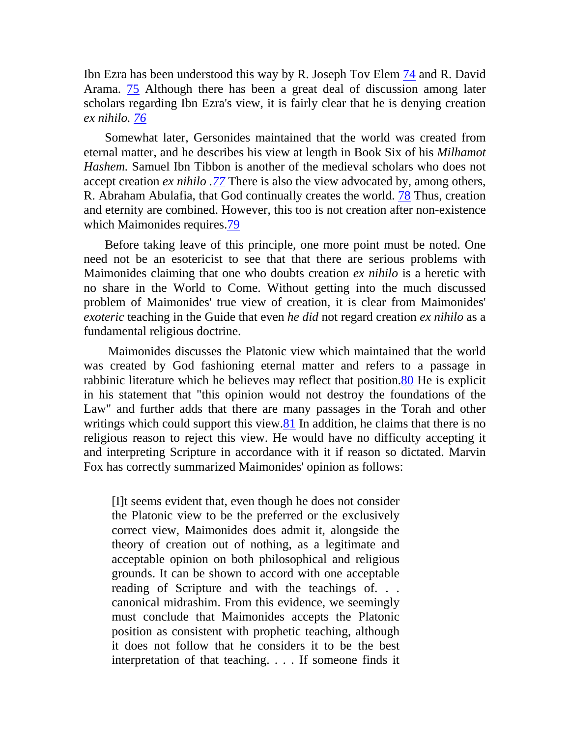Ibn Ezra has been understood this way by R. Joseph Tov Elem 74 and R. David Arama. 75 Although there has been a great deal of discussion among later scholars regarding Ibn Ezra's view, it is fairly clear that he is denying creation *ex nihilo. 76*

Somewhat later, Gersonides maintained that the world was created from eternal matter, and he describes his view at length in Book Six of his *Milhamot Hashem.* Samuel Ibn Tibbon is another of the medieval scholars who does not accept creation *ex nihilo .77* There is also the view advocated by, among others, R. Abraham Abulafia, that God continually creates the world. 78 Thus, creation and eternity are combined. However, this too is not creation after non-existence which Maimonides requires.<sup>79</sup>

Before taking leave of this principle, one more point must be noted. One need not be an esotericist to see that that there are serious problems with Maimonides claiming that one who doubts creation *ex nihilo* is a heretic with no share in the World to Come. Without getting into the much discussed problem of Maimonides' true view of creation, it is clear from Maimonides' *exoteric* teaching in the Guide that even *he did* not regard creation *ex nihilo* as a fundamental religious doctrine.

 Maimonides discusses the Platonic view which maintained that the world was created by God fashioning eternal matter and refers to a passage in rabbinic literature which he believes may reflect that position.80 He is explicit in his statement that "this opinion would not destroy the foundations of the Law" and further adds that there are many passages in the Torah and other writings which could support this view.81 In addition, he claims that there is no religious reason to reject this view. He would have no difficulty accepting it and interpreting Scripture in accordance with it if reason so dictated. Marvin Fox has correctly summarized Maimonides' opinion as follows:

[I]t seems evident that, even though he does not consider the Platonic view to be the preferred or the exclusively correct view, Maimonides does admit it, alongside the theory of creation out of nothing, as a legitimate and acceptable opinion on both philosophical and religious grounds. It can be shown to accord with one acceptable reading of Scripture and with the teachings of... canonical midrashim. From this evidence, we seemingly must conclude that Maimonides accepts the Platonic position as consistent with prophetic teaching, although it does not follow that he considers it to be the best interpretation of that teaching. . . . If someone finds it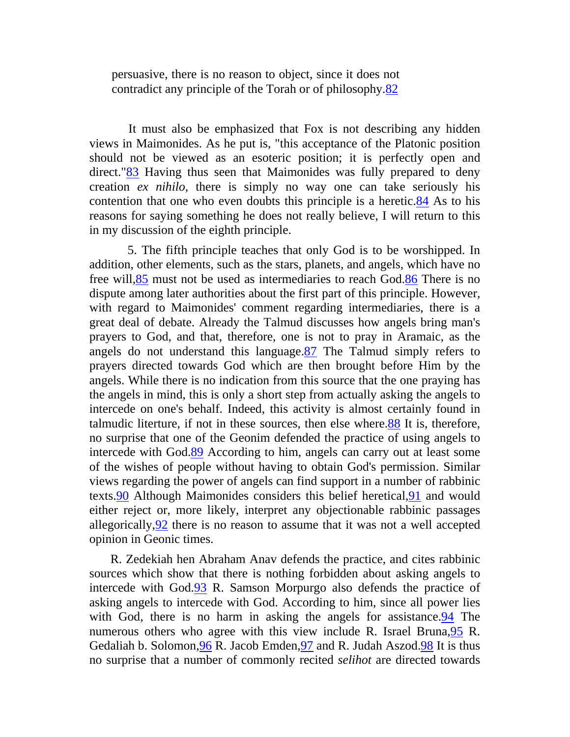persuasive, there is no reason to object, since it does not contradict any principle of the Torah or of philosophy.82

 It must also be emphasized that Fox is not describing any hidden views in Maimonides. As he put is, "this acceptance of the Platonic position should not be viewed as an esoteric position; it is perfectly open and direct."83 Having thus seen that Maimonides was fully prepared to deny creation *ex nihilo,* there is simply no way one can take seriously his contention that one who even doubts this principle is a heretic.84 As to his reasons for saying something he does not really believe, I will return to this in my discussion of the eighth principle.

 5. The fifth principle teaches that only God is to be worshipped. In addition, other elements, such as the stars, planets, and angels, which have no free will,85 must not be used as intermediaries to reach God.86 There is no dispute among later authorities about the first part of this principle. However, with regard to Maimonides' comment regarding intermediaries, there is a great deal of debate. Already the Talmud discusses how angels bring man's prayers to God, and that, therefore, one is not to pray in Aramaic, as the angels do not understand this language.87 The Talmud simply refers to prayers directed towards God which are then brought before Him by the angels. While there is no indication from this source that the one praying has the angels in mind, this is only a short step from actually asking the angels to intercede on one's behalf. Indeed, this activity is almost certainly found in talmudic literture, if not in these sources, then else where.88 It is, therefore, no surprise that one of the Geonim defended the practice of using angels to intercede with God.89 According to him, angels can carry out at least some of the wishes of people without having to obtain God's permission. Similar views regarding the power of angels can find support in a number of rabbinic texts.90 Although Maimonides considers this belief heretical,91 and would either reject or, more likely, interpret any objectionable rabbinic passages allegorically,92 there is no reason to assume that it was not a well accepted opinion in Geonic times.

R. Zedekiah hen Abraham Anav defends the practice, and cites rabbinic sources which show that there is nothing forbidden about asking angels to intercede with God.93 R. Samson Morpurgo also defends the practice of asking angels to intercede with God. According to him, since all power lies with God, there is no harm in asking the angels for assistance.94 The numerous others who agree with this view include R. Israel Bruna, 95 R. Gedaliah b. Solomon, 96 R. Jacob Emden, 97 and R. Judah Aszod. 98 It is thus no surprise that a number of commonly recited *selihot* are directed towards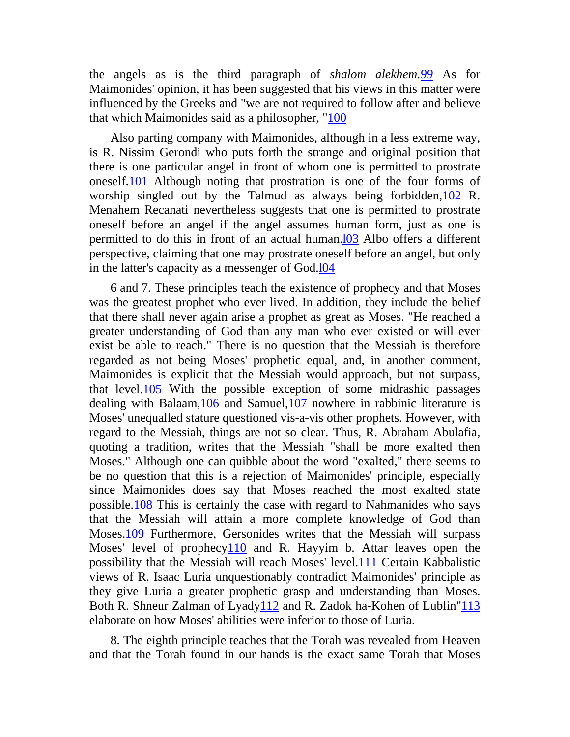the angels as is the third paragraph of *shalom alekhem.99* As for Maimonides' opinion, it has been suggested that his views in this matter were influenced by the Greeks and "we are not required to follow after and believe that which Maimonides said as a philosopher, "100

Also parting company with Maimonides, although in a less extreme way, is R. Nissim Gerondi who puts forth the strange and original position that there is one particular angel in front of whom one is permitted to prostrate oneself.101 Although noting that prostration is one of the four forms of worship singled out by the Talmud as always being forbidden,102 R. Menahem Recanati nevertheless suggests that one is permitted to prostrate oneself before an angel if the angel assumes human form, just as one is permitted to do this in front of an actual human.l03 Albo offers a different perspective, claiming that one may prostrate oneself before an angel, but only in the latter's capacity as a messenger of God.<sup>104</sup>

6 and 7. These principles teach the existence of prophecy and that Moses was the greatest prophet who ever lived. In addition, they include the belief that there shall never again arise a prophet as great as Moses. "He reached a greater understanding of God than any man who ever existed or will ever exist be able to reach." There is no question that the Messiah is therefore regarded as not being Moses' prophetic equal, and, in another comment, Maimonides is explicit that the Messiah would approach, but not surpass, that level.105 With the possible exception of some midrashic passages dealing with Balaam,106 and Samuel,107 nowhere in rabbinic literature is Moses' unequalled stature questioned vis-a-vis other prophets. However, with regard to the Messiah, things are not so clear. Thus, R. Abraham Abulafia, quoting a tradition, writes that the Messiah "shall be more exalted then Moses." Although one can quibble about the word "exalted," there seems to be no question that this is a rejection of Maimonides' principle, especially since Maimonides does say that Moses reached the most exalted state possible.108 This is certainly the case with regard to Nahmanides who says that the Messiah will attain a more complete knowledge of God than Moses.109 Furthermore, Gersonides writes that the Messiah will surpass Moses' level of prophecy110 and R. Hayyim b. Attar leaves open the possibility that the Messiah will reach Moses' level.111 Certain Kabbalistic views of R. Isaac Luria unquestionably contradict Maimonides' principle as they give Luria a greater prophetic grasp and understanding than Moses. Both R. Shneur Zalman of Lyady112 and R. Zadok ha-Kohen of Lublin"113 elaborate on how Moses' abilities were inferior to those of Luria.

8. The eighth principle teaches that the Torah was revealed from Heaven and that the Torah found in our hands is the exact same Torah that Moses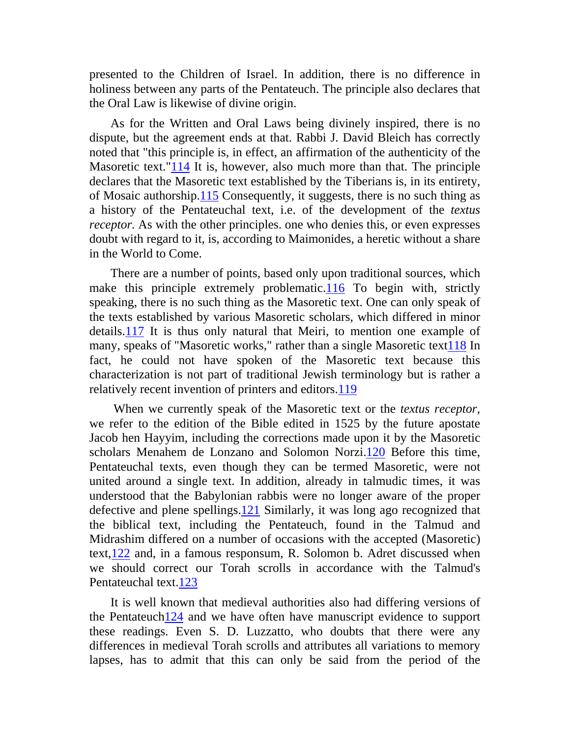presented to the Children of Israel. In addition, there is no difference in holiness between any parts of the Pentateuch. The principle also declares that the Oral Law is likewise of divine origin.

As for the Written and Oral Laws being divinely inspired, there is no dispute, but the agreement ends at that. Rabbi J. David Bleich has correctly noted that "this principle is, in effect, an affirmation of the authenticity of the Masoretic text." $\frac{114}{114}$  It is, however, also much more than that. The principle declares that the Masoretic text established by the Tiberians is, in its entirety, of Mosaic authorship.115 Consequently, it suggests, there is no such thing as a history of the Pentateuchal text, i.e. of the development of the *textus receptor.* As with the other principles, one who denies this, or even expresses doubt with regard to it, is, according to Maimonides, a heretic without a share in the World to Come.

There are a number of points, based only upon traditional sources, which make this principle extremely problematic.116 To begin with, strictly speaking, there is no such thing as the Masoretic text. One can only speak of the texts established by various Masoretic scholars, which differed in minor details.117 It is thus only natural that Meiri, to mention one example of many, speaks of "Masoretic works," rather than a single Masoretic text 118 In fact, he could not have spoken of the Masoretic text because this characterization is not part of traditional Jewish terminology but is rather a relatively recent invention of printers and editors.119

 When we currently speak of the Masoretic text or the *textus receptor,* we refer to the edition of the Bible edited in 1525 by the future apostate Jacob hen Hayyim, including the corrections made upon it by the Masoretic scholars Menahem de Lonzano and Solomon Norzi.120 Before this time, Pentateuchal texts, even though they can be termed Masoretic, were not united around a single text. In addition, already in talmudic times, it was understood that the Babylonian rabbis were no longer aware of the proper defective and plene spellings.<sup>121</sup> Similarly, it was long ago recognized that the biblical text, including the Pentateuch, found in the Talmud and Midrashim differed on a number of occasions with the accepted (Masoretic) text,122 and, in a famous responsum, R. Solomon b. Adret discussed when we should correct our Torah scrolls in accordance with the Talmud's Pentateuchal text.123

It is well known that medieval authorities also had differing versions of the Pentateuch124 and we have often have manuscript evidence to support these readings. Even S. D. Luzzatto, who doubts that there were any differences in medieval Torah scrolls and attributes all variations to memory lapses, has to admit that this can only be said from the period of the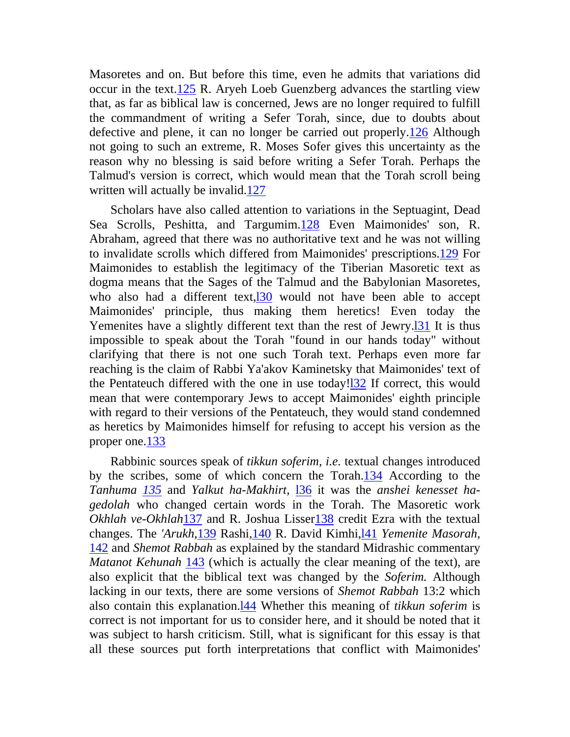Masoretes and on. But before this time, even he admits that variations did occur in the text.125 R. Aryeh Loeb Guenzberg advances the startling view that, as far as biblical law is concerned, Jews are no longer required to fulfill the commandment of writing a Sefer Torah, since, due to doubts about defective and plene, it can no longer be carried out properly.126 Although not going to such an extreme, R. Moses Sofer gives this uncertainty as the reason why no blessing is said before writing a Sefer Torah. Perhaps the Talmud's version is correct, which would mean that the Torah scroll being written will actually be invalid.<sup>127</sup>

Scholars have also called attention to variations in the Septuagint, Dead Sea Scrolls, Peshitta, and Targumim.128 Even Maimonides' son, R. Abraham, agreed that there was no authoritative text and he was not willing to invalidate scrolls which differed from Maimonides' prescriptions.129 For Maimonides to establish the legitimacy of the Tiberian Masoretic text as dogma means that the Sages of the Talmud and the Babylonian Masoretes, who also had a different text, 130 would not have been able to accept Maimonides' principle, thus making them heretics! Even today the Yemenites have a slightly different text than the rest of Jewry.<sup>131</sup> It is thus impossible to speak about the Torah "found in our hands today" without clarifying that there is not one such Torah text. Perhaps even more far reaching is the claim of Rabbi Ya'akov Kaminetsky that Maimonides' text of the Pentateuch differed with the one in use today!<sup>132</sup> If correct, this would mean that were contemporary Jews to accept Maimonides' eighth principle with regard to their versions of the Pentateuch, they would stand condemned as heretics by Maimonides himself for refusing to accept his version as the proper one.133

Rabbinic sources speak of *tikkun soferim, i.e.* textual changes introduced by the scribes, some of which concern the Torah.134 According to the *Tanhuma 135* and *Yalkut ha-Makhirt,* l36 it was the *anshei kenesset hagedolah* who changed certain words in the Torah. The Masoretic work *Okhlah ve-Okhlah*<sup>137</sup> and R. Joshua Lisser<sup>138</sup> credit Ezra with the textual changes. The *'Arukh*,139 Rashi,140 R. David Kimhi,l41 *Yemenite Masorah,* 142 and *Shemot Rabbah* as explained by the standard Midrashic commentary *Matanot Kehunah* 143 (which is actually the clear meaning of the text), are also explicit that the biblical text was changed by the *Soferim.* Although lacking in our texts, there are some versions of *Shemot Rabbah* 13:2 which also contain this explanation.l44 Whether this meaning of *tikkun soferim* is correct is not important for us to consider here, and it should be noted that it was subject to harsh criticism. Still, what is significant for this essay is that all these sources put forth interpretations that conflict with Maimonides'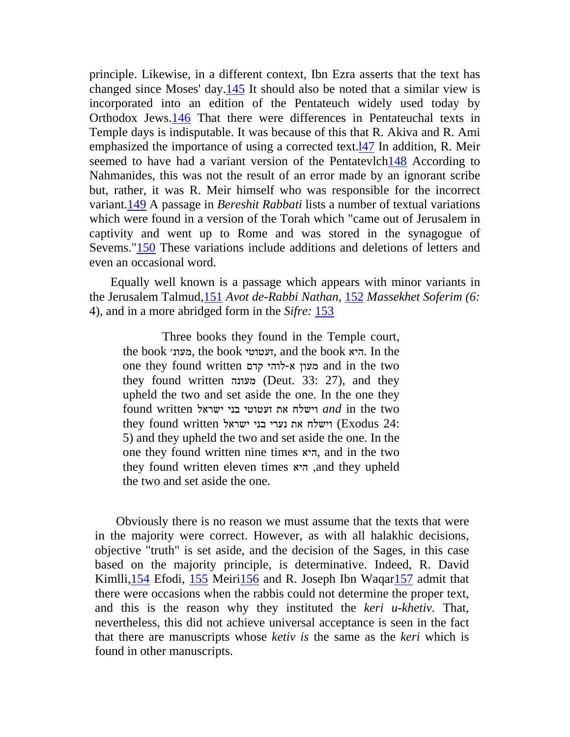principle. Likewise, in a different context, Ibn Ezra asserts that the text has changed since Moses' day.145 It should also be noted that a similar view is incorporated into an edition of the Pentateuch widely used today by Orthodox Jews.146 That there were differences in Pentateuchal texts in Temple days is indisputable. It was because of this that R. Akiva and R. Ami emphasized the importance of using a corrected text.l47 In addition, R. Meir seemed to have had a variant version of the Pentatevlch148 According to Nahmanides, this was not the result of an error made by an ignorant scribe but, rather, it was R. Meir himself who was responsible for the incorrect variant.149 A passage in *Bereshit Rabbati* lists a number of textual variations which were found in a version of the Torah which "came out of Jerusalem in captivity and went up to Rome and was stored in the synagogue of Sevems."150 These variations include additions and deletions of letters and even an occasional word.

Equally well known is a passage which appears with minor variants in the Jerusalem Talmud,151 *Avot de-Rabbi Nathan,* 152 *Massekhet Soferim (6:* 4), and in a more abridged form in the *Sifre:* 153

 Three books they found in the Temple court, the book 'מעונ, the book זעטוטי, and the book היא. In the one they found written קדם לוהי-א מעון and in the two they found written מעונה) Deut. 33: 27), and they upheld the two and set aside the one. In the one they found written ישראל בני זעטוטי את וישלח *and* in the two they found written וישלח את נערי בני ישראל (Exodus  $24$ : 5) and they upheld the two and set aside the one. In the one they found written nine times היא, and in the two they found written eleven times היא ,and they upheld the two and set aside the one.

Obviously there is no reason we must assume that the texts that were in the majority were correct. However, as with all halakhic decisions, objective "truth" is set aside, and the decision of the Sages, in this case based on the majority principle, is determinative. Indeed, R. David Kimlli,154 Efodi, 155 Meiri156 and R. Joseph Ibn Waqar157 admit that there were occasions when the rabbis could not determine the proper text, and this is the reason why they instituted the *keri u-khetiv.* That, nevertheless, this did not achieve universal acceptance is seen in the fact that there are manuscripts whose *ketiv is* the same as the *keri* which is found in other manuscripts.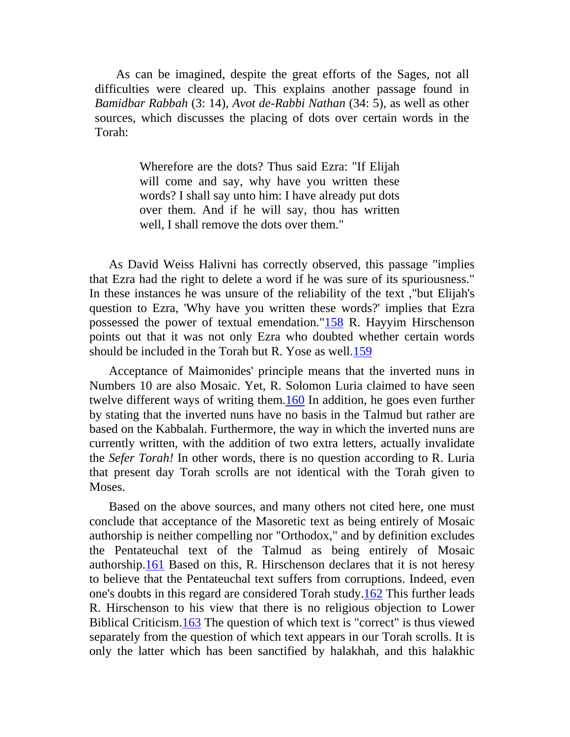As can be imagined, despite the great efforts of the Sages, not all difficulties were cleared up. This explains another passage found in *Bamidbar Rabbah* (3: 14), *Avot de-Rabbi Nathan* (34: 5), as well as other sources, which discusses the placing of dots over certain words in the Torah:

> Wherefore are the dots? Thus said Ezra: "If Elijah will come and say, why have you written these words? I shall say unto him: I have already put dots over them. And if he will say, thou has written well, I shall remove the dots over them."

As David Weiss Halivni has correctly observed, this passage "implies that Ezra had the right to delete a word if he was sure of its spuriousness." In these instances he was unsure of the reliability of the text ,"but Elijah's question to Ezra, 'Why have you written these words?' implies that Ezra possessed the power of textual emendation."158 R. Hayyim Hirschenson points out that it was not only Ezra who doubted whether certain words should be included in the Torah but R. Yose as well.159

Acceptance of Maimonides' principle means that the inverted nuns in Numbers 10 are also Mosaic. Yet, R. Solomon Luria claimed to have seen twelve different ways of writing them.160 In addition, he goes even further by stating that the inverted nuns have no basis in the Talmud but rather are based on the Kabbalah. Furthermore, the way in which the inverted nuns are currently written, with the addition of two extra letters, actually invalidate the *Sefer Torah!* In other words, there is no question according to R. Luria that present day Torah scrolls are not identical with the Torah given to Moses.

Based on the above sources, and many others not cited here, one must conclude that acceptance of the Masoretic text as being entirely of Mosaic authorship is neither compelling nor "Orthodox," and by definition excludes the Pentateuchal text of the Talmud as being entirely of Mosaic authorship.161 Based on this, R. Hirschenson declares that it is not heresy to believe that the Pentateuchal text suffers from corruptions. Indeed, even one's doubts in this regard are considered Torah study.162 This further leads R. Hirschenson to his view that there is no religious objection to Lower Biblical Criticism.163 The question of which text is "correct" is thus viewed separately from the question of which text appears in our Torah scrolls. It is only the latter which has been sanctified by halakhah, and this halakhic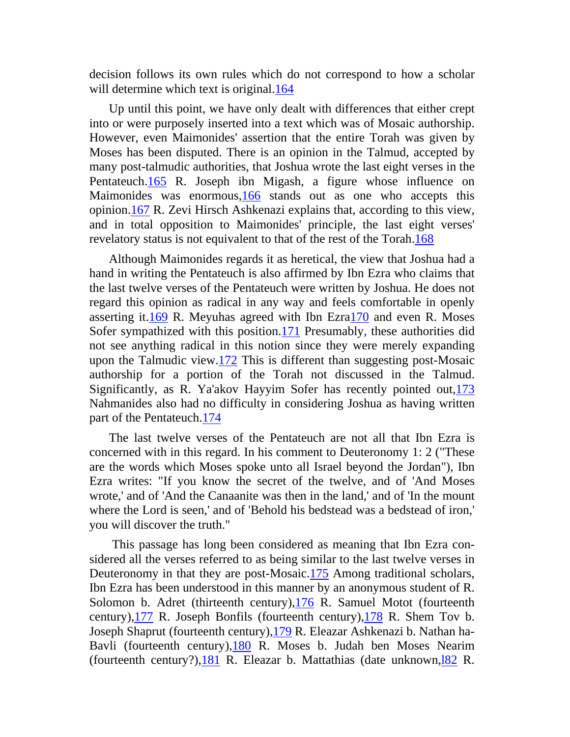decision follows its own rules which do not correspond to how a scholar will determine which text is original.<sup>164</sup>

Up until this point, we have only dealt with differences that either crept into or were purposely inserted into a text which was of Mosaic authorship. However, even Maimonides' assertion that the entire Torah was given by Moses has been disputed. There is an opinion in the Talmud, accepted by many post-talmudic authorities, that Joshua wrote the last eight verses in the Pentateuch.165 R. Joseph ibn Migash, a figure whose influence on Maimonides was enormous, 166 stands out as one who accepts this opinion.167 R. Zevi Hirsch Ashkenazi explains that, according to this view, and in total opposition to Maimonides' principle, the last eight verses' revelatory status is not equivalent to that of the rest of the Torah.168

Although Maimonides regards it as heretical, the view that Joshua had a hand in writing the Pentateuch is also affirmed by Ibn Ezra who claims that the last twelve verses of the Pentateuch were written by Joshua. He does not regard this opinion as radical in any way and feels comfortable in openly asserting it.  $169$  R. Meyuhas agreed with Ibn Ezra $170$  and even R. Moses Sofer sympathized with this position.171 Presumably, these authorities did not see anything radical in this notion since they were merely expanding upon the Talmudic view.172 This is different than suggesting post-Mosaic authorship for a portion of the Torah not discussed in the Talmud. Significantly, as R. Ya'akov Hayyim Sofer has recently pointed out,173 Nahmanides also had no difficulty in considering Joshua as having written part of the Pentateuch.174

The last twelve verses of the Pentateuch are not all that Ibn Ezra is concerned with in this regard. In his comment to Deuteronomy 1: 2 ("These are the words which Moses spoke unto all Israel beyond the Jordan"), Ibn Ezra writes: "If you know the secret of the twelve, and of 'And Moses wrote,' and of 'And the Canaanite was then in the land,' and of 'In the mount where the Lord is seen,' and of 'Behold his bedstead was a bedstead of iron,' you will discover the truth."

 This passage has long been considered as meaning that Ibn Ezra considered all the verses referred to as being similar to the last twelve verses in Deuteronomy in that they are post-Mosaic.175 Among traditional scholars, Ibn Ezra has been understood in this manner by an anonymous student of R. Solomon b. Adret (thirteenth century),176 R. Samuel Motot (fourteenth century),  $177$  R. Joseph Bonfils (fourteenth century),  $178$  R. Shem Tov b. Joseph Shaprut (fourteenth century),179 R. Eleazar Ashkenazi b. Nathan ha-Bavli (fourteenth century),180 R. Moses b. Judah ben Moses Nearim (fourteenth century?),181 R. Eleazar b. Mattathias (date unknown,l82 R.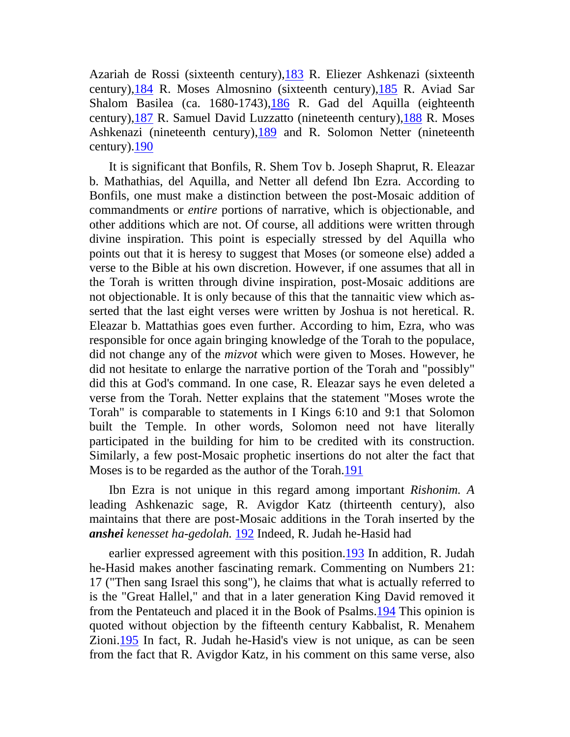Azariah de Rossi (sixteenth century),183 R. Eliezer Ashkenazi (sixteenth century),184 R. Moses Almosnino (sixteenth century),185 R. Aviad Sar Shalom Basilea (ca. 1680-1743),186 R. Gad del Aquilla (eighteenth century),187 R. Samuel David Luzzatto (nineteenth century),188 R. Moses Ashkenazi (nineteenth century), 189 and R. Solomon Netter (nineteenth century).190

It is significant that Bonfils, R. Shem Tov b. Joseph Shaprut, R. Eleazar b. Mathathias, del Aquilla, and Netter all defend Ibn Ezra. According to Bonfils, one must make a distinction between the post-Mosaic addition of commandments or *entire* portions of narrative, which is objectionable, and other additions which are not. Of course, all additions were written through divine inspiration. This point is especially stressed by del Aquilla who points out that it is heresy to suggest that Moses (or someone else) added a verse to the Bible at his own discretion. However, if one assumes that all in the Torah is written through divine inspiration, post-Mosaic additions are not objectionable. It is only because of this that the tannaitic view which asserted that the last eight verses were written by Joshua is not heretical. R. Eleazar b. Mattathias goes even further. According to him, Ezra, who was responsible for once again bringing knowledge of the Torah to the populace, did not change any of the *mizvot* which were given to Moses. However, he did not hesitate to enlarge the narrative portion of the Torah and "possibly" did this at God's command. In one case, R. Eleazar says he even deleted a verse from the Torah. Netter explains that the statement "Moses wrote the Torah" is comparable to statements in I Kings 6:10 and 9:1 that Solomon built the Temple. In other words, Solomon need not have literally participated in the building for him to be credited with its construction. Similarly, a few post-Mosaic prophetic insertions do not alter the fact that Moses is to be regarded as the author of the Torah.191

Ibn Ezra is not unique in this regard among important *Rishonim. A* leading Ashkenazic sage, R. Avigdor Katz (thirteenth century), also maintains that there are post-Mosaic additions in the Torah inserted by the *anshei kenesset ha-gedolah.* 192 Indeed, R. Judah he-Hasid had

earlier expressed agreement with this position.193 In addition, R. Judah he-Hasid makes another fascinating remark. Commenting on Numbers 21: 17 ("Then sang Israel this song"), he claims that what is actually referred to is the "Great Hallel," and that in a later generation King David removed it from the Pentateuch and placed it in the Book of Psalms.194 This opinion is quoted without objection by the fifteenth century Kabbalist, R. Menahem Zioni.195 In fact, R. Judah he-Hasid's view is not unique, as can be seen from the fact that R. Avigdor Katz, in his comment on this same verse, also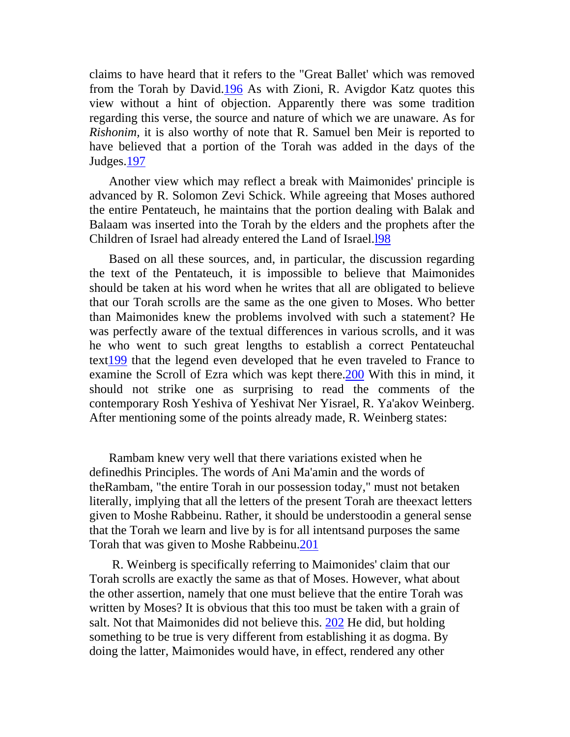claims to have heard that it refers to the "Great Ballet' which was removed from the Torah by David.196 As with Zioni, R. Avigdor Katz quotes this view without a hint of objection. Apparently there was some tradition regarding this verse, the source and nature of which we are unaware. As for *Rishonim,* it is also worthy of note that R. Samuel ben Meir is reported to have believed that a portion of the Torah was added in the days of the Judges. 197

Another view which may reflect a break with Maimonides' principle is advanced by R. Solomon Zevi Schick. While agreeing that Moses authored the entire Pentateuch, he maintains that the portion dealing with Balak and Balaam was inserted into the Torah by the elders and the prophets after the Children of Israel had already entered the Land of Israel.l98

Based on all these sources, and, in particular, the discussion regarding the text of the Pentateuch, it is impossible to believe that Maimonides should be taken at his word when he writes that all are obligated to believe that our Torah scrolls are the same as the one given to Moses. Who better than Maimonides knew the problems involved with such a statement? He was perfectly aware of the textual differences in various scrolls, and it was he who went to such great lengths to establish a correct Pentateuchal text199 that the legend even developed that he even traveled to France to examine the Scroll of Ezra which was kept there. 200 With this in mind, it should not strike one as surprising to read the comments of the contemporary Rosh Yeshiva of Yeshivat Ner Yisrael, R. Ya'akov Weinberg. After mentioning some of the points already made, R. Weinberg states:

Rambam knew very well that there variations existed when he definedhis Principles. The words of Ani Ma'amin and the words of theRambam, "the entire Torah in our possession today," must not betaken literally, implying that all the letters of the present Torah are theexact letters given to Moshe Rabbeinu. Rather, it should be understoodin a general sense that the Torah we learn and live by is for all intentsand purposes the same Torah that was given to Moshe Rabbeinu.201

 R. Weinberg is specifically referring to Maimonides' claim that our Torah scrolls are exactly the same as that of Moses. However, what about the other assertion, namely that one must believe that the entire Torah was written by Moses? It is obvious that this too must be taken with a grain of salt. Not that Maimonides did not believe this. 202 He did, but holding something to be true is very different from establishing it as dogma. By doing the latter, Maimonides would have, in effect, rendered any other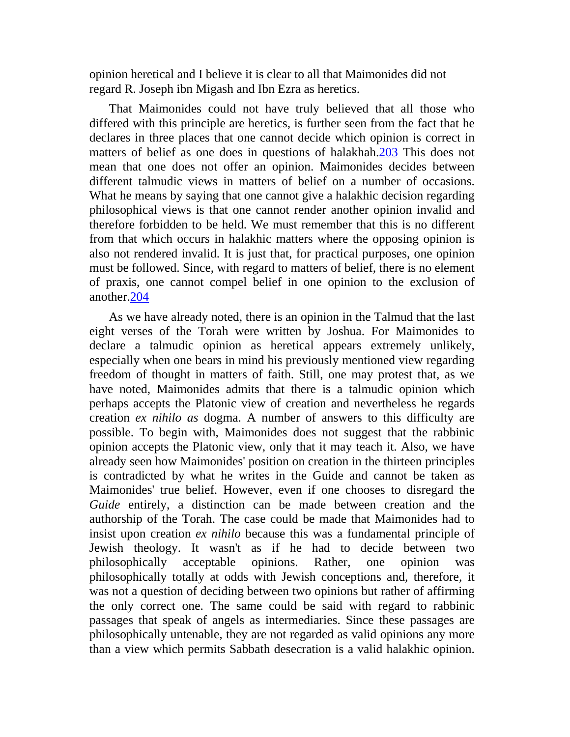opinion heretical and I believe it is clear to all that Maimonides did not regard R. Joseph ibn Migash and Ibn Ezra as heretics.

That Maimonides could not have truly believed that all those who differed with this principle are heretics, is further seen from the fact that he declares in three places that one cannot decide which opinion is correct in matters of belief as one does in questions of halakhah.203 This does not mean that one does not offer an opinion. Maimonides decides between different talmudic views in matters of belief on a number of occasions. What he means by saying that one cannot give a halakhic decision regarding philosophical views is that one cannot render another opinion invalid and therefore forbidden to be held. We must remember that this is no different from that which occurs in halakhic matters where the opposing opinion is also not rendered invalid. It is just that, for practical purposes, one opinion must be followed. Since, with regard to matters of belief, there is no element of praxis, one cannot compel belief in one opinion to the exclusion of another.204

As we have already noted, there is an opinion in the Talmud that the last eight verses of the Torah were written by Joshua. For Maimonides to declare a talmudic opinion as heretical appears extremely unlikely, especially when one bears in mind his previously mentioned view regarding freedom of thought in matters of faith. Still, one may protest that, as we have noted, Maimonides admits that there is a talmudic opinion which perhaps accepts the Platonic view of creation and nevertheless he regards creation *ex nihilo as* dogma. A number of answers to this difficulty are possible. To begin with, Maimonides does not suggest that the rabbinic opinion accepts the Platonic view, only that it may teach it. Also, we have already seen how Maimonides' position on creation in the thirteen principles is contradicted by what he writes in the Guide and cannot be taken as Maimonides' true belief. However, even if one chooses to disregard the *Guide* entirely, a distinction can be made between creation and the authorship of the Torah. The case could be made that Maimonides had to insist upon creation *ex nihilo* because this was a fundamental principle of Jewish theology. It wasn't as if he had to decide between two philosophically acceptable opinions. Rather, one opinion was philosophically totally at odds with Jewish conceptions and, therefore, it was not a question of deciding between two opinions but rather of affirming the only correct one. The same could be said with regard to rabbinic passages that speak of angels as intermediaries. Since these passages are philosophically untenable, they are not regarded as valid opinions any more than a view which permits Sabbath desecration is a valid halakhic opinion.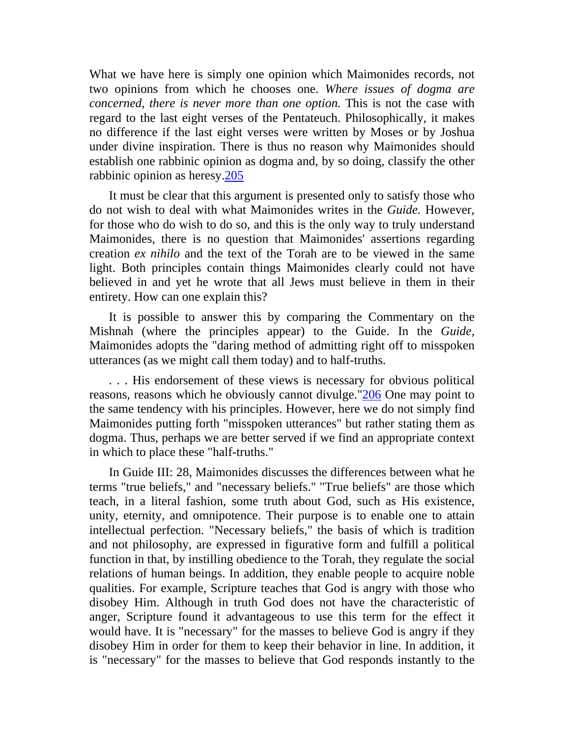What we have here is simply one opinion which Maimonides records, not two opinions from which he chooses one. *Where issues of dogma are concerned, there is never more than one option.* This is not the case with regard to the last eight verses of the Pentateuch. Philosophically, it makes no difference if the last eight verses were written by Moses or by Joshua under divine inspiration. There is thus no reason why Maimonides should establish one rabbinic opinion as dogma and, by so doing, classify the other rabbinic opinion as heresy.205

It must be clear that this argument is presented only to satisfy those who do not wish to deal with what Maimonides writes in the *Guide.* However, for those who do wish to do so, and this is the only way to truly understand Maimonides, there is no question that Maimonides' assertions regarding creation *ex nihilo* and the text of the Torah are to be viewed in the same light. Both principles contain things Maimonides clearly could not have believed in and yet he wrote that all Jews must believe in them in their entirety. How can one explain this?

It is possible to answer this by comparing the Commentary on the Mishnah (where the principles appear) to the Guide. In the *Guide,* Maimonides adopts the "daring method of admitting right off to misspoken utterances (as we might call them today) and to half-truths.

. . . His endorsement of these views is necessary for obvious political reasons, reasons which he obviously cannot divulge."206 One may point to the same tendency with his principles. However, here we do not simply find Maimonides putting forth "misspoken utterances" but rather stating them as dogma. Thus, perhaps we are better served if we find an appropriate context in which to place these "half-truths."

In Guide III: 28, Maimonides discusses the differences between what he terms "true beliefs," and "necessary beliefs." "True beliefs" are those which teach, in a literal fashion, some truth about God, such as His existence, unity, eternity, and omnipotence. Their purpose is to enable one to attain intellectual perfection. "Necessary beliefs," the basis of which is tradition and not philosophy, are expressed in figurative form and fulfill a political function in that, by instilling obedience to the Torah, they regulate the social relations of human beings. In addition, they enable people to acquire noble qualities. For example, Scripture teaches that God is angry with those who disobey Him. Although in truth God does not have the characteristic of anger, Scripture found it advantageous to use this term for the effect it would have. It is "necessary" for the masses to believe God is angry if they disobey Him in order for them to keep their behavior in line. In addition, it is "necessary" for the masses to believe that God responds instantly to the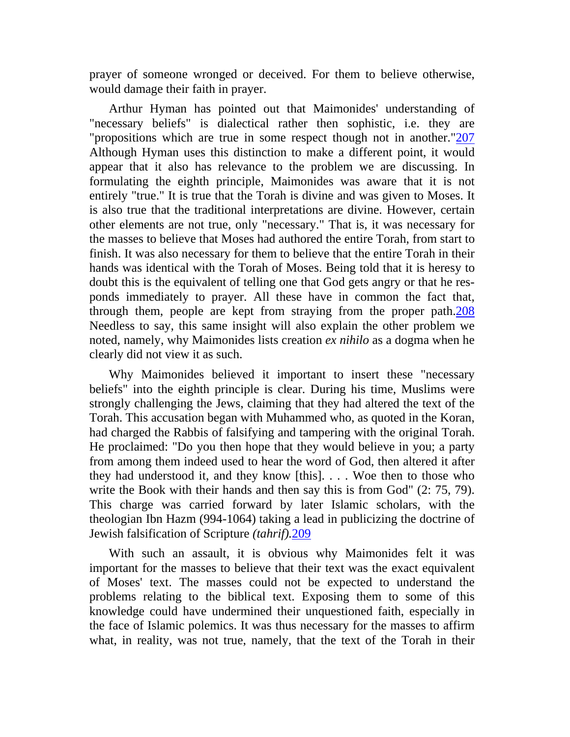prayer of someone wronged or deceived. For them to believe otherwise, would damage their faith in prayer.

Arthur Hyman has pointed out that Maimonides' understanding of "necessary beliefs" is dialectical rather then sophistic, i.e. they are "propositions which are true in some respect though not in another."207 Although Hyman uses this distinction to make a different point, it would appear that it also has relevance to the problem we are discussing. In formulating the eighth principle, Maimonides was aware that it is not entirely "true." It is true that the Torah is divine and was given to Moses. It is also true that the traditional interpretations are divine. However, certain other elements are not true, only "necessary." That is, it was necessary for the masses to believe that Moses had authored the entire Torah, from start to finish. It was also necessary for them to believe that the entire Torah in their hands was identical with the Torah of Moses. Being told that it is heresy to doubt this is the equivalent of telling one that God gets angry or that he responds immediately to prayer. All these have in common the fact that, through them, people are kept from straying from the proper path. 208 Needless to say, this same insight will also explain the other problem we noted, namely, why Maimonides lists creation *ex nihilo* as a dogma when he clearly did not view it as such.

Why Maimonides believed it important to insert these "necessary beliefs" into the eighth principle is clear. During his time, Muslims were strongly challenging the Jews, claiming that they had altered the text of the Torah. This accusation began with Muhammed who, as quoted in the Koran, had charged the Rabbis of falsifying and tampering with the original Torah. He proclaimed: "Do you then hope that they would believe in you; a party from among them indeed used to hear the word of God, then altered it after they had understood it, and they know [this]. . . . Woe then to those who write the Book with their hands and then say this is from God" (2: 75, 79). This charge was carried forward by later Islamic scholars, with the theologian Ibn Hazm (994-1064) taking a lead in publicizing the doctrine of Jewish falsification of Scripture *(tahrif).*209

With such an assault, it is obvious why Maimonides felt it was important for the masses to believe that their text was the exact equivalent of Moses' text. The masses could not be expected to understand the problems relating to the biblical text. Exposing them to some of this knowledge could have undermined their unquestioned faith, especially in the face of Islamic polemics. It was thus necessary for the masses to affirm what, in reality, was not true, namely, that the text of the Torah in their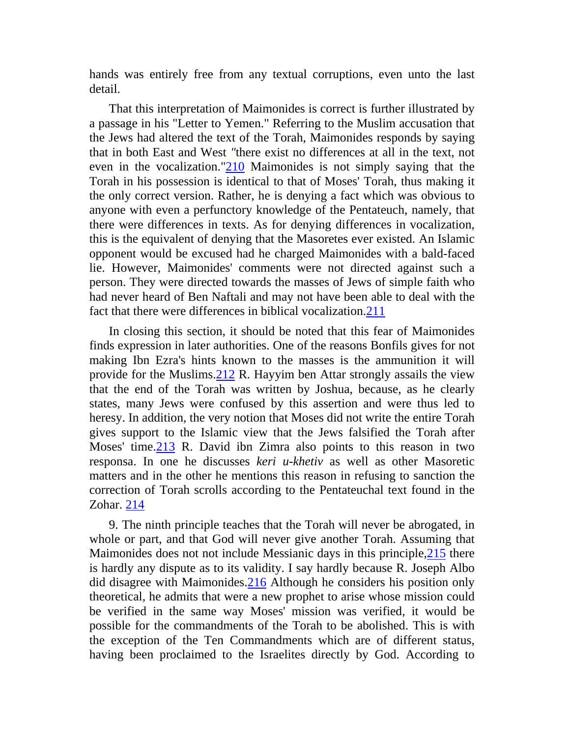hands was entirely free from any textual corruptions, even unto the last detail.

That this interpretation of Maimonides is correct is further illustrated by a passage in his "Letter to Yemen." Referring to the Muslim accusation that the Jews had altered the text of the Torah, Maimonides responds by saying that in both East and West *"*there exist no differences at all in the text, not even in the vocalization." $\frac{210}{210}$  Maimonides is not simply saying that the Torah in his possession is identical to that of Moses' Torah, thus making it the only correct version. Rather, he is denying a fact which was obvious to anyone with even a perfunctory knowledge of the Pentateuch, namely, that there were differences in texts. As for denying differences in vocalization, this is the equivalent of denying that the Masoretes ever existed. An Islamic opponent would be excused had he charged Maimonides with a bald-faced lie. However, Maimonides' comments were not directed against such a person. They were directed towards the masses of Jews of simple faith who had never heard of Ben Naftali and may not have been able to deal with the fact that there were differences in biblical vocalization.211

In closing this section, it should be noted that this fear of Maimonides finds expression in later authorities. One of the reasons Bonfils gives for not making Ibn Ezra's hints known to the masses is the ammunition it will provide for the Muslims.212 R. Hayyim ben Attar strongly assails the view that the end of the Torah was written by Joshua, because, as he clearly states, many Jews were confused by this assertion and were thus led to heresy. In addition, the very notion that Moses did not write the entire Torah gives support to the Islamic view that the Jews falsified the Torah after Moses' time.213 R. David ibn Zimra also points to this reason in two responsa. In one he discusses *keri u-khetiv* as well as other Masoretic matters and in the other he mentions this reason in refusing to sanction the correction of Torah scrolls according to the Pentateuchal text found in the Zohar. 214

9. The ninth principle teaches that the Torah will never be abrogated, in whole or part, and that God will never give another Torah. Assuming that Maimonides does not not include Messianic days in this principle, 215 there is hardly any dispute as to its validity. I say hardly because R. Joseph Albo did disagree with Maimonides.216 Although he considers his position only theoretical, he admits that were a new prophet to arise whose mission could be verified in the same way Moses' mission was verified, it would be possible for the commandments of the Torah to be abolished. This is with the exception of the Ten Commandments which are of different status, having been proclaimed to the Israelites directly by God. According to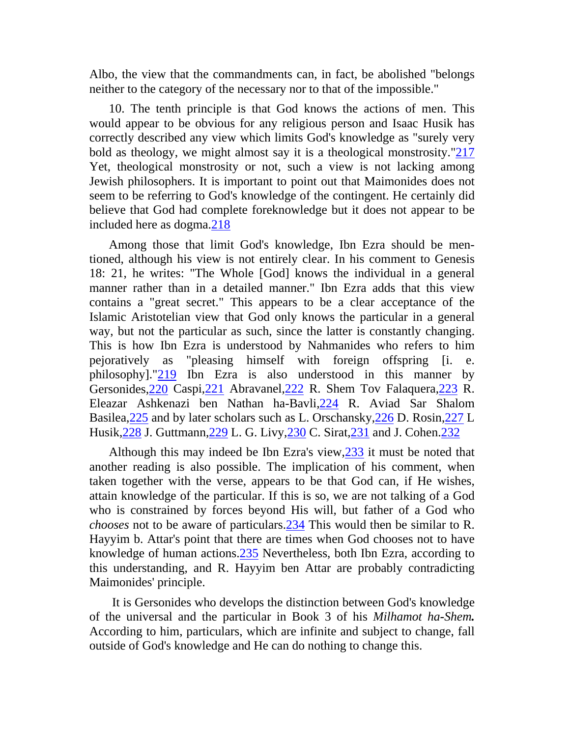Albo, the view that the commandments can, in fact, be abolished "belongs neither to the category of the necessary nor to that of the impossible."

10. The tenth principle is that God knows the actions of men. This would appear to be obvious for any religious person and Isaac Husik has correctly described any view which limits God's knowledge as "surely very bold as theology, we might almost say it is a theological monstrosity."217 Yet, theological monstrosity or not, such a view is not lacking among Jewish philosophers. It is important to point out that Maimonides does not seem to be referring to God's knowledge of the contingent. He certainly did believe that God had complete foreknowledge but it does not appear to be included here as dogma.218

Among those that limit God's knowledge, Ibn Ezra should be mentioned, although his view is not entirely clear. In his comment to Genesis 18: 21, he writes: "The Whole [God] knows the individual in a general manner rather than in a detailed manner." Ibn Ezra adds that this view contains a "great secret." This appears to be a clear acceptance of the Islamic Aristotelian view that God only knows the particular in a general way, but not the particular as such, since the latter is constantly changing. This is how Ibn Ezra is understood by Nahmanides who refers to him pejoratively as "pleasing himself with foreign offspring [i. e. philosophy]."219 Ibn Ezra is also understood in this manner by Gersonides,220 Caspi,221 Abravanel,222 R. Shem Tov Falaquera,223 R. Eleazar Ashkenazi ben Nathan ha-Bavli,224 R. Aviad Sar Shalom Basilea, 225 and by later scholars such as L. Orschansky, 226 D. Rosin, 227 L. Husik,228 J. Guttmann,229 L. G. Livy,230 C. Sirat,231 and J. Cohen.232

Although this may indeed be Ibn Ezra's view,233 it must be noted that another reading is also possible. The implication of his comment, when taken together with the verse, appears to be that God can, if He wishes, attain knowledge of the particular. If this is so, we are not talking of a God who is constrained by forces beyond His will, but father of a God who *chooses* not to be aware of particulars.234 This would then be similar to R. Hayyim b. Attar's point that there are times when God chooses not to have knowledge of human actions.235 Nevertheless, both Ibn Ezra, according to this understanding, and R. Hayyim ben Attar are probably contradicting Maimonides' principle.

 It is Gersonides who develops the distinction between God's knowledge of the universal and the particular in Book 3 of his *Milhamot ha-Shem.* According to him, particulars, which are infinite and subject to change, fall outside of God's knowledge and He can do nothing to change this.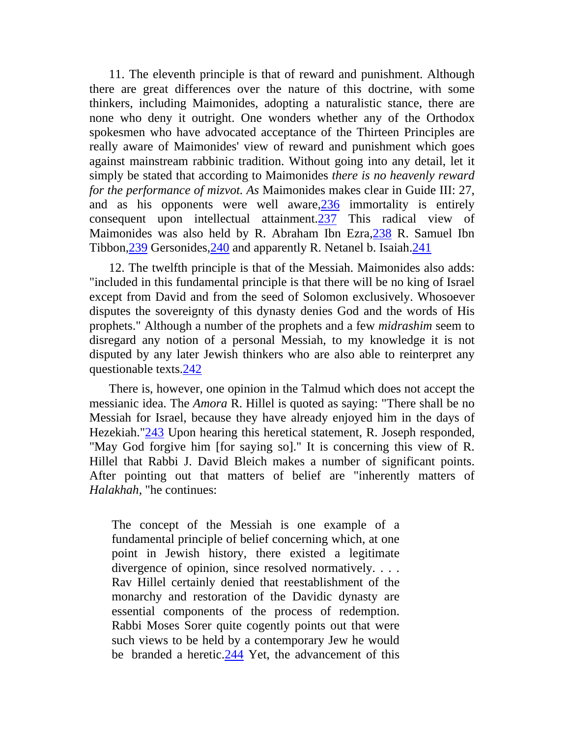11. The eleventh principle is that of reward and punishment. Although there are great differences over the nature of this doctrine, with some thinkers, including Maimonides, adopting a naturalistic stance, there are none who deny it outright. One wonders whether any of the Orthodox spokesmen who have advocated acceptance of the Thirteen Principles are really aware of Maimonides' view of reward and punishment which goes against mainstream rabbinic tradition. Without going into any detail, let it simply be stated that according to Maimonides *there is no heavenly reward for the performance of mizvot. As* Maimonides makes clear in Guide III: 27, and as his opponents were well aware,236 immortality is entirely consequent upon intellectual attainment.237 This radical view of Maimonides was also held by R. Abraham Ibn Ezra,238 R. Samuel Ibn Tibbon,239 Gersonides,240 and apparently R. Netanel b. Isaiah.241

12. The twelfth principle is that of the Messiah. Maimonides also adds: "included in this fundamental principle is that there will be no king of Israel except from David and from the seed of Solomon exclusively. Whosoever disputes the sovereignty of this dynasty denies God and the words of His prophets." Although a number of the prophets and a few *midrashim* seem to disregard any notion of a personal Messiah, to my knowledge it is not disputed by any later Jewish thinkers who are also able to reinterpret any questionable texts.242

There is, however, one opinion in the Talmud which does not accept the messianic idea. The *Amora* R. Hillel is quoted as saying: "There shall be no Messiah for Israel, because they have already enjoyed him in the days of Hezekiah."243 Upon hearing this heretical statement, R. Joseph responded, "May God forgive him [for saying so]." It is concerning this view of R. Hillel that Rabbi J. David Bleich makes a number of significant points. After pointing out that matters of belief are "inherently matters of *Halakhah,* "he continues:

The concept of the Messiah is one example of a fundamental principle of belief concerning which, at one point in Jewish history, there existed a legitimate divergence of opinion, since resolved normatively. . . . Rav Hillel certainly denied that reestablishment of the monarchy and restoration of the Davidic dynasty are essential components of the process of redemption. Rabbi Moses Sorer quite cogently points out that were such views to be held by a contemporary Jew he would be branded a heretic. 244 Yet, the advancement of this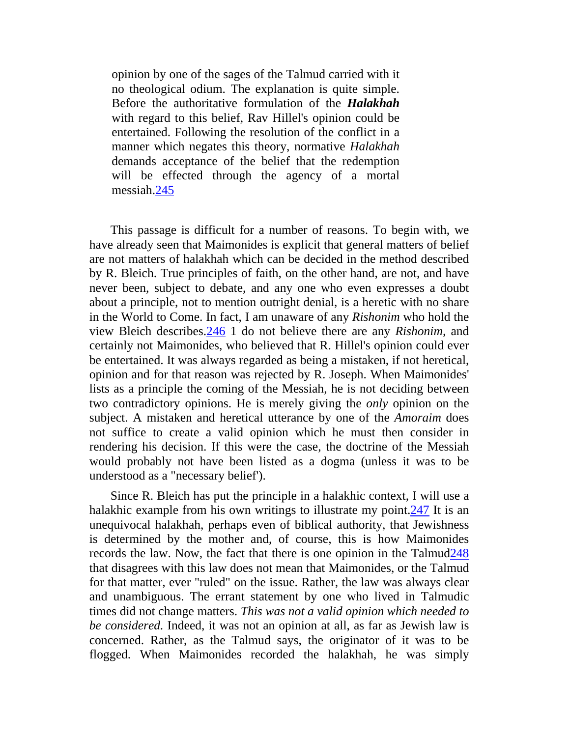opinion by one of the sages of the Talmud carried with it no theological odium. The explanation is quite simple. Before the authoritative formulation of the *Halakhah* with regard to this belief, Rav Hillel's opinion could be entertained. Following the resolution of the conflict in a manner which negates this theory, normative *Halakhah* demands acceptance of the belief that the redemption will be effected through the agency of a mortal messiah.245

This passage is difficult for a number of reasons. To begin with, we have already seen that Maimonides is explicit that general matters of belief are not matters of halakhah which can be decided in the method described by R. Bleich. True principles of faith, on the other hand, are not, and have never been, subject to debate, and any one who even expresses a doubt about a principle, not to mention outright denial, is a heretic with no share in the World to Come. In fact, I am unaware of any *Rishonim* who hold the view Bleich describes.246 1 do not believe there are any *Rishonim,* and certainly not Maimonides, who believed that R. Hillel's opinion could ever be entertained. It was always regarded as being a mistaken, if not heretical, opinion and for that reason was rejected by R. Joseph. When Maimonides' lists as a principle the coming of the Messiah, he is not deciding between two contradictory opinions. He is merely giving the *only* opinion on the subject. A mistaken and heretical utterance by one of the *Amoraim* does not suffice to create a valid opinion which he must then consider in rendering his decision. If this were the case, the doctrine of the Messiah would probably not have been listed as a dogma (unless it was to be understood as a "necessary belief').

Since R. Bleich has put the principle in a halakhic context, I will use a halakhic example from his own writings to illustrate my point. 247 It is an unequivocal halakhah, perhaps even of biblical authority, that Jewishness is determined by the mother and, of course, this is how Maimonides records the law. Now, the fact that there is one opinion in the Talmud248 that disagrees with this law does not mean that Maimonides, or the Talmud for that matter, ever "ruled" on the issue. Rather, the law was always clear and unambiguous. The errant statement by one who lived in Talmudic times did not change matters. *This was not a valid opinion which needed to be considered.* Indeed, it was not an opinion at all, as far as Jewish law is concerned. Rather, as the Talmud says, the originator of it was to be flogged. When Maimonides recorded the halakhah, he was simply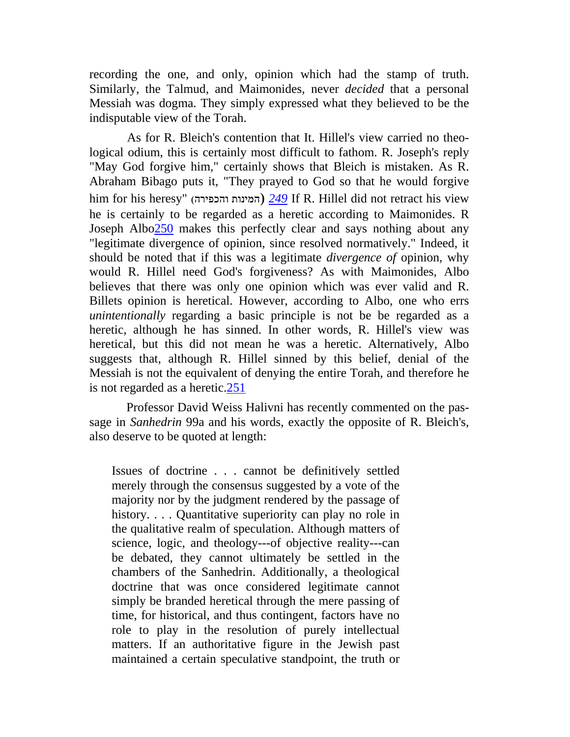recording the one, and only, opinion which had the stamp of truth. Similarly, the Talmud, and Maimonides, never *decided* that a personal Messiah was dogma. They simply expressed what they believed to be the indisputable view of the Torah.

 As for R. Bleich's contention that It. Hillel's view carried no theological odium, this is certainly most difficult to fathom. R. Joseph's reply "May God forgive him," certainly shows that Bleich is mistaken. As R. Abraham Bibago puts it, "They prayed to God so that he would forgive him for his heresy" (והכפירה המינות (*<sup>249</sup>* If R. Hillel did not retract his view he is certainly to be regarded as a heretic according to Maimonides. R Joseph Albo250 makes this perfectly clear and says nothing about any "legitimate divergence of opinion, since resolved normatively." Indeed, it should be noted that if this was a legitimate *divergence of* opinion, why would R. Hillel need God's forgiveness? As with Maimonides, Albo believes that there was only one opinion which was ever valid and R. Billets opinion is heretical. However, according to Albo, one who errs *unintentionally* regarding a basic principle is not be be regarded as a heretic, although he has sinned. In other words, R. Hillel's view was heretical, but this did not mean he was a heretic. Alternatively, Albo suggests that, although R. Hillel sinned by this belief, denial of the Messiah is not the equivalent of denying the entire Torah, and therefore he is not regarded as a heretic.251

 Professor David Weiss Halivni has recently commented on the passage in *Sanhedrin* 99a and his words, exactly the opposite of R. Bleich's, also deserve to be quoted at length:

Issues of doctrine . . . cannot be definitively settled merely through the consensus suggested by a vote of the majority nor by the judgment rendered by the passage of history. . . . Quantitative superiority can play no role in the qualitative realm of speculation. Although matters of science, logic, and theology---of objective reality---can be debated, they cannot ultimately be settled in the chambers of the Sanhedrin. Additionally, a theological doctrine that was once considered legitimate cannot simply be branded heretical through the mere passing of time, for historical, and thus contingent, factors have no role to play in the resolution of purely intellectual matters. If an authoritative figure in the Jewish past maintained a certain speculative standpoint, the truth or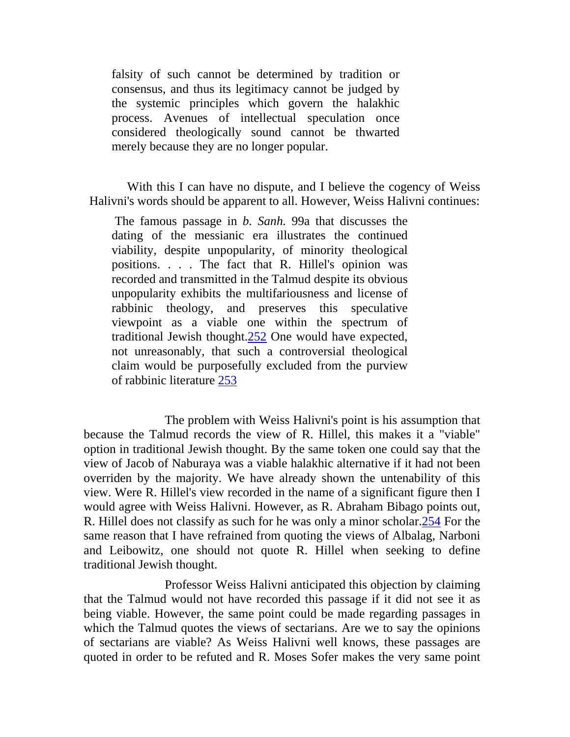falsity of such cannot be determined by tradition or consensus, and thus its legitimacy cannot be judged by the systemic principles which govern the halakhic process. Avenues of intellectual speculation once considered theologically sound cannot be thwarted merely because they are no longer popular.

With this I can have no dispute, and I believe the cogency of Weiss Halivni's words should be apparent to all. However, Weiss Halivni continues:

 The famous passage in *b. Sanh.* 99a that discusses the dating of the messianic era illustrates the continued viability, despite unpopularity, of minority theological positions. . . . The fact that R. Hillel's opinion was recorded and transmitted in the Talmud despite its obvious unpopularity exhibits the multifariousness and license of rabbinic theology, and preserves this speculative viewpoint as a viable one within the spectrum of traditional Jewish thought.252 One would have expected, not unreasonably, that such a controversial theological claim would be purposefully excluded from the purview of rabbinic literature 253

The problem with Weiss Halivni's point is his assumption that because the Talmud records the view of R. Hillel, this makes it a "viable" option in traditional Jewish thought. By the same token one could say that the view of Jacob of Naburaya was a viable halakhic alternative if it had not been overriden by the majority. We have already shown the untenability of this view. Were R. Hillel's view recorded in the name of a significant figure then I would agree with Weiss Halivni. However, as R. Abraham Bibago points out, R. Hillel does not classify as such for he was only a minor scholar. 254 For the same reason that I have refrained from quoting the views of Albalag, Narboni and Leibowitz, one should not quote R. Hillel when seeking to define traditional Jewish thought.

Professor Weiss Halivni anticipated this objection by claiming that the Talmud would not have recorded this passage if it did not see it as being viable. However, the same point could be made regarding passages in which the Talmud quotes the views of sectarians. Are we to say the opinions of sectarians are viable? As Weiss Halivni well knows, these passages are quoted in order to be refuted and R. Moses Sofer makes the very same point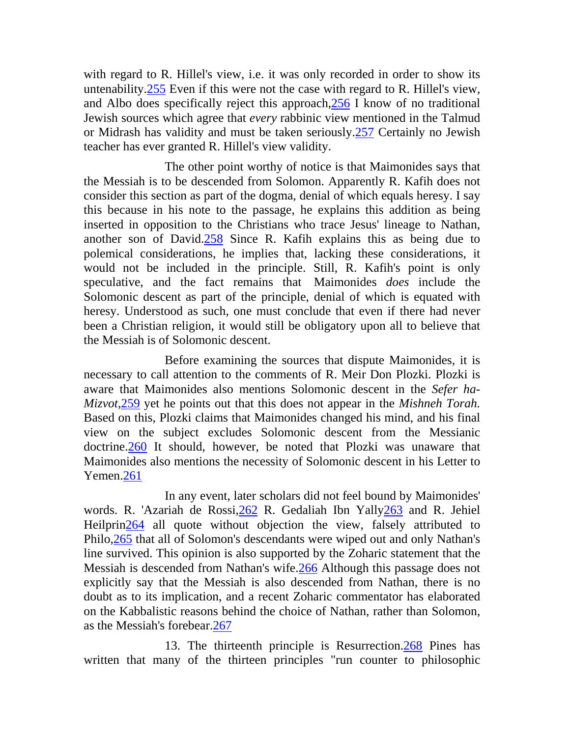with regard to R. Hillel's view, i.e. it was only recorded in order to show its untenability.255 Even if this were not the case with regard to R. Hillel's view, and Albo does specifically reject this approach,256 I know of no traditional Jewish sources which agree that *every* rabbinic view mentioned in the Talmud or Midrash has validity and must be taken seriously.257 Certainly no Jewish teacher has ever granted R. Hillel's view validity.

The other point worthy of notice is that Maimonides says that the Messiah is to be descended from Solomon. Apparently R. Kafih does not consider this section as part of the dogma, denial of which equals heresy. I say this because in his note to the passage, he explains this addition as being inserted in opposition to the Christians who trace Jesus' lineage to Nathan, another son of David.258 Since R. Kafih explains this as being due to polemical considerations, he implies that, lacking these considerations, it would not be included in the principle. Still, R. Kafih's point is only speculative, and the fact remains that Maimonides *does* include the Solomonic descent as part of the principle, denial of which is equated with heresy. Understood as such, one must conclude that even if there had never been a Christian religion, it would still be obligatory upon all to believe that the Messiah is of Solomonic descent.

Before examining the sources that dispute Maimonides, it is necessary to call attention to the comments of R. Meir Don Plozki. Plozki is aware that Maimonides also mentions Solomonic descent in the *Sefer ha-Mizvot*,259 yet he points out that this does not appear in the *Mishneh Torah.* Based on this, Plozki claims that Maimonides changed his mind, and his final view on the subject excludes Solomonic descent from the Messianic doctrine.260 It should, however, be noted that Plozki was unaware that Maimonides also mentions the necessity of Solomonic descent in his Letter to Yemen.261

In any event, later scholars did not feel bound by Maimonides' words. R. 'Azariah de Rossi,262 R. Gedaliah Ibn Yally263 and R. Jehiel Heilprin264 all quote without objection the view, falsely attributed to Philo,265 that all of Solomon's descendants were wiped out and only Nathan's line survived. This opinion is also supported by the Zoharic statement that the Messiah is descended from Nathan's wife.266 Although this passage does not explicitly say that the Messiah is also descended from Nathan, there is no doubt as to its implication, and a recent Zoharic commentator has elaborated on the Kabbalistic reasons behind the choice of Nathan, rather than Solomon, as the Messiah's forebear.267

13. The thirteenth principle is Resurrection.268 Pines has written that many of the thirteen principles "run counter to philosophic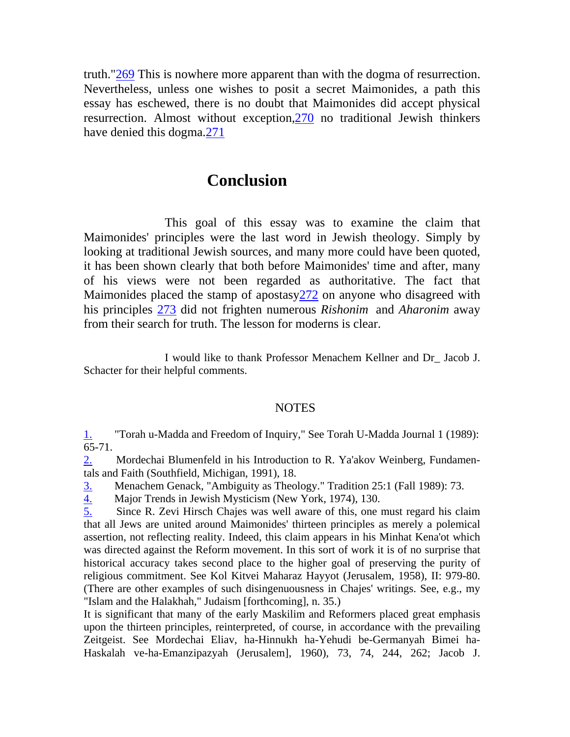truth."269 This is nowhere more apparent than with the dogma of resurrection. Nevertheless, unless one wishes to posit a secret Maimonides, a path this essay has eschewed, there is no doubt that Maimonides did accept physical resurrection. Almost without exception,270 no traditional Jewish thinkers have denied this dogma.271

## **Conclusion**

This goal of this essay was to examine the claim that Maimonides' principles were the last word in Jewish theology. Simply by looking at traditional Jewish sources, and many more could have been quoted, it has been shown clearly that both before Maimonides' time and after, many of his views were not been regarded as authoritative. The fact that Maimonides placed the stamp of apostasy $\frac{272}{2}$  on anyone who disagreed with his principles 273 did not frighten numerous *Rishonim* and *Aharonim* away from their search for truth. The lesson for moderns is clear.

I would like to thank Professor Menachem Kellner and Dr\_ Jacob J. Schacter for their helpful comments.

### NOTES

1. "Torah u-Madda and Freedom of Inquiry," See Torah U-Madda Journal 1 (1989):  $\overline{65}$ -71.

2. Mordechai Blumenfeld in his Introduction to R. Ya'akov Weinberg, Fundamentals and Faith (Southfield, Michigan, 1991), 18.

3. Menachem Genack, "Ambiguity as Theology." Tradition 25:1 (Fall 1989): 73.

4. Major Trends in Jewish Mysticism (New York, 1974), 130.

5. Since R. Zevi Hirsch Chajes was well aware of this, one must regard his claim that all Jews are united around Maimonides' thirteen principles as merely a polemical assertion, not reflecting reality. Indeed, this claim appears in his Minhat Kena'ot which was directed against the Reform movement. In this sort of work it is of no surprise that historical accuracy takes second place to the higher goal of preserving the purity of religious commitment. See Kol Kitvei Maharaz Hayyot (Jerusalem, 1958), II: 979-80. (There are other examples of such disingenuousness in Chajes' writings. See, e.g., my "Islam and the Halakhah," Judaism [forthcoming], n. 35.)

It is significant that many of the early Maskilim and Reformers placed great emphasis upon the thirteen principles, reinterpreted, of course, in accordance with the prevailing Zeitgeist. See Mordechai Eliav, ha-Hinnukh ha-Yehudi be-Germanyah Bimei ha-Haskalah ve-ha-Emanzipazyah (Jerusalem], 1960), 73, 74, 244, 262; Jacob J.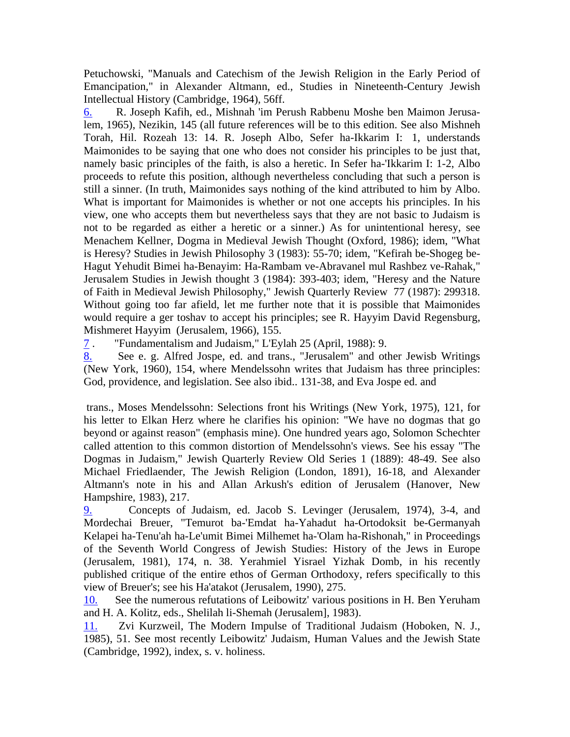Petuchowski, "Manuals and Catechism of the Jewish Religion in the Early Period of Emancipation," in Alexander Altmann, ed., Studies in Nineteenth-Century Jewish Intellectual History (Cambridge, 1964), 56ff.

6. R. Joseph Kafih, ed., Mishnah 'im Perush Rabbenu Moshe ben Maimon Jerusalem, 1965), Nezikin, 145 (all future references will be to this edition. See also Mishneh Torah, Hil. Rozeah 13: 14. R. Joseph Albo, Sefer ha-Ikkarim I: 1, understands Maimonides to be saying that one who does not consider his principles to be just that, namely basic principles of the faith, is also a heretic. In Sefer ha-'Ikkarim I: 1-2, Albo proceeds to refute this position, although nevertheless concluding that such a person is still a sinner. (In truth, Maimonides says nothing of the kind attributed to him by Albo. What is important for Maimonides is whether or not one accepts his principles. In his view, one who accepts them but nevertheless says that they are not basic to Judaism is not to be regarded as either a heretic or a sinner.) As for unintentional heresy, see Menachem Kellner, Dogma in Medieval Jewish Thought (Oxford, 1986); idem, "What is Heresy? Studies in Jewish Philosophy 3 (1983): 55-70; idem, "Kefirah be-Shogeg be-Hagut Yehudit Bimei ha-Benayim: Ha-Rambam ve-Abravanel mul Rashbez ve-Rahak," Jerusalem Studies in Jewish thought 3 (1984): 393-403; idem, "Heresy and the Nature of Faith in Medieval Jewish Philosophy," Jewish Quarterly Review 77 (1987): 299318. Without going too far afield, let me further note that it is possible that Maimonides would require a ger toshav to accept his principles; see R. Hayyim David Regensburg, Mishmeret Hayyim (Jerusalem, 1966), 155.

7 . "Fundamentalism and Judaism," L'Eylah 25 (April, 1988): 9.

8. See e. g. Alfred Jospe, ed. and trans., "Jerusalem" and other Jewisb Writings (New York, 1960), 154, where Mendelssohn writes that Judaism has three principles: God, providence, and legislation. See also ibid.. 131-38, and Eva Jospe ed. and

 trans., Moses Mendelssohn: Selections front his Writings (New York, 1975), 121, for his letter to Elkan Herz where he clarifies his opinion: "We have no dogmas that go beyond or against reason" (emphasis mine). One hundred years ago, Solomon Schechter called attention to this common distortion of Mendelssohn's views. See his essay "The Dogmas in Judaism," Jewish Quarterly Review Old Series 1 (1889): 48-49. See also Michael Friedlaender, The Jewish Religion (London, 1891), 16-18, and Alexander Altmann's note in his and Allan Arkush's edition of Jerusalem (Hanover, New Hampshire, 1983), 217.

9. Concepts of Judaism, ed. Jacob S. Levinger (Jerusalem, 1974), 3-4, and Mordechai Breuer, "Temurot ba-'Emdat ha-Yahadut ha-Ortodoksit be-Germanyah Kelapei ha-Tenu'ah ha-Le'umit Bimei Milhemet ha-'Olam ha-Rishonah," in Proceedings of the Seventh World Congress of Jewish Studies: History of the Jews in Europe (Jerusalem, 1981), 174, n. 38. Yerahmiel Yisrael Yizhak Domb, in his recently published critique of the entire ethos of German Orthodoxy, refers specifically to this view of Breuer's; see his Ha'atakot (Jerusalem, 1990), 275.

10. See the numerous refutations of Leibowitz' various positions in H. Ben Yeruham and H. A. Kolitz, eds., Shelilah li-Shemah (Jerusalem], 1983).

11. Zvi Kurzweil, The Modern Impulse of Traditional Judaism (Hoboken, N. J., 1985), 51. See most recently Leibowitz' Judaism, Human Values and the Jewish State (Cambridge, 1992), index, s. v. holiness.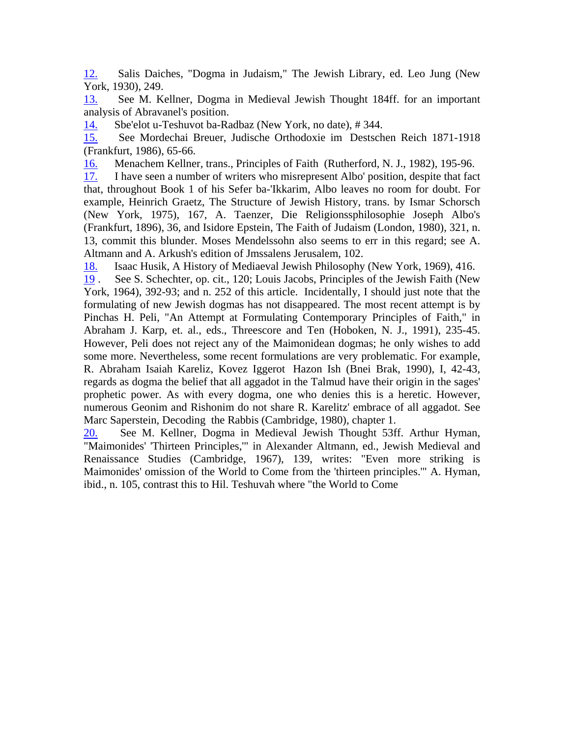12. Salis Daiches, "Dogma in Judaism," The Jewish Library, ed. Leo Jung (New York, 1930), 249.

13. See M. Kellner, Dogma in Medieval Jewish Thought 184ff. for an important analysis of Abravanel's position.

14. Sbe'elot u-Teshuvot ba-Radbaz (New York, no date), # 344.

15. See Mordechai Breuer, Judische Orthodoxie im Destschen Reich 1871-1918 (Frankfurt, 1986), 65-66.

16. Menachem Kellner, trans., Principles of Faith (Rutherford, N. J., 1982), 195-96.

17. I have seen a number of writers who misrepresent Albo' position, despite that fact that, throughout Book 1 of his Sefer ba-'Ikkarim, Albo leaves no room for doubt. For example, Heinrich Graetz, The Structure of Jewish History, trans. by Ismar Schorsch (New York, 1975), 167, A. Taenzer, Die Religionssphilosophie Joseph Albo's (Frankfurt, 1896), 36, and Isidore Epstein, The Faith of Judaism (London, 1980), 321, n. 13, commit this blunder. Moses Mendelssohn also seems to err in this regard; see A. Altmann and A. Arkush's edition of Jmssalens Jerusalem, 102.

18. Isaac Husik, A History of Mediaeval Jewish Philosophy (New York, 1969), 416.

19 . See S. Schechter, op. cit., 120; Louis Jacobs, Principles of the Jewish Faith (New York, 1964), 392-93; and n. 252 of this article. Incidentally, I should just note that the formulating of new Jewish dogmas has not disappeared. The most recent attempt is by Pinchas H. Peli, "An Attempt at Formulating Contemporary Principles of Faith," in Abraham J. Karp, et. al., eds., Threescore and Ten (Hoboken, N. J., 1991), 235-45. However, Peli does not reject any of the Maimonidean dogmas; he only wishes to add some more. Nevertheless, some recent formulations are very problematic. For example, R. Abraham Isaiah Kareliz, Kovez Iggerot Hazon Ish (Bnei Brak, 1990), I, 42-43, regards as dogma the belief that all aggadot in the Talmud have their origin in the sages' prophetic power. As with every dogma, one who denies this is a heretic. However, numerous Geonim and Rishonim do not share R. Karelitz' embrace of all aggadot. See Marc Saperstein, Decoding the Rabbis (Cambridge, 1980), chapter 1.

20. See M. Kellner, Dogma in Medieval Jewish Thought 53ff. Arthur Hyman, "Maimonides' 'Thirteen Principles,'" in Alexander Altmann, ed., Jewish Medieval and Renaissance Studies (Cambridge, 1967), 139, writes: "Even more striking is Maimonides' omission of the World to Come from the 'thirteen principles.'" A. Hyman, ibid., n. 105, contrast this to Hil. Teshuvah where "the World to Come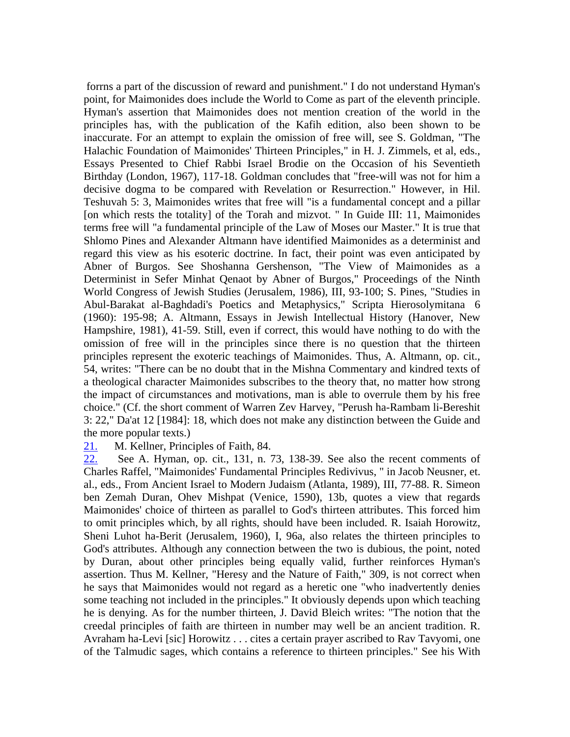forrns a part of the discussion of reward and punishment." I do not understand Hyman's point, for Maimonides does include the World to Come as part of the eleventh principle. Hyman's assertion that Maimonides does not mention creation of the world in the principles has, with the publication of the Kafih edition, also been shown to be inaccurate. For an attempt to explain the omission of free will, see S. Goldman, "The Halachic Foundation of Maimonides' Thirteen Principles," in H. J. Zimmels, et al, eds., Essays Presented to Chief Rabbi Israel Brodie on the Occasion of his Seventieth Birthday (London, 1967), 117-18. Goldman concludes that "free-will was not for him a decisive dogma to be compared with Revelation or Resurrection." However, in Hil. Teshuvah 5: 3, Maimonides writes that free will "is a fundamental concept and a pillar [on which rests the totality] of the Torah and mizvot. " In Guide III: 11, Maimonides terms free will "a fundamental principle of the Law of Moses our Master." It is true that Shlomo Pines and Alexander Altmann have identified Maimonides as a determinist and regard this view as his esoteric doctrine. In fact, their point was even anticipated by Abner of Burgos. See Shoshanna Gershenson, "The View of Maimonides as a Determinist in Sefer Minhat Qenaot by Abner of Burgos," Proceedings of the Ninth World Congress of Jewish Studies (Jerusalem, 1986), III, 93-100; S. Pines, "Studies in Abul-Barakat al-Baghdadi's Poetics and Metaphysics," Scripta Hierosolymitana 6 (1960): 195-98; A. Altmann, Essays in Jewish Intellectual History (Hanover, New Hampshire, 1981), 41-59. Still, even if correct, this would have nothing to do with the omission of free will in the principles since there is no question that the thirteen principles represent the exoteric teachings of Maimonides. Thus, A. Altmann, op. cit., 54, writes: "There can be no doubt that in the Mishna Commentary and kindred texts of a theological character Maimonides subscribes to the theory that, no matter how strong the impact of circumstances and motivations, man is able to overrule them by his free choice." (Cf. the short comment of Warren Zev Harvey, "Perush ha-Rambam li-Bereshit 3: 22," Da'at 12 [1984]: 18, which does not make any distinction between the Guide and the more popular texts.)

21. M. Kellner, Principles of Faith, 84.

22. See A. Hyman, op. cit., 131, n. 73, 138-39. See also the recent comments of Charles Raffel, "Maimonides' Fundamental Principles Redivivus, " in Jacob Neusner, et. al., eds., From Ancient Israel to Modern Judaism (Atlanta, 1989), III, 77-88. R. Simeon ben Zemah Duran, Ohev Mishpat (Venice, 1590), 13b, quotes a view that regards Maimonides' choice of thirteen as parallel to God's thirteen attributes. This forced him to omit principles which, by all rights, should have been included. R. Isaiah Horowitz, Sheni Luhot ha-Berit (Jerusalem, 1960), I, 96a, also relates the thirteen principles to God's attributes. Although any connection between the two is dubious, the point, noted by Duran, about other principles being equally valid, further reinforces Hyman's assertion. Thus M. Kellner, "Heresy and the Nature of Faith," 309, is not correct when he says that Maimonides would not regard as a heretic one "who inadvertently denies some teaching not included in the principles." It obviously depends upon which teaching he is denying. As for the number thirteen, J. David Bleich writes: "The notion that the creedal principles of faith are thirteen in number may well be an ancient tradition. R. Avraham ha-Levi [sic] Horowitz . . . cites a certain prayer ascribed to Rav Tavyomi, one of the Talmudic sages, which contains a reference to thirteen principles." See his With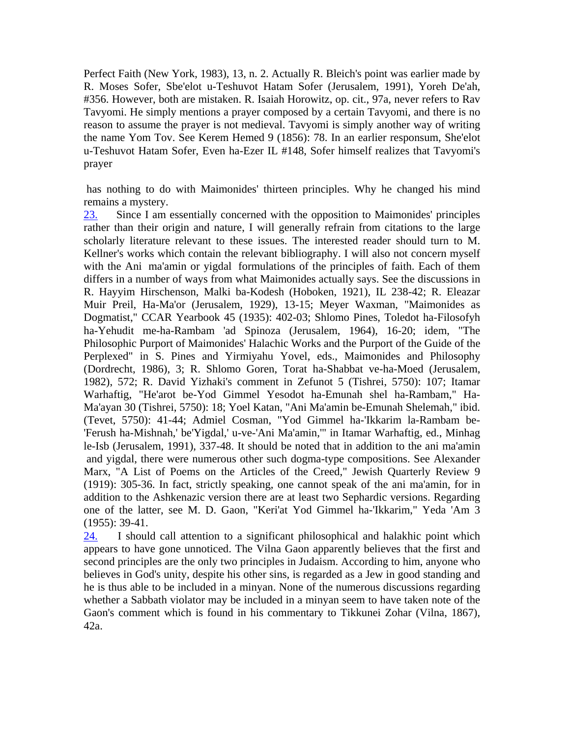Perfect Faith (New York, 1983), 13, n. 2. Actually R. Bleich's point was earlier made by R. Moses Sofer, Sbe'elot u-Teshuvot Hatam Sofer (Jerusalem, 1991), Yoreh De'ah, #356. However, both are mistaken. R. Isaiah Horowitz, op. cit., 97a, never refers to Rav Tavyomi. He simply mentions a prayer composed by a certain Tavyomi, and there is no reason to assume the prayer is not medieval. Tavyomi is simply another way of writing the name Yom Tov. See Kerem Hemed 9 (1856): 78. In an earlier responsum, She'elot u-Teshuvot Hatam Sofer, Even ha-Ezer IL #148, Sofer himself realizes that Tavyomi's prayer

 has nothing to do with Maimonides' thirteen principles. Why he changed his mind remains a mystery.

23. Since I am essentially concerned with the opposition to Maimonides' principles rather than their origin and nature, I will generally refrain from citations to the large scholarly literature relevant to these issues. The interested reader should turn to M. Kellner's works which contain the relevant bibliography. I will also not concern myself with the Ani ma'amin or yigdal formulations of the principles of faith. Each of them differs in a number of ways from what Maimonides actually says. See the discussions in R. Hayyim Hirschenson, Malki ba-Kodesh (Hoboken, 1921), IL 238-42; R. Eleazar Muir Preil, Ha-Ma'or (Jerusalem, 1929), 13-15; Meyer Waxman, "Maimonides as Dogmatist," CCAR Yearbook 45 (1935): 402-03; Shlomo Pines, Toledot ha-Filosofyh ha-Yehudit me-ha-Rambam 'ad Spinoza (Jerusalem, 1964), 16-20; idem, "The Philosophic Purport of Maimonides' Halachic Works and the Purport of the Guide of the Perplexed" in S. Pines and Yirmiyahu Yovel, eds., Maimonides and Philosophy (Dordrecht, 1986), 3; R. Shlomo Goren, Torat ha-Shabbat ve-ha-Moed (Jerusalem, 1982), 572; R. David Yizhaki's comment in Zefunot 5 (Tishrei, 5750): 107; Itamar Warhaftig, "He'arot be-Yod Gimmel Yesodot ha-Emunah shel ha-Rambam," Ha-Ma'ayan 30 (Tishrei, 5750): 18; Yoel Katan, "Ani Ma'amin be-Emunah Shelemah," ibid. (Tevet, 5750): 41-44; Admiel Cosman, "Yod Gimmel ha-'Ikkarim la-Rambam be- 'Ferush ha-Mishnah,' be'Yigdal,' u-ve-'Ani Ma'amin,'" in Itamar Warhaftig, ed., Minhag le-Isb (Jerusalem, 1991), 337-48. It should be noted that in addition to the ani ma'amin and yigdal, there were numerous other such dogma-type compositions. See Alexander Marx, "A List of Poems on the Articles of the Creed," Jewish Quarterly Review 9 (1919): 305-36. In fact, strictly speaking, one cannot speak of the ani ma'amin, for in addition to the Ashkenazic version there are at least two Sephardic versions. Regarding one of the latter, see M. D. Gaon, "Keri'at Yod Gimmel ha-'Ikkarim," Yeda 'Am 3 (1955): 39-41.

24. I should call attention to a significant philosophical and halakhic point which appears to have gone unnoticed. The Vilna Gaon apparently believes that the first and second principles are the only two principles in Judaism. According to him, anyone who believes in God's unity, despite his other sins, is regarded as a Jew in good standing and he is thus able to be included in a minyan. None of the numerous discussions regarding whether a Sabbath violator may be included in a minyan seem to have taken note of the Gaon's comment which is found in his commentary to Tikkunei Zohar (Vilna, 1867), 42a.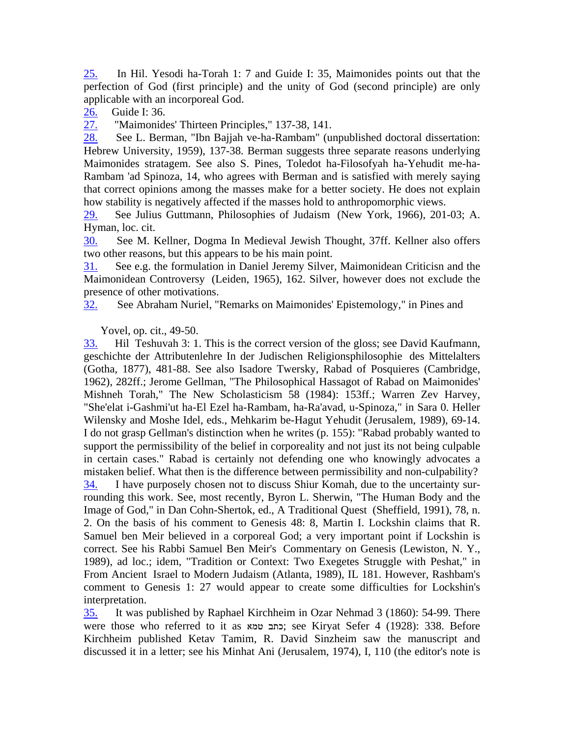25. In Hil. Yesodi ha-Torah 1: 7 and Guide I: 35, Maimonides points out that the perfection of God (first principle) and the unity of God (second principle) are only applicable with an incorporeal God.

26. Guide I: 36.

27. "Maimonides' Thirteen Principles," 137-38, 141.

28. See L. Berman, "Ibn Bajjah ve-ha-Rambam" (unpublished doctoral dissertation: Hebrew University, 1959), 137-38. Berman suggests three separate reasons underlying Maimonides stratagem. See also S. Pines, Toledot ha-Filosofyah ha-Yehudit me-ha-Rambam 'ad Spinoza, 14, who agrees with Berman and is satisfied with merely saying that correct opinions among the masses make for a better society. He does not explain how stability is negatively affected if the masses hold to anthropomorphic views.

29. See Julius Guttmann, Philosophies of Judaism (New York, 1966), 201-03; A. Hyman, loc. cit.

30. See M. Kellner, Dogma In Medieval Jewish Thought, 37ff. Kellner also offers two other reasons, but this appears to be his main point.

31. See e.g. the formulation in Daniel Jeremy Silver, Maimonidean Criticisn and the Maimonidean Controversy (Leiden, 1965), 162. Silver, however does not exclude the presence of other motivations.

32. See Abraham Nuriel, "Remarks on Maimonides' Epistemology," in Pines and

Yovel, op. cit., 49-50.

33. Hil Teshuvah 3: 1. This is the correct version of the gloss; see David Kaufmann, geschichte der Attributenlehre In der Judischen Religionsphilosophie des Mittelalters (Gotha, 1877), 481-88. See also Isadore Twersky, Rabad of Posquieres (Cambridge, 1962), 282ff.; Jerome Gellman, "The Philosophical Hassagot of Rabad on Maimonides' Mishneh Torah," The New Scholasticism 58 (1984): 153ff.; Warren Zev Harvey, "She'elat i-Gashmi'ut ha-El Ezel ha-Rambam, ha-Ra'avad, u-Spinoza," in Sara 0. Heller Wilensky and Moshe Idel, eds., Mehkarim be-Hagut Yehudit (Jerusalem, 1989), 69-14. I do not grasp Gellman's distinction when he writes (p. 155): "Rabad probably wanted to support the permissibility of the belief in corporeality and not just its not being culpable in certain cases." Rabad is certainly not defending one who knowingly advocates a mistaken belief. What then is the difference between permissibility and non-culpability? 34. I have purposely chosen not to discuss Shiur Komah, due to the uncertainty surrounding this work. See, most recently, Byron L. Sherwin, "The Human Body and the Image of God," in Dan Cohn-Shertok, ed., A Traditional Quest (Sheffield, 1991), 78, n. 2. On the basis of his comment to Genesis 48: 8, Martin I. Lockshin claims that R. Samuel ben Meir believed in a corporeal God; a very important point if Lockshin is correct. See his Rabbi Samuel Ben Meir's Commentary on Genesis (Lewiston, N. Y., 1989), ad loc.; idem, "Tradition or Context: Two Exegetes Struggle with Peshat," in From Ancient Israel to Modern Judaism (Atlanta, 1989), IL 181. However, Rashbam's comment to Genesis 1: 27 would appear to create some difficulties for Lockshin's interpretation.

35. It was published by Raphael Kirchheim in Ozar Nehmad 3 (1860): 54-99. There were those who referred to it as כתב טמא; see Kiryat Sefer 4 (1928): 338. Before Kirchheim published Ketav Tamim, R. David Sinzheim saw the manuscript and discussed it in a letter; see his Minhat Ani (Jerusalem, 1974), I, 110 (the editor's note is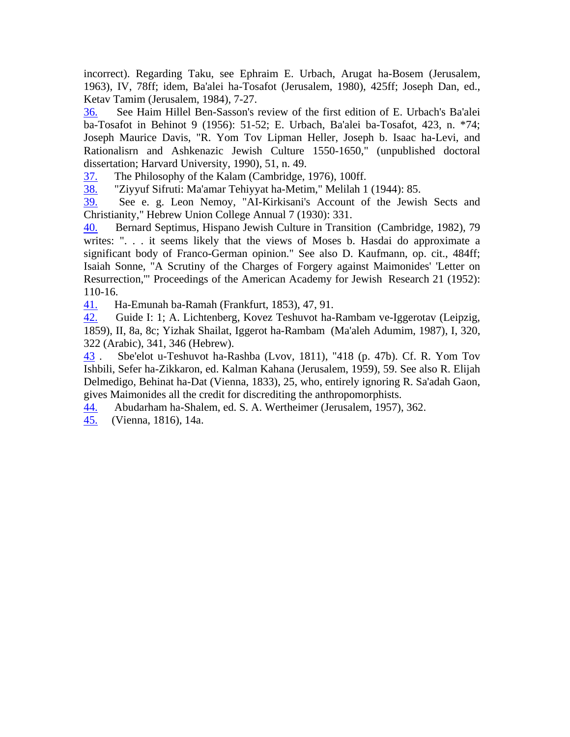incorrect). Regarding Taku, see Ephraim E. Urbach, Arugat ha-Bosem (Jerusalem, 1963), IV, 78ff; idem, Ba'alei ha-Tosafot (Jerusalem, 1980), 425ff; Joseph Dan, ed., Ketav Tamim (Jerusalem, 1984), 7-27.

36. See Haim Hillel Ben-Sasson's review of the first edition of E. Urbach's Ba'alei ba-Tosafot in Behinot 9 (1956): 51-52; E. Urbach, Ba'alei ba-Tosafot, 423, n. \*74; Joseph Maurice Davis, "R. Yom Tov Lipman Heller, Joseph b. Isaac ha-Levi, and Rationalisrn and Ashkenazic Jewish Culture 1550-1650," (unpublished doctoral dissertation; Harvard University, 1990), 51, n. 49.

37. The Philosophy of the Kalam (Cambridge, 1976), 100ff.

38. "Ziyyuf Sifruti: Ma'amar Tehiyyat ha-Metim," Melilah 1 (1944): 85.

39. See e. g. Leon Nemoy, "AI-Kirkisani's Account of the Jewish Sects and Christianity," Hebrew Union College Annual 7 (1930): 331.

40. Bernard Septimus, Hispano Jewish Culture in Transition (Cambridge, 1982), 79 writes: ". . . it seems likely that the views of Moses b. Hasdai do approximate a significant body of Franco-German opinion." See also D. Kaufmann, op. cit., 484ff; Isaiah Sonne, "A Scrutiny of the Charges of Forgery against Maimonides' 'Letter on Resurrection,'" Proceedings of the American Academy for Jewish Research 21 (1952): 110-16.

41. Ha-Emunah ba-Ramah (Frankfurt, 1853), 47, 91.

42. Guide I: 1; A. Lichtenberg, Kovez Teshuvot ha-Rambam ve-Iggerotav (Leipzig, 1859), II, 8a, 8c; Yizhak Shailat, Iggerot ha-Rambam (Ma'aleh Adumim, 1987), I, 320, 322 (Arabic), 341, 346 (Hebrew).

43 . Sbe'elot u-Teshuvot ha-Rashba (Lvov, 1811), "418 (p. 47b). Cf. R. Yom Tov Ishbili, Sefer ha-Zikkaron, ed. Kalman Kahana (Jerusalem, 1959), 59. See also R. Elijah Delmedigo, Behinat ha-Dat (Vienna, 1833), 25, who, entirely ignoring R. Sa'adah Gaon, gives Maimonides all the credit for discrediting the anthropomorphists.

44. Abudarham ha-Shalem, ed. S. A. Wertheimer (Jerusalem, 1957), 362.

45. (Vienna, 1816), 14a.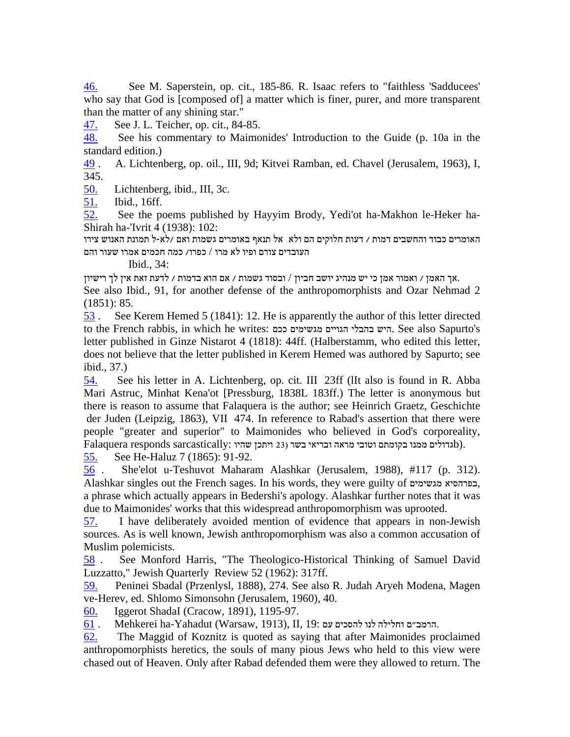46. See M. Saperstein, op. cit., 185-86. R. Isaac refers to "faithless 'Sadducees' who say that God is [composed of] a matter which is finer, purer, and more transparent than the matter of any shining star."

47. See J. L. Teicher, op. cit., 84-85.

48. See his commentary to Maimonides' Introduction to the Guide (p. 10a in the standard edition.)

49 . A. Lichtenberg, op. oil., III, 9d; Kitvei Ramban, ed. Chavel (Jerusalem, 1963), I, 345.

50. Lichtenberg, ibid., III, 3c.

51. Ibid., 16ff.

52. See the poems published by Hayyim Brody, Yedi'ot ha-Makhon le-Heker ha-Shirah ha-'Ivrit 4 (1938): 102:

האומרים כבוד והחשבים דמות / דעות חלוקים הם ולא אל תנאף באומרים גשמות ואם /לא-ל תמונת האנוש צירו העובדים צורם ופיו לא מרו / כפרו/ כמה חכמים אמרו שעור והם

Ibid., 34:

.אך האמן / ואמור אמן כי יש מנהיג יושב חביון / ובסוד גשמות / אם הוא בדמות / לדעת זאת אין לך רישיון

See also Ibid., 91, for another defense of the anthropomorphists and Ozar Nehmad 2 (1851): 85.

53 . See Kerem Hemed 5 (1841): 12. He is apparently the author of this letter directed to the French rabbis, in which he writes: ככם מגשימים הגויים בהבלי היש. See also Sapurto's letter published in Ginze Nistarot 4 (1818): 44ff. (Halberstamm, who edited this letter, does not believe that the letter published in Kerem Hemed was authored by Sapurto; see ibid., 37.)

54. See his letter in A. Lichtenberg, op. cit. III 23ff (lIt also is found in R. Abba Mari Astruc, Minhat Kena'ot [Pressburg, 1838L 183ff.) The letter is anonymous but there is reason to assume that Falaquera is the author; see Heinrich Graetz, Geschichte der Juden (Leipzig, 1863), VII 474. In reference to Rabad's assertion that there were people "greater and superior" to Maimonides who believed in God's corporeality, Falaquera responds sarcastically: וואהדולים ממנו בקומתם וטובי מראה ובריאי בשר (23 ויתכן שהיו $\rm{b)}$ .

55. See He-Haluz 7 (1865): 91-92.

56 . She'elot u-Teshuvot Maharam Alashkar (Jerusalem, 1988), #117 (p. 312). Alashkar singles out the French sages. In his words, they were guilty of מגשימים בפרהסיא, a phrase which actually appears in Bedershi's apology. Alashkar further notes that it was due to Maimonides' works that this widespread anthropomorphism was uprooted.

57. I have deliberately avoided mention of evidence that appears in non-Jewish sources. As is well known, Jewish anthropomorphism was also a common accusation of Muslim polemicists.

58 . See Monford Harris, "The Theologico-Historical Thinking of Samuel David Luzzatto," Jewish Quarterly Review 52 (1962): 317ff.

59. Peninei Sbadal (Przenlysl, 1888), 274. See also R. Judah Aryeh Modena, Magen ve-Herev, ed. Shlomo Simonsohn (Jerusalem, 1960), 40.

60. Iggerot ShadaI (Cracow, 1891), 1195-97.

. הרמב"ם וחלילה לנו להסכים עם 19: 1, II, 19. הרמב"ם וחלילה לנו להסכים עם 15.  $\,$ II, 19

62. The Maggid of Koznitz is quoted as saying that after Maimonides proclaimed anthropomorphists heretics, the souls of many pious Jews who held to this view were chased out of Heaven. Only after Rabad defended them were they allowed to return. The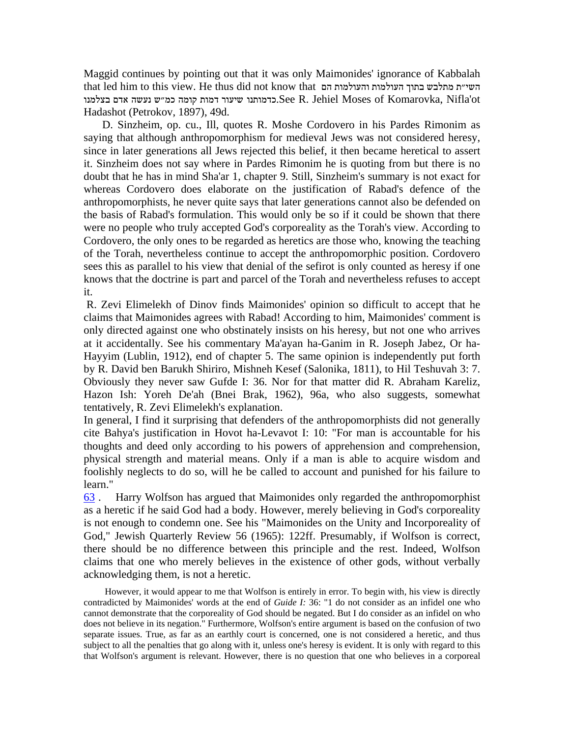Maggid continues by pointing out that it was only Maimonides' ignorance of Kabbalah that led him to this view. He thus did not know that השי״ת מתלבש בתוך העולמות והעולמות ה ot'Nifla ,Komarovka of Moses Jehiel .R See.כדמותנו שיעור דמות קומה כמ"ש נעשה אדם בצלמנו Hadashot (Petrokov, 1897), 49d.

 D. Sinzheim, op. cu., Ill, quotes R. Moshe Cordovero in his Pardes Rimonim as saying that although anthropomorphism for medieval Jews was not considered heresy, since in later generations all Jews rejected this belief, it then became heretical to assert it. Sinzheim does not say where in Pardes Rimonim he is quoting from but there is no doubt that he has in mind Sha'ar 1, chapter 9. Still, Sinzheim's summary is not exact for whereas Cordovero does elaborate on the justification of Rabad's defence of the anthropomorphists, he never quite says that later generations cannot also be defended on the basis of Rabad's formulation. This would only be so if it could be shown that there were no people who truly accepted God's corporeality as the Torah's view. According to Cordovero, the only ones to be regarded as heretics are those who, knowing the teaching of the Torah, nevertheless continue to accept the anthropomorphic position. Cordovero sees this as parallel to his view that denial of the sefirot is only counted as heresy if one knows that the doctrine is part and parcel of the Torah and nevertheless refuses to accept it.

 R. Zevi Elimelekh of Dinov finds Maimonides' opinion so difficult to accept that he claims that Maimonides agrees with Rabad! According to him, Maimonides' comment is only directed against one who obstinately insists on his heresy, but not one who arrives at it accidentally. See his commentary Ma'ayan ha-Ganim in R. Joseph Jabez, Or ha-Hayyim (Lublin, 1912), end of chapter 5. The same opinion is independently put forth by R. David ben Barukh Shiriro, Mishneh Kesef (Salonika, 1811), to Hil Teshuvah 3: 7. Obviously they never saw Gufde I: 36. Nor for that matter did R. Abraham Kareliz, Hazon Ish: Yoreh De'ah (Bnei Brak, 1962), 96a, who also suggests, somewhat tentatively, R. Zevi Elimelekh's explanation.

In general, I find it surprising that defenders of the anthropomorphists did not generally cite Bahya's justification in Hovot ha-Levavot I: 10: "For man is accountable for his thoughts and deed only according to his powers of apprehension and comprehension, physical strength and material means. Only if a man is able to acquire wisdom and foolishly neglects to do so, will he be called to account and punished for his failure to learn."

63 . Harry Wolfson has argued that Maimonides only regarded the anthropomorphist as a heretic if he said God had a body. However, merely believing in God's corporeality is not enough to condemn one. See his "Maimonides on the Unity and Incorporeality of God," Jewish Quarterly Review 56 (1965): 122ff. Presumably, if Wolfson is correct, there should be no difference between this principle and the rest. Indeed, Wolfson claims that one who merely believes in the existence of other gods, without verbally acknowledging them, is not a heretic.

However, it would appear to me that Wolfson is entirely in error. To begin with, his view is directly contradicted by Maimonides' words at the end of *Guide I:* 36: "1 do not consider as an infidel one who cannot demonstrate that the corporeality of God should be negated. But I do consider as an infidel on who does not believe in its negation." Furthermore, Wolfson's entire argument is based on the confusion of two separate issues. True, as far as an earthly court is concerned, one is not considered a heretic, and thus subject to all the penalties that go along with it, unless one's heresy is evident. It is only with regard to this that Wolfson's argument is relevant. However, there is no question that one who believes in a corporeal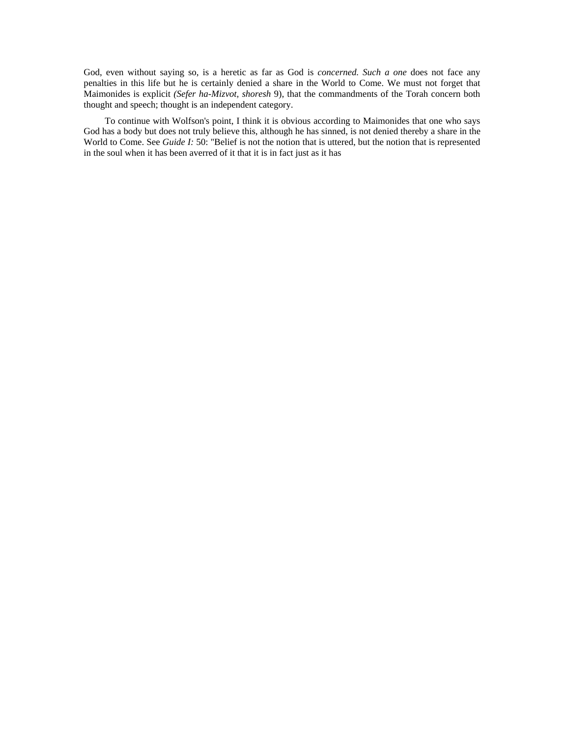God, even without saying so, is a heretic as far as God is *concerned. Such a one* does not face any penalties in this life but he is certainly denied a share in the World to Come. We must not forget that Maimonides is explicit *(Sefer ha-Mizvot, shoresh* 9), that the commandments of the Torah concern both thought and speech; thought is an independent category.

To continue with Wolfson's point, I think it is obvious according to Maimonides that one who says God has a body but does not truly believe this, although he has sinned, is not denied thereby a share in the World to Come. See *Guide I:* 50: "Belief is not the notion that is uttered, but the notion that is represented in the soul when it has been averred of it that it is in fact just as it has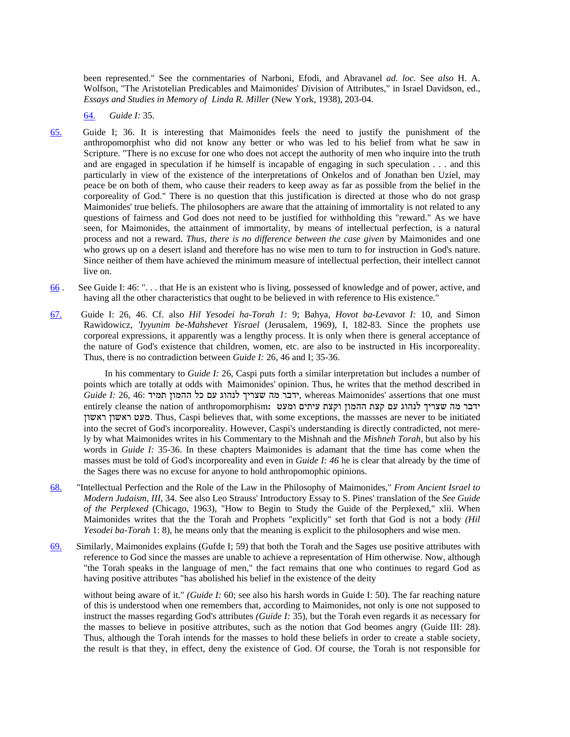been represented." See the cornmentaries of Narboni, Efodi, and Abravanel *ad. loc.* See *also* H. A. Wolfson, "The Aristotelian Predicables and Maimonides' Division of Attributes," in Israel Davidson, ed., *Essays and Studies in Memory of Linda R. Miller* (New York, 1938), 203-04.

64. *Guide I:* 35.

- 65. Guide I; 36. It is interesting that Maimonides feels the need to justify the punishment of the anthropomorphist who did not know any better or who was led to his belief from what he saw in Scripture. "There is no excuse for one who does not accept the authority of men who inquire into the truth and are engaged in speculation if he himself is incapable of engaging in such speculation . . . and this particularly in view of the existence of the interpretations of Onkelos and of Jonathan ben Uziel, may peace be on both of them, who cause their readers to keep away as far as possible from the belief in the corporeality of God." There is no question that this justification is directed at those who do not grasp Maimonides' true beliefs. The philosophers are aware that the attaining of immortality is not related to any questions of fairness and God does not need to be justified for withholding this "reward." As we have seen, for Maimonides, the attainment of immortality, by means of intellectual perfection, is a natural process and not a reward. *Thus, there is no difference between the case given* by Maimonides and one who grows up on a desert island and therefore has no wise men to turn to for instruction in God's nature. Since neither of them have achieved the minimum measure of intellectual perfection, their intellect cannot live on.
- 66 . See Guide I: 46: ". . . that He is an existent who is living, possessed of knowledge and of power, active, and having all the other characteristics that ought to be believed in with reference to His existence."
- 67. Guide I: 26, 46. Cf. also *Hil Yesodei ha-Torah 1:* 9; Bahya, *Hovot ba-Levavot I:* 10, and Simon Rawidowicz, *'Iyyunim be-Mahshevet Yisrael* (Jerusalem, 1969), I, 182-83. Since the prophets use corporeal expressions, it apparently was a lengthy process. It is only when there is general acceptance of the nature of God's existence that children, women, etc. are also to be instructed in His incorporeality. Thus, there is no contradiction between *Guide I:* 26, 46 and I; 35-36.

In his commentary to *Guide I:* 26, Caspi puts forth a similar interpretation but includes a number of points which are totally at odds with Maimonides' opinion. Thus, he writes that the method described in must one that assertions' Maimonides whereas ,ידבר מה שצריך לנהוג עם כל ההמון תמיד 46: 26, *:I Guide* ידבר מה שצריך לנהוג עם קצת ההמון וקצת עיתים ומעט **:**anthropomorphism of nation the cleanse entirely ראשון ראשון מעט. Thus, Caspi believes that, with some exceptions, the massses are never to be initiated into the secret of God's incorporeality. However, Caspi's understanding is directly contradicted, not merely by what Maimonides writes in his Commentary to the Mishnah and the *Mishneh Torah,* but also by his words in *Guide I:* 35-36. In these chapters Maimonides is adamant that the time has come when the masses must be told of God's incorporeality and even in *Guide I: 46* he is clear that already by the time of the Sages there was no excuse for anyone to hold anthropomophic opinions.

- 68. "Intellectual Perfection and the Role of the Law in the Philosophy of Maimonides," *From Ancient Israel to Modern Judaism, III,* 34. See also Leo Strauss' Introductory Essay to S. Pines' translation of the *See Guide of the Perplexed* (Chicago, 1963), "How to Begin to Study the Guide of the Perplexed," xlii. When Maimonides writes that the the Torah and Prophets "explicitly" set forth that God is not a body *(Hil Yesodei ba-Torah* 1: 8), he means only that the meaning is explicit to the philosophers and wise men.
- 69. Similarly, Maimonides explains (Gufde I; 59) that both the Torah and the Sages use positive attributes with reference to God since the masses are unable to achieve a representation of Him otherwise. Now, although "the Torah speaks in the language of men," the fact remains that one who continues to regard God as having positive attributes "has abolished his belief in the existence of the deity

without being aware of it." *(Guide I: 60; see also his harsh words in Guide I: 50)*. The far reaching nature of this is understood when one remembers that, according to Maimonides, not only is one not supposed to instruct the masses regarding God's attributes *(Guide I:* 35), but the Torah even regards it as necessary for the masses to believe in positive attributes, such as the notion that God beomes angry (Guide III: 28). Thus, although the Torah intends for the masses to hold these beliefs in order to create a stable society, the result is that they, in effect, deny the existence of God. Of course, the Torah is not responsible for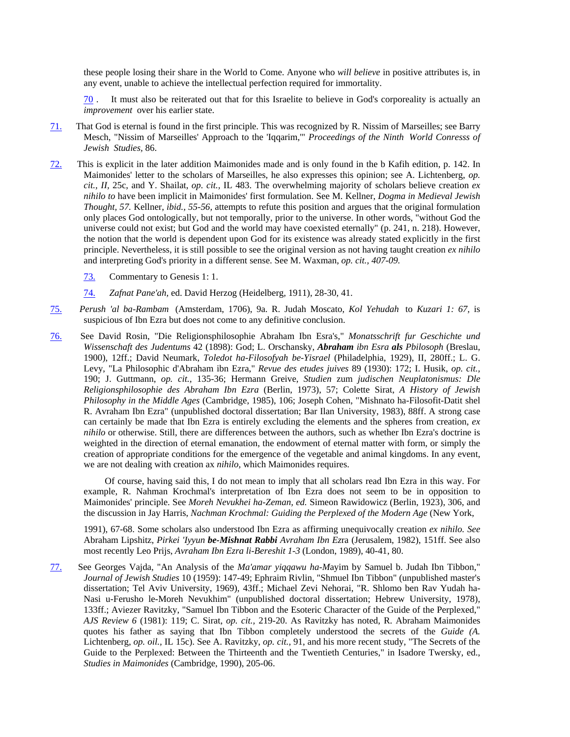these people losing their share in the World to Come. Anyone who *will believe* in positive attributes is, in any event, unable to achieve the intellectual perfection required for immortality.

70 . It must also be reiterated out that for this Israelite to believe in God's corporeality is actually an *improvement* over his earlier state.

- 71. That God is eternal is found in the first principle. This was recognized by R. Nissim of Marseilles; see Barry Mesch, "Nissim of Marseilles' Approach to the 'Iqqarim,'" *Proceedings of the Ninth World Conresss of Jewish Studies,* 86.
- 72. This is explicit in the later addition Maimonides made and is only found in the b Kafih edition, p. 142. In Maimonides' letter to the scholars of Marseilles, he also expresses this opinion; see A. Lichtenberg, *op. cit., II,* 25c, and Y. Shailat, *op. cit.,* IL 483. The overwhelming majority of scholars believe creation *ex nihilo to* have been implicit in Maimonides' first formulation. See M. Kellner, *Dogma in Medieval Jewish Thought, 57.* Kellner, *ibid., 55-56,* attempts to refute this position and argues that the original formulation only places God ontologically, but not temporally, prior to the universe. In other words, "without God the universe could not exist; but God and the world may have coexisted eternally" (p. 241, n. 218). However, the notion that the world is dependent upon God for its existence was already stated explicitly in the first principle. Nevertheless, it is still possible to see the original version as not having taught creation *ex nihilo* and interpreting God's priority in a different sense. See M. Waxman, *op. cit., 407-09.*
	- 73. Commentary to Genesis 1: 1.
	- 74. *Zafnat Pane'ah,* ed. David Herzog (Heidelberg, 1911), 28-30, 41.
- 75. *Perush 'al ba-Rambam* (Amsterdam, 1706), 9a. R. Judah Moscato, *Kol Yehudah* to *Kuzari 1: 67,* is suspicious of Ibn Ezra but does not come to any definitive conclusion.
- 76. See David Rosin, "Die Religionsphilosophie Abraham Ibn Esra's," *Monatsschrift fur Geschichte und Wissenschaft des Judentums* 42 (1898): God; L. Orschansky, *Abraham ibn Esra als Pbilosoph* (Breslau, 1900), 12ff.; David Neumark, *Toledot ha-Filosofyah be-Yisrael* (Philadelphia, 1929), II, 280ff.; L. G. Levy, "La Philosophic d'Abraham ibn Ezra," *Revue des etudes juives* 89 (1930): 172; I. Husik, *op. cit.,* 190; J. Guttmann, *op. cit.,* 135-36; Hermann Greive, *Studien* zum *judischen Neuplatonismus: Dle Religionsphilosophie des Abraham Ibn Ezra* (Berlin, 1973), 57; Colette Sirat, *A History of Jewish Philosophy in the Middle Ages* (Cambridge, 1985), 106; Joseph Cohen, "Mishnato ha-Filosofit-Datit shel R. Avraham Ibn Ezra" (unpublished doctoral dissertation; Bar Ilan University, 1983), 88ff. A strong case can certainly be made that Ibn Ezra is entirely excluding the elements and the spheres from creation, *ex nihilo* or otherwise. Still, there are differences between the authors, such as whether Ibn Ezra's doctrine is weighted in the direction of eternal emanation, the endowment of eternal matter with form, or simply the creation of appropriate conditions for the emergence of the vegetable and animal kingdoms. In any event, we are not dealing with creation ax *nihilo,* which Maimonides requires.

Of course, having said this, I do not mean to imply that all scholars read Ibn Ezra in this way. For example, R. Nahman Krochmal's interpretation of Ibn Ezra does not seem to be in opposition to Maimonides' principle. See *Moreh Nevukhei ha-Zeman, ed.* Simeon Rawidowicz (Berlin, 1923), 306, and the discussion in Jay Harris, *Nachman Krochmal: Guiding the Perplexed of the Modern Age* (New York,

1991), 67-68. Some scholars also understood Ibn Ezra as affirming unequivocally creation *ex nihilo. See* Abraham Lipshitz, *Pirkei 'Iyyun be-Mishnat Rabbi Avraham Ibn Ez*ra (Jerusalem, 1982), 151ff. See also most recently Leo Prijs, *Avraham Ibn Ezra li-Bereshit 1-3* (London, 1989), 40-41, 80.

77. See Georges Vajda, "An Analysis of the *Ma'amar yiqqawu ha-M*ayim by Samuel b. Judah Ibn Tibbon," *Journal of Jewish Studies* 10 (1959): 147-49; Ephraim Rivlin, "Shmuel Ibn Tibbon" (unpublished master's dissertation; Tel Aviv University, 1969), 43ff.; Michael Zevi Nehorai, "R. Shlomo ben Rav Yudah ha-Nasi u-Ferusho le-Moreh Nevukhim" (unpublished doctoral dissertation; Hebrew University, 1978), 133ff.; Aviezer Ravitzky, "Samuel Ibn Tibbon and the Esoteric Character of the Guide of the Perplexed," *AJS Review 6* (1981): 119; C. Sirat, *op. cit.,* 219-20. As Ravitzky has noted, R. Abraham Maimonides quotes his father as saying that Ibn Tibbon completely understood the secrets of the *Guide (A.* Lichtenberg, *op. oil.,* IL 15c). See A. Ravitzky, *op. cit.,* 91, and his more recent study, "The Secrets of the Guide to the Perplexed: Between the Thirteenth and the Twentieth Centuries," in Isadore Twersky, ed., *Studies in Maimonides* (Cambridge, 1990), 205-06.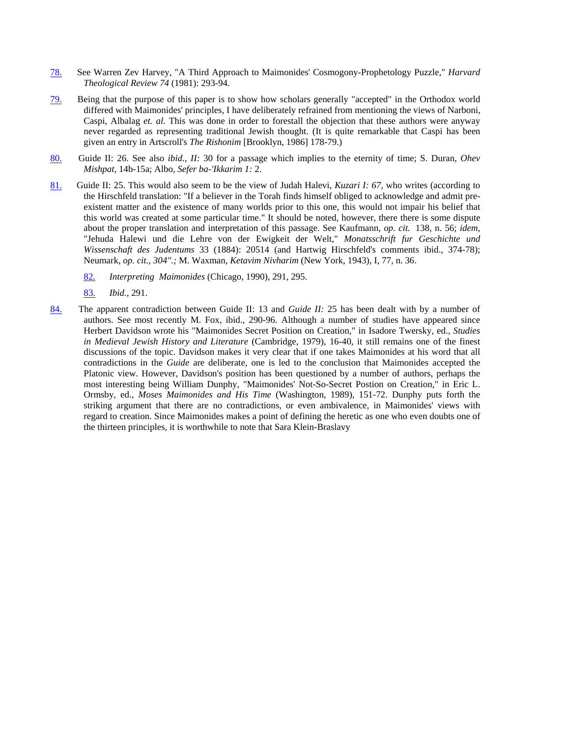- 78. See Warren Zev Harvey, "A Third Approach to Maimonides' Cosmogony-Prophetology Puzzle," *Harvard Theological Review 74* (1981): 293-94.
- 79. Being that the purpose of this paper is to show how scholars generally "accepted" in the Orthodox world differed with Maimonides' principles, I have deliberately refrained from mentioning the views of Narboni, Caspi, Albalag *et. al.* This was done in order to forestall the objection that these authors were anyway never regarded as representing traditional Jewish thought. (It is quite remarkable that Caspi has been given an entry in Artscroll's *The Rishonim* [Brooklyn, 1986] 178-79.)
- 80. Guide II: 26. See also *ibid., II:* 30 for a passage which implies to the eternity of time; S. Duran, *Ohev Mishpat,* 14b-15a; Albo, *Sefer ba-'Ikkarim 1:* 2.
- 81. Guide II: 25. This would also seem to be the view of Judah Halevi, *Kuzari I: 67,* who writes (according to the Hirschfeld translation: "If a believer in the Torah finds himself obliged to acknowledge and admit preexistent matter and the existence of many worlds prior to this one, this would not impair his belief that this world was created at some particular time." It should be noted, however, there there is some dispute about the proper translation and interpretation of this passage. See Kaufmann, *op. cit.* 138, n. 56; *idem,* "Jehuda Halewi und die Lehre von der Ewigkeit der Welt," *Monatsschrift fur Geschichte und Wissenschaft des Judentums* 33 (1884): 20514 (and Hartwig Hirschfeld's comments ibid., 374-78); Neumark, *op. cit., 304".;* M. Waxman, *Ketavim Nivharim* (New York, 1943), I, 77, n. 36.
	- 82. *Interpreting Maimonides* (Chicago, 1990), 291, 295.
	- 83. *Ibid.,* 291.
- 84. The apparent contradiction between Guide II: 13 and *Guide II:* 25 has been dealt with by a number of authors. See most recently M. Fox, ibid., 290-96. Although a number of studies have appeared since Herbert Davidson wrote his "Maimonides Secret Position on Creation," in Isadore Twersky, ed., *Studies in Medieval Jewish History and Literature* (Cambridge, 1979), 16-40, it still remains one of the finest discussions of the topic. Davidson makes it very clear that if one takes Maimonides at his word that all contradictions in the *Guide* are deliberate, one is led to the conclusion that Maimonides accepted the Platonic view. However, Davidson's position has been questioned by a number of authors, perhaps the most interesting being William Dunphy, "Maimonides' Not-So-Secret Postion on Creation," in Eric L. Ormsby, ed., *Moses Maimonides and His Time* (Washington, 1989), 151-72. Dunphy puts forth the striking argument that there are no contradictions, or even ambivalence, in Maimonides' views with regard to creation. Since Maimonides makes a point of defining the heretic as one who even doubts one of the thirteen principles, it is worthwhile to note that Sara Klein-Braslavy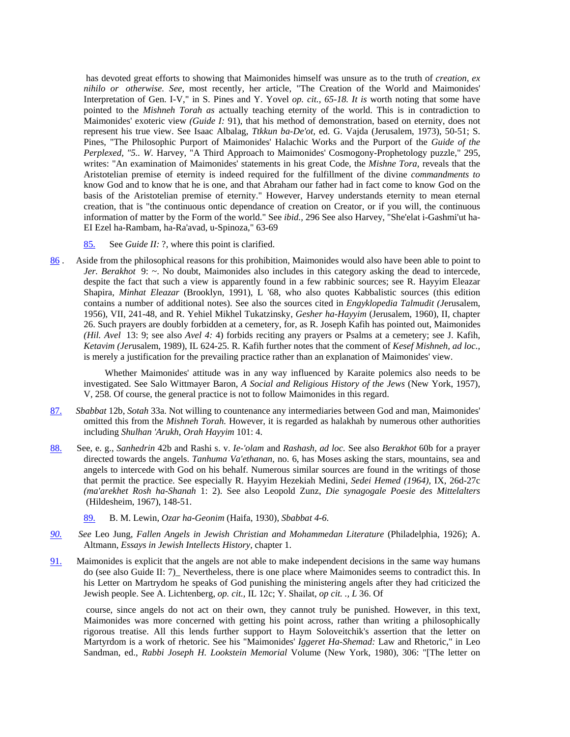has devoted great efforts to showing that Maimonides himself was unsure as to the truth of *creation, ex nihilo or otherwise. See,* most recently, her article, "The Creation of the World and Maimonides' Interpretation of Gen. I-V," in S. Pines and Y. Yovel *op. cit., 65-18. It is* worth noting that some have pointed to the *Mishneh Torah as* actually teaching eternity of the world. This is in contradiction to Maimonides' exoteric view *(Guide I:* 91), that his method of demonstration, based on eternity, does not represent his true view. See Isaac Albalag, *Ttkkun ba-De'ot,* ed. G. Vajda (Jerusalem, 1973), 50-51; S. Pines, "The Philosophic Purport of Maimonides' Halachic Works and the Purport of the *Guide of the Perplexed, "5.. W.* Harvey, "A Third Approach to Maimonides' Cosmogony-Prophetology puzzle," 295, writes: "An examination of Maimonides' statements in his great Code, the *Mishne Tora,* reveals that the Aristotelian premise of eternity is indeed required for the fulfillment of the divine *commandments to* know God and to know that he is one, and that Abraham our father had in fact come to know God on the basis of the Aristotelian premise of eternity." However, Harvey understands eternity to mean eternal creation, that is "the continuous ontic dependance of creation on Creator, or if you will, the continuous information of matter by the Form of the world." See *ibid.,* 296 See also Harvey, "She'elat i-Gashmi'ut ha-EI Ezel ha-Rambam, ha-Ra'avad, u-Spinoza," 63-69

- 85. See *Guide II:* ?, where this point is clarified.
- 86 . Aside from the philosophical reasons for this prohibition, Maimonides would also have been able to point to *Jer. Berakhot* 9:  $\sim$ . No doubt, Maimonides also includes in this category asking the dead to intercede, despite the fact that such a view is apparently found in a few rabbinic sources; see R. Hayyim Eleazar Shapira, *Minhat Eleazar* (Brooklyn, 1991), L '68, who also quotes Kabbalistic sources (this edition contains a number of additional notes). See also the sources cited in *Engyklopedia Talmudit (J*erusalem, 1956), VII, 241-48, and R. Yehiel Mikhel Tukatzinsky, *Gesher ha-Hayyim* (Jerusalem, 1960), II, chapter 26. Such prayers are doubly forbidden at a cemetery, for, as R. Joseph Kafih has pointed out, Maimonides *(Hil. Avel* 13: 9; see also *Avel 4:* 4) forbids reciting any prayers or Psalms at a cemetery; see J. Kafih, *Ketavim (Jer*usalem, 1989), IL 624-25. R. Kafih further notes that the comment of *Kesef Mishneh, ad loc.,* is merely a justification for the prevailing practice rather than an explanation of Maimonides' view.

Whether Maimonides' attitude was in any way influenced by Karaite polemics also needs to be investigated. See Salo Wittmayer Baron, *A Social and Religious History of the Jews* (New York, 1957), V, 258. Of course, the general practice is not to follow Maimonides in this regard.

- 87. *Sbabbat* 12b, *Sotah* 33a. Not willing to countenance any intermediaries between God and man, Maimonides' omitted this from the *Mishneh Torah.* However, it is regarded as halakhah by numerous other authorities including *Shulhan 'Arukh, Orah Hayyim* 101: 4.
- 88. See, e. g., *Sanhedrin* 42b and Rashi s. v. *Ie-'olam* and *Rashash, ad loc.* See also *Berakhot* 60b for a prayer directed towards the angels. *Tanhuma Va'ethanan,* no. 6, has Moses asking the stars, mountains, sea and angels to intercede with God on his behalf. Numerous similar sources are found in the writings of those that permit the practice. See especially R. Hayyim Hezekiah Medini, *Sedei Hemed (1964),* IX, 26d-27c *(ma'arekhet Rosh ha-Shanah* 1: 2). See also Leopold Zunz, *Die synagogale Poesie des Mittelalters*  (Hildesheim, 1967), 148-51.
	- 89. B. M. Lewin, *Ozar ha-Geonim* (Haifa, 1930), *Sbabbat 4-6.*
- *90. See* Leo Jung, *Fallen Angels in Jewish Christian and Mohammedan Literature* (Philadelphia, 1926); A. Altmann, *Essays in Jewish Intellects History,* chapter 1.
- 91. Maimonides is explicit that the angels are not able to make independent decisions in the same way humans do (see also Guide II: 7)\_ Nevertheless, there is one place where Maimonides seems to contradict this. In his Letter on Martrydom he speaks of God punishing the ministering angels after they had criticized the Jewish people. See A. Lichtenberg, *op. cit.,* IL 12c; Y. Shailat, *op cit. ., L* 36. Of

 course, since angels do not act on their own, they cannot truly be punished. However, in this text, Maimonides was more concerned with getting his point across, rather than writing a philosophically rigorous treatise. All this lends further support to Haym Soloveitchik's assertion that the letter on Martyrdom is a work of rhetoric. See his "Maimonides' *Iggeret Ha-Shemad:* Law and Rhetoric," in Leo Sandman, ed., *Rabbi Joseph H. Lookstein Memorial* Volume (New York, 1980), 306: "[The letter on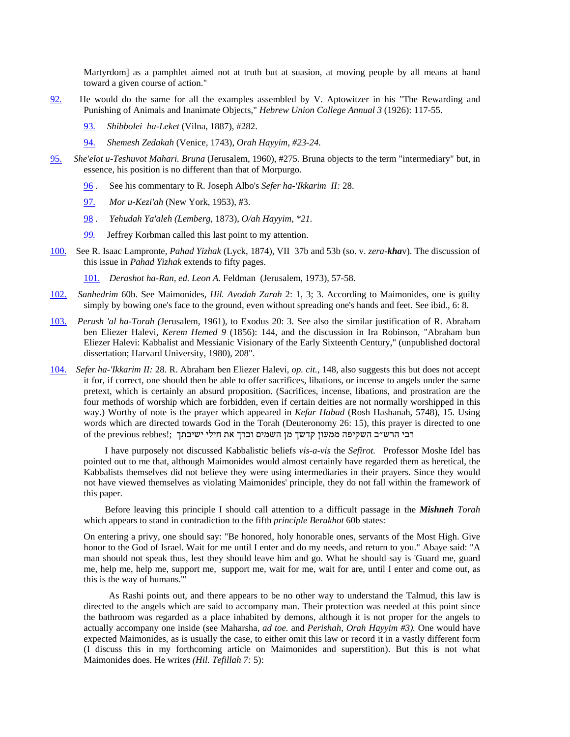Martyrdom] as a pamphlet aimed not at truth but at suasion, at moving people by all means at hand toward a given course of action."

- 92. He would do the same for all the examples assembled by V. Aptowitzer in his "The Rewarding and Punishing of Animals and Inanimate Objects," *Hebrew Union College Annual 3* (1926): 117-55.
	- 93. *Shibbolei ha-Leket* (Vilna, 1887), #282.
	- 94. *Shemesh Zedakah* (Venice, 1743), *Orah Hayyim, #23-24.*
- 95. *She'elot u-Teshuvot Mahari. Bruna* (Jerusalem, 1960), #275. Bruna objects to the term "intermediary" but, in essence, his position is no different than that of Morpurgo.
	- 96 . See his commentary to R. Joseph Albo's *Sefer ha-'Ikkarim II:* 28.
	- 97. *Mor u-Kezi'ah* (New York, 1953), #3.
	- 98 . *Yehudah Ya'aleh (Lemberg,* 1873), *O/ah Hayyim, \*21.*
	- *99.* Jeffrey Korbman called this last point to my attention.
- 100. See R. Isaac Lampronte, *Pahad Yizhak* (Lyck, 1874), VII 37b and 53b (so. v. *zera-kha*v). The discussion of this issue in *Pahad Yizhak* extends to fifty pages.

101. *Derashot ha-Ran, ed. Leon A.* Feldman (Jerusalem, 1973), 57-58.

- 102. *Sanhedrim* 60b. See Maimonides, *Hil. Avodah Zarah* 2: 1, 3; 3. According to Maimonides, one is guilty simply by bowing one's face to the ground, even without spreading one's hands and feet. See ibid., 6: 8.
- 103. *Perush 'al ha-Torah (*Jerusalem, 1961), to Exodus 20: 3. See also the similar justification of R. Abraham ben Eliezer Halevi, *Kerem Hemed 9* (1856): 144, and the discussion in Ira Robinson, "Abraham bun Eliezer Halevi: Kabbalist and Messianic Visionary of the Early Sixteenth Century," (unpublished doctoral dissertation; Harvard University, 1980), 208".
- 104. *Sefer ha-'Ikkarim II:* 28. R. Abraham ben Eliezer Halevi, *op. cit.,* 148, also suggests this but does not accept it for, if correct, one should then be able to offer sacrifices, libations, or incense to angels under the same pretext, which is certainly an absurd proposition. (Sacrifices, incense, libations, and prostration are the four methods of worship which are forbidden, even if certain deities are not normally worshipped in this way.) Worthy of note is the prayer which appeared in *Kefar Habad* (Rosh Hashanah, 5748), 15. Using words which are directed towards God in the Torah (Deuteronomy 26: 15), this prayer is directed to one רבי הרש"ב השקיפה ממעון קדשך מן השמים וברך את חילי ישיבתך ;!rebbes previous the of

I have purposely not discussed Kabbalistic beliefs *vis-a-vis* the *Sefirot.* Professor Moshe Idel has pointed out to me that, although Maimonides would almost certainly have regarded them as heretical, the Kabbalists themselves did not believe they were using intermediaries in their prayers. Since they would not have viewed themselves as violating Maimonides' principle, they do not fall within the framework of this paper.

Before leaving this principle I should call attention to a difficult passage in the *Mishneh Torah* which appears to stand in contradiction to the fifth *principle Berakhot* 60b states:

On entering a privy, one should say: "Be honored, holy honorable ones, servants of the Most High. Give honor to the God of Israel. Wait for me until I enter and do my needs, and return to you." Abaye said: "A man should not speak thus, lest they should leave him and go. What he should say is 'Guard me, guard me, help me, help me, support me, support me, wait for me, wait for are, until I enter and come out, as this is the way of humans.'"

As Rashi points out, and there appears to be no other way to understand the Talmud, this law is directed to the angels which are said to accompany man. Their protection was needed at this point since the bathroom was regarded as a place inhabited by demons, although it is not proper for the angels to actually accompany one inside (see Maharsha, *ad toe.* and *Perishah, Orah Hayyim #3).* One would have expected Maimonides, as is usually the case, to either omit this law or record it in a vastly different form (I discuss this in my forthcoming article on Maimonides and superstition). But this is not what Maimonides does. He writes *(Hil. Tefillah 7:* 5):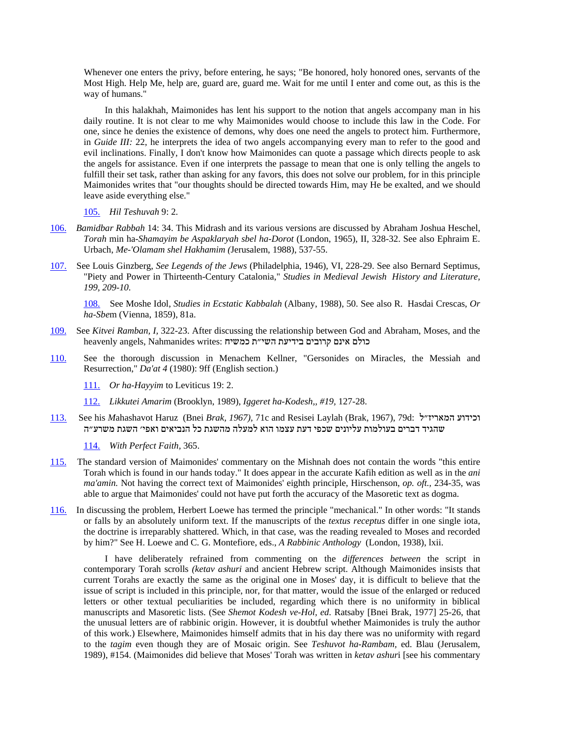Whenever one enters the privy, before entering, he says; "Be honored, holy honored ones, servants of the Most High. Help Me, help are, guard are, guard me. Wait for me until I enter and come out, as this is the way of humans."

In this halakhah, Maimonides has lent his support to the notion that angels accompany man in his daily routine. It is not clear to me why Maimonides would choose to include this law in the Code. For one, since he denies the existence of demons, why does one need the angels to protect him. Furthermore, in *Guide III:* 22, he interprets the idea of two angels accompanying every man to refer to the good and evil inclinations. Finally, I don't know how Maimonides can quote a passage which directs people to ask the angels for assistance. Even if one interprets the passage to mean that one is only telling the angels to fulfill their set task, rather than asking for any favors, this does not solve our problem, for in this principle Maimonides writes that "our thoughts should be directed towards Him, may He be exalted, and we should leave aside everything else."

105. *Hil Teshuvah* 9: 2.

- 106. *Bamidbar Rabbah* 14: 34. This Midrash and its various versions are discussed by Abraham Joshua Heschel, *Torah* min ha*-Shamayim be Aspaklaryah sbel ha-Dorot* (London, 1965), II, 328-32. See also Ephraim E. Urbach, *Me-'Olamam shel Hakhamim (*Jerusalem, 1988), 537-55.
- 107. See Louis Ginzberg, *See Legends of the Jews* (Philadelphia, 1946), VI, 228-29. See also Bernard Septimus, "Piety and Power in Thirteenth-Century Catalonia," *Studies in Medieval Jewish History and Literature, 199, 209-10.*

108. See Moshe Idol, *Studies in Ecstatic Kabbalah* (Albany, 1988), 50. See also R. Hasdai Crescas, *Or ha-Sbe*m (Vienna, 1859), 81a.

- 109. See *Kitvei Ramban, I,* 322-23. After discussing the relationship between God and Abraham, Moses, and the כולם אינם קרובים בידיעת השי״ת כמשיח :heavenly angels, Nahmanides writes
- 110. See the thorough discussion in Menachem Kellner, "Gersonides on Miracles, the Messiah and Resurrection," *Da'at 4* (1980): 9ff (English section.)
	- 111. *Or ha-Hayyim* to Leviticus 19: 2.
	- 112. *Likkutei Amarim* (Brooklyn, 1989), *Iggeret ha-Kodesh,, #19,* 127-28.
- 113. See his *M*ahashavot Haruz (Bnei *Brak, 1967),* 71c and Resisei Laylah (Brak, 1967), 79d: ל"המאריז וכידוע שהגיד דברים בעולמות עליונים שכפי דעת עצמו הוא למעלה מהשגת כל הנביאים ואפי' השגת משרע"ה

114. *With Perfect Faith,* 365.

- 115. The standard version of Maimonides' commentary on the Mishnah does not contain the words "this entire Torah which is found in our hands today." It does appear in the accurate Kafih edition as well as in the *ani ma'amin.* Not having the correct text of Maimonides' eighth principle, Hirschenson, *op. oft.,* 234-35, was able to argue that Maimonides' could not have put forth the accuracy of the Masoretic text as dogma.
- 116. In discussing the problem, Herbert Loewe has termed the principle "mechanical." In other words: "It stands or falls by an absolutely uniform text. If the manuscripts of the *textus receptus* differ in one single iota, the doctrine is irreparably shattered. Which, in that case, was the reading revealed to Moses and recorded by him?" See H. Loewe and C. G. Montefiore, eds., *A Rabbinic Anthology* (London, 1938), lxii.

I have deliberately refrained from commenting on the *differences between* the script in contemporary Torah scrolls *(ketav ashuri* and ancient Hebrew script. Although Maimonides insists that current Torahs are exactly the same as the original one in Moses' day, it is difficult to believe that the issue of script is included in this principle, nor, for that matter, would the issue of the enlarged or reduced letters or other textual peculiarities be included, regarding which there is no uniformity in biblical manuscripts and Masoretic lists. (See *Shemot Kodesh ve-Hol, ed.* Ratsaby [Bnei Brak, 1977] 25-26, that the unusual letters are of rabbinic origin. However, it is doubtful whether Maimonides is truly the author of this work.) Elsewhere, Maimonides himself admits that in his day there was no uniformity with regard to the *tagim* even though they are of Mosaic origin. See *Teshuvot ha-Rambam,* ed. Blau (Jerusalem, 1989), #154. (Maimonides did believe that Moses' Torah was written in *ketav ashur*i [see his commentary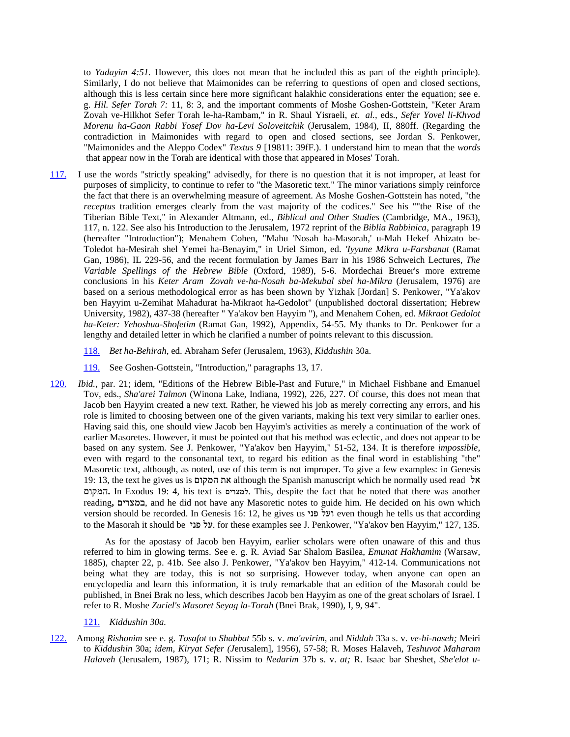to *Yadayim 4:51.* However, this does not mean that he included this as part of the eighth principle). Similarly, I do not believe that Maimonides can be referring to questions of open and closed sections, although this is less certain since here more significant halakhic considerations enter the equation; see e. g. *Hil. Sefer Torah 7:* 11, 8: 3, and the important comments of Moshe Goshen-Gottstein, "Keter Aram Zovah ve-Hilkhot Sefer Torah le-ha-Rambam," in R. Shaul Yisraeli, *et. al.,* eds., *Sefer Yovel li-Khvod Morenu ha-Gaon Rabbi Yosef Dov ha-Levi Soloveitchik* (Jerusalem, 1984), II, 880ff. (Regarding the contradiction in Maimonides with regard to open and closed sections, see Jordan S. Penkower, "Maimonides and the Aleppo Codex" *Textus 9* [19811: 39fF.). 1 understand him to mean that the *words*  that appear now in the Torah are identical with those that appeared in Moses' Torah.

- 117. I use the words "strictly speaking" advisedly, for there is no question that it is not improper, at least for purposes of simplicity, to continue to refer to "the Masoretic text." The minor variations simply reinforce the fact that there is an overwhelming measure of agreement. As Moshe Goshen-Gottstein has noted, "the *receptus* tradition emerges clearly from the vast majority of the codices." See his ""the Rise of the Tiberian Bible Text," in Alexander Altmann, ed., *Biblical and Other Studies* (Cambridge, MA., 1963), 117, n. 122. See also his Introduction to the Jerusalem, 1972 reprint of the *Biblia Rabbinica,* paragraph 19 (hereafter "Introduction"); Menahem Cohen, "Mahu 'Nosah ha-Masorah,' u-Mah Hekef Ahizato be-Toledot ha-Mesirah shel Yemei ha-Benayim," in Uriel Simon, ed. *'Iyyune Mikra u-Farsbanut* (Ramat Gan, 1986), IL 229-56, and the recent formulation by James Barr in his 1986 Schweich Lectures, *The Variable Spellings of the Hebrew Bible* (Oxford, 1989), 5-6. Mordechai Breuer's more extreme conclusions in his *Keter Aram Zovah ve-ha-Nosah ba-Mekubal sbel ha-Mikra* (Jerusalem, 1976) are based on a serious methodological error as has been shown by Yizhak [Jordan] S. Penkower, "Ya'akov ben Hayyim u-Zemihat Mahadurat ha-Mikraot ha-Gedolot" (unpublished doctoral dissertation; Hebrew University, 1982), 437-38 (hereafter " Ya'akov ben Hayyim "), and Menahem Cohen, ed. *Mikraot Gedolot ha-Keter: Yehoshua-Shofetim* (Ramat Gan, 1992), Appendix, 54-55. My thanks to Dr. Penkower for a lengthy and detailed letter in which he clarified a number of points relevant to this discussion.
	- 118. *Bet ha-Behirah,* ed. Abraham Sefer (Jerusalem, 1963), *Kiddushin* 30a.
	- 119. See Goshen-Gottstein, "Introduction," paragraphs 13, 17.
- 120. *Ibid.,* par. 21; idem, "Editions of the Hebrew Bible-Past and Future," in Michael Fishbane and Emanuel Tov, eds., *Sha'arei Talmon* (Winona Lake, Indiana, 1992), 226, 227. Of course, this does not mean that Jacob ben Hayyim created a new text. Rather, he viewed his job as merely correcting any errors, and his role is limited to choosing between one of the given variants, making his text very similar to earlier ones. Having said this, one should view Jacob ben Hayyim's activities as merely a continuation of the work of earlier Masoretes. However, it must be pointed out that his method was eclectic, and does not appear to be based on any system. See J. Penkower, "Ya'akov ben Hayyim," 51-52, 134. It is therefore *impossible,*  even with regard to the consonantal text, to regard his edition as the final word in establishing "the" Masoretic text, although, as noted, use of this term is not improper. To give a few examples: in Genesis 19: 13, the text he gives us is המקום את although the Spanish manuscript which he normally used read אל המקום**.** In Exodus 19: 4, his text is למצרים. This, despite the fact that he noted that there was another reading**,** במצרים, and he did not have any Masoretic notes to guide him. He decided on his own which version should be recorded. In Genesis 16: 12, he gives us פני ועל even though he tells us that according to the Masorah it should be פני על. for these examples see J. Penkower, "Ya'akov ben Hayyim," 127, 135.

As for the apostasy of Jacob ben Hayyim, earlier scholars were often unaware of this and thus referred to him in glowing terms. See e. g. R. Aviad Sar Shalom Basilea, *Emunat Hakhamim* (Warsaw, 1885), chapter 22, p. 41b. See also J. Penkower, "Ya'akov ben Hayyim," 412-14. Communications not being what they are today, this is not so surprising. However today, when anyone can open an encyclopedia and learn this information, it is truly remarkable that an edition of the Masorah could be published, in Bnei Brak no less, which describes Jacob ben Hayyim as one of the great scholars of Israel. I refer to R. Moshe *Zuriel's Masoret Seyag la-Torah* (Bnei Brak, 1990), I, 9, 94".

#### 121. *Kiddushin 30a.*

122. Among *Rishonim* see e. g. *Tosafot* to *Shabbat* 55b s. v. *ma'avirim,* and *Niddah* 33a s. v. *ve-hi-naseh;* Meiri to *Kiddushin* 30a; *idem, Kiryat Sefer (J*erusalem], 1956), 57-58; R. Moses Halaveh, *Teshuvot Maharam Halaveh* (Jerusalem, 1987), 171; R. Nissim to *Nedarim* 37b s. v. *at;* R. Isaac bar Sheshet, *Sbe'elot u-*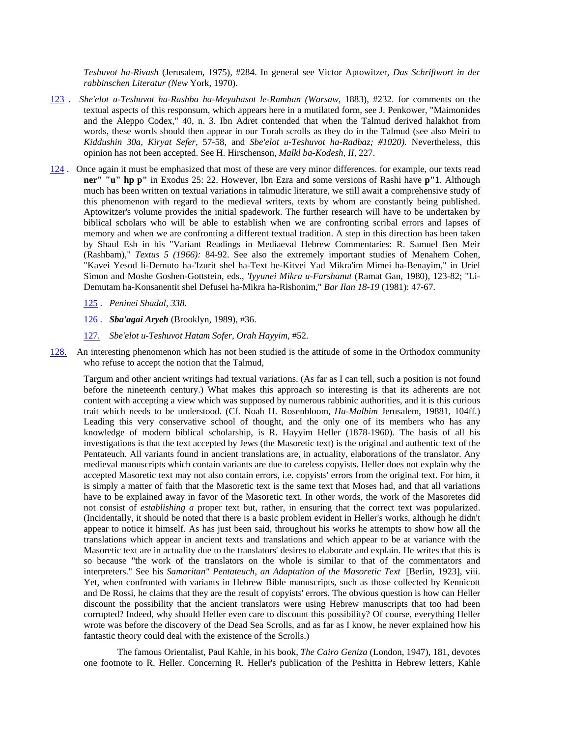*Teshuvot ha-Rivash* (Jerusalem, 1975), #284. In general see Victor Aptowitzer, *Das Schriftwort in der rabbinschen Literatur (New* York, 1970).

- 123 . *She'elot u-Teshuvot ha-Rashba ha-Meyuhasot le-Ramban (Warsaw,* 1883), #232. for comments on the textual aspects of this responsum, which appears here in a mutilated form, see J. Penkower, "Maimonides and the Aleppo Codex," 40, n. 3. Ibn Adret contended that when the Talmud derived halakhot from words, these words should then appear in our Torah scrolls as they do in the Talmud (see also Meiri to *Kiddushin 30a, Kiryat Sefer,* 57-58, and *Sbe'elot u-Teshuvot ha-Radbaz; #1020).* Nevertheless, this opinion has not been accepted. See H. Hirschenson, *Malkl ba-Kodesh, II,* 227.
- 124 . Once again it must be emphasized that most of these are very minor differences. for example, our texts read **ner" "u" hp p"** in Exodus 25: 22. However, Ibn Ezra and some versions of Rashi have **p"1**. Although much has been written on textual variations in talmudic literature, we still await a comprehensive study of this phenomenon with regard to the medieval writers, texts by whom are constantly being published. Aptowitzer's volume provides the initial spadework. The further research will have to be undertaken by biblical scholars who will be able to establish when we are confronting scribal errors and lapses of memory and when we are confronting a different textual tradition. A step in this direction has been taken by Shaul Esh in his "Variant Readings in Mediaeval Hebrew Commentaries: R. Samuel Ben Meir (Rashbam)," *Textus 5 (1966):* 84-92. See also the extremely important studies of Menahem Cohen, "Kavei Yesod li-Demuto ha-'Izurit shel ha-Text be-Kitvei Yad Mikra'im Mimei ha-Benayim," in Uriel Simon and Moshe Goshen-Gottstein, eds., *'Iyyunei Mikra u-Farshanut* (Ramat Gan, 1980), 123-82; "Li-Demutam ha-Konsanentit shel Defusei ha-Mikra ha-Rishonim," *Bar Ilan 18-19* (1981): 47-67.
	- 125 . *Peninei Shadal, 338.*
	- 126 . *Sba'agai Aryeh* (Brooklyn, 1989), #36.
	- 127. *Sbe'elot u-Teshuvot Hatam Sofer, Orah Hayyim,* #52.
- 128. An interesting phenomenon which has not been studied is the attitude of some in the Orthodox community who refuse to accept the notion that the Talmud,

Targum and other ancient writings had textual variations. (As far as I can tell, such a position is not found before the nineteenth century.) What makes this approach so interesting is that its adherents are not content with accepting a view which was supposed by numerous rabbinic authorities, and it is this curious trait which needs to be understood. (Cf. Noah H. Rosenbloom, *Ha-Malbim* Jerusalem, 19881, 104ff.) Leading this very conservative school of thought, and the only one of its members who has any knowledge of modern biblical scholarship, is R. Hayyim Heller (1878-1960). The basis of all his investigations is that the text accepted by Jews (the Masoretic text) is the original and authentic text of the Pentateuch. All variants found in ancient translations are, in actuality, elaborations of the translator. Any medieval manuscripts which contain variants are due to careless copyists. Heller does not explain why the accepted Masoretic text may not also contain errors, i.e. copyists' errors from the original text. For him, it is simply a matter of faith that the Masoretic text is the same text that Moses had, and that all variations have to be explained away in favor of the Masoretic text. In other words, the work of the Masoretes did not consist of *establishing a* proper text but, rather, in ensuring that the correct text was popularized. (Incidentally, it should be noted that there is a basic problem evident in Heller's works, although he didn't appear to notice it himself. As has just been said, throughout his works he attempts to show how all the translations which appear in ancient texts and translations and which appear to be at variance with the Masoretic text are in actuality due to the translators' desires to elaborate and explain. He writes that this is so because "the work of the translators on the whole is similar to that of the commentators and interpreters." See his *Samaritan" Pentateuch, an Adaptation of the Masoretic Text* [Berlin, 1923], viii. Yet, when confronted with variants in Hebrew Bible manuscripts, such as those collected by Kennicott and De Rossi, he claims that they are the result of copyists' errors. The obvious question is how can Heller discount the possibility that the ancient translators were using Hebrew manuscripts that too had been corrupted? Indeed, why should Heller even care to discount this possibility? Of course, everything Heller wrote was before the discovery of the Dead Sea Scrolls, and as far as I know, he never explained how his fantastic theory could deal with the existence of the Scrolls.)

The famous Orientalist, Paul Kahle, in his book, *The Cairo Geniza* (London, 1947), 181, devotes one footnote to R. Heller. Concerning R. Heller's publication of the Peshitta in Hebrew letters, Kahle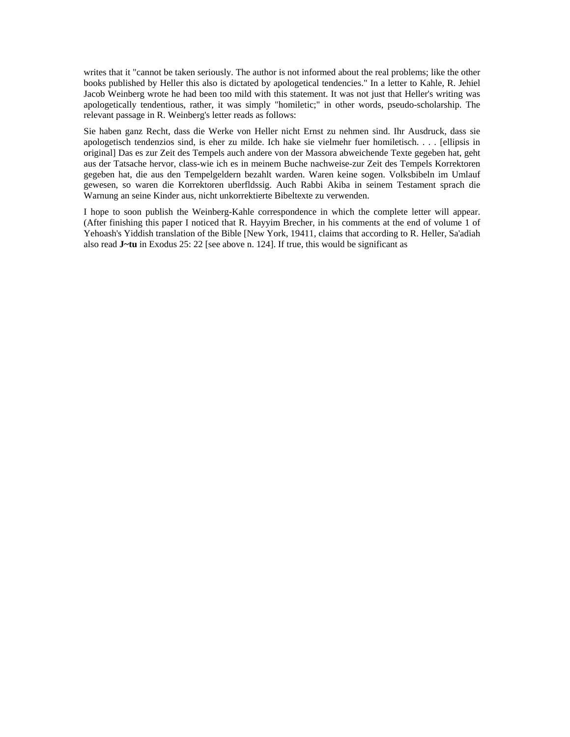writes that it "cannot be taken seriously. The author is not informed about the real problems; like the other books published by Heller this also is dictated by apologetical tendencies." In a letter to Kahle, R. Jehiel Jacob Weinberg wrote he had been too mild with this statement. It was not just that Heller's writing was apologetically tendentious, rather, it was simply "homiletic;" in other words, pseudo-scholarship. The relevant passage in R. Weinberg's letter reads as follows:

Sie haben ganz Recht, dass die Werke von Heller nicht Ernst zu nehmen sind. Ihr Ausdruck, dass sie apologetisch tendenzios sind, is eher zu milde. Ich hake sie vielmehr fuer homiletisch. . . . [ellipsis in original] Das es zur Zeit des Tempels auch andere von der Massora abweichende Texte gegeben hat, geht aus der Tatsache hervor, class-wie ich es in meinem Buche nachweise-zur Zeit des Tempels Korrektoren gegeben hat, die aus den Tempelgeldern bezahlt warden. Waren keine sogen. Volksbibeln im Umlauf gewesen, so waren die Korrektoren uberfldssig. Auch Rabbi Akiba in seinem Testament sprach die Warnung an seine Kinder aus, nicht unkorrektierte Bibeltexte zu verwenden.

I hope to soon publish the Weinberg-Kahle correspondence in which the complete letter will appear. (After finishing this paper I noticed that R. Hayyim Brecher, in his comments at the end of volume 1 of Yehoash's Yiddish translation of the Bible [New York, 19411, claims that according to R. Heller, Sa'adiah also read **J~tu** in Exodus 25: 22 [see above n. 124]. If true, this would be significant as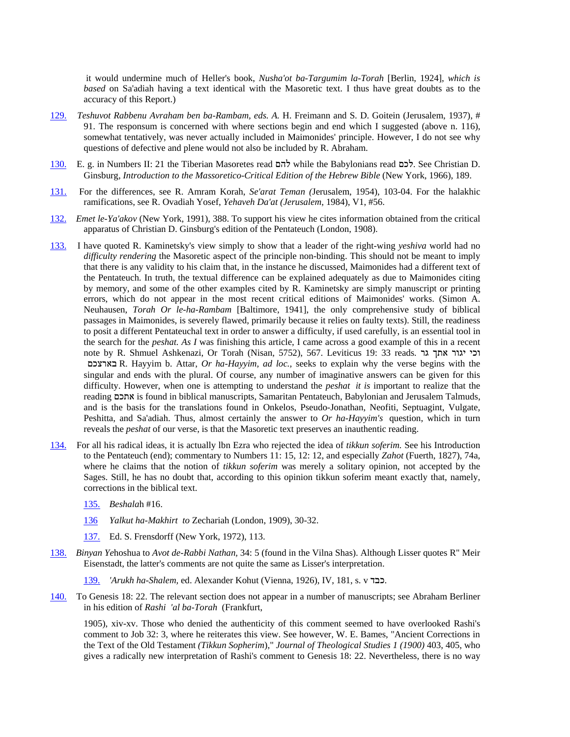it would undermine much of Heller's book, *Nusha'ot ba-Targumim la-Torah* [Berlin, 1924], *which is based* on Sa'adiah having a text identical with the Masoretic text. I thus have great doubts as to the accuracy of this Report.)

- 129. *Teshuvot Rabbenu Avraham ben ba-Rambam, eds. A.* H. Freimann and S. D. Goitein (Jerusalem, 1937), # 91. The responsum is concerned with where sections begin and end which I suggested (above n. 116), somewhat tentatively, was never actually included in Maimonides' principle. However, I do not see why questions of defective and plene would not also be included by R. Abraham.
- 130. E. g. in Numbers II: 21 the Tiberian Masoretes read להם while the Babylonians read לכם. See Christian D. Ginsburg, *Introduction to the Massoretico-Critical Edition of the Hebrew Bible* (New York, 1966), 189.
- 131. For the differences, see R. Amram Korah, *Se'arat Teman (*Jerusalem, 1954), 103-04. For the halakhic ramifications, see R. Ovadiah Yosef, *Yehaveh Da'at (Jerusalem*, 1984), V1, #56.
- 132. *Emet le-Ya'akov* (New York, 1991), 388. To support his view he cites information obtained from the critical apparatus of Christian D. Ginsburg's edition of the Pentateuch (London, 1908).
- 133. I have quoted R. Kaminetsky's view simply to show that a leader of the right-wing *yeshiva* world had no *difficulty rendering* the Masoretic aspect of the principle non-binding. This should not be meant to imply that there is any validity to his claim that, in the instance he discussed, Maimonides had a different text of the Pentateuch. In truth, the textual difference can be explained adequately as due to Maimonides citing by memory, and some of the other examples cited by R. Kaminetsky are simply manuscript or printing errors, which do not appear in the most recent critical editions of Maimonides' works. (Simon A. Neuhausen, *Torah Or le-ha-Rambam* [Baltimore, 1941], the only comprehensive study of biblical passages in Maimonides, is severely flawed, primarily because it relies on faulty texts). Still, the readiness to posit a different Pentateuchal text in order to answer a difficulty, if used carefully, is an essential tool in the search for the *peshat. As I* was finishing this article, I came across a good example of this in a recent note by R. Shmuel Ashkenazi, Or Torah (Nisan, 5752), 567. Leviticus 19: 33 reads*.* גר אתך יגור וכי בארצכם R. Hayyim b. Attar, *Or ha-Hayyim, ad loc.,* seeks to explain why the verse begins with the singular and ends with the plural. Of course, any number of imaginative answers can be given for this difficulty. However, when one is attempting to understand the *peshat it is* important to realize that the reading אתכם is found in biblical manuscripts, Samaritan Pentateuch, Babylonian and Jerusalem Talmuds, and is the basis for the translations found in Onkelos, Pseudo-Jonathan, Neofiti, Septuagint, Vulgate, Peshitta, and Sa'adiah. Thus, almost certainly the answer to *Or ha-Hayyim's* question, which in turn reveals the *peshat* of our verse, is that the Masoretic text preserves an inauthentic reading.
- 134. For all his radical ideas, it is actually lbn Ezra who rejected the idea of *tikkun soferim.* See his Introduction to the Pentateuch (end); commentary to Numbers 11: 15, 12: 12, and especially *Zahot* (Fuerth, 1827), 74a, where he claims that the notion of *tikkun soferim* was merely a solitary opinion, not accepted by the Sages. Still, he has no doubt that, according to this opinion tikkun soferim meant exactly that, namely, corrections in the biblical text.
	- 135. *Beshala*h #16.
	- 136 *Yalkut ha-Makhirt to* Zechariah (London, 1909), 30-32.
	- 137. Ed. S. Frensdorff (New York, 1972), 113.
- 138. *Binyan Ye*hoshua to *Avot de-Rabbi Nathan,* 34: 5 (found in the Vilna Shas). Although Lisser quotes R" Meir Eisenstadt, the latter's comments are not quite the same as Lisser's interpretation.
	- 139. *'Arukh ha-Shalem,* ed. Alexander Kohut (Vienna, 1926), IV, 181, s. v כבד.
- 140. To Genesis 18: 22. The relevant section does not appear in a number of manuscripts; see Abraham Berliner in his edition of *Rashi 'al ba-Torah* (Frankfurt,

1905), xiv-xv. Those who denied the authenticity of this comment seemed to have overlooked Rashi's comment to Job 32: 3, where he reiterates this view. See however, W. E. Bames, "Ancient Corrections in the Text of the Old Testament *(Tikkun Sopherim*)," *Journal of Theological Studies 1 (1900)* 403, 405, who gives a radically new interpretation of Rashi's comment to Genesis 18: 22. Nevertheless, there is no way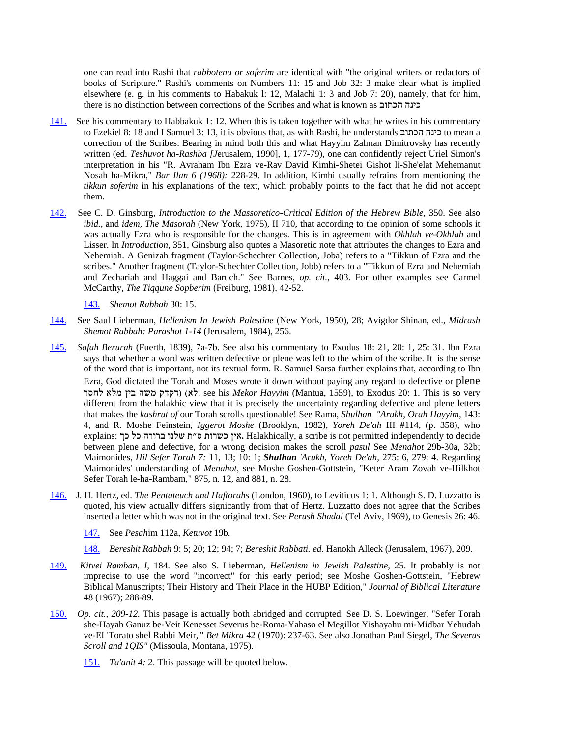one can read into Rashi that *rabbotenu or soferim* are identical with "the original writers or redactors of books of Scripture." Rashi's comments on Numbers 11: 15 and Job 32: 3 make clear what is implied elsewhere (e. g. in his comments to Habakuk l: 12, Malachi 1: 3 and Job 7: 20), namely, that for him, there is no distinction between corrections of the Scribes and what is known as הכתוב כינה

- 141. See his commentary to Habbakuk 1: 12. When this is taken together with what he writes in his commentary to Ezekiel 8: 18 and I Samuel 3: 13, it is obvious that, as with Rashi, he understands כינה הכתוב to mean a correction of the Scribes. Bearing in mind both this and what Hayyim Zalman Dimitrovsky has recently written (ed. *Teshuvot ha-Rashba [J*erusalem, 1990], 1, 177-79), one can confidently reject Uriel Simon's interpretation in his "R. Avraham Ibn Ezra ve-Rav David Kimhi-Shetei Gishot li-She'elat Mehemanut Nosah ha-Mikra," *Bar Ilan 6 (1968):* 228-29. In addition, Kimhi usually refrains from mentioning the *tikkun soferim* in his explanations of the text, which probably points to the fact that he did not accept them.
- 142. See C. D. Ginsburg, *Introduction to the Massoretico-Critical Edition of the Hebrew Bible,* 350. See also *ibid.,* and *idem, The Masorah* (New York, 1975), II 710, that according to the opinion of some schools it was actually Ezra who is responsible for the changes. This is in agreement with *Okhlah ve-Okhlah* and Lisser. In *Introduction,* 351, Ginsburg also quotes a Masoretic note that attributes the changes to Ezra and Nehemiah. A Genizah fragment (Taylor-Schechter Collection, Joba) refers to a "Tikkun of Ezra and the scribes." Another fragment (Taylor-Schechter Collection, Jobb) refers to a "Tikkun of Ezra and Nehemiah and Zechariah and Haggai and Baruch." See Barnes, *op. cit.,* 403. For other examples see Carmel McCarthy, *The Tiqqune Sopberim* (Freiburg, 1981), 42-52.

143. *Shemot Rabbah* 30: 15.

- 144. See Saul Lieberman, *Hellenism In Jewish Palestine* (New York, 1950), 28; Avigdor Shinan, ed., *Midrash Shemot Rabbah: Parashot 1-14* (Jerusalem, 1984), 256.
- 145. *Safah Berurah* (Fuerth, 1839), 7a-7b. See also his commentary to Exodus 18: 21, 20: 1, 25: 31. Ibn Ezra says that whether a word was written defective or plene was left to the whim of the scribe. It is the sense of the word that is important, not its textual form. R. Samuel Sarsa further explains that, according to Ibn Ezra, God dictated the Torah and Moses wrote it down without paying any regard to defective or plene לחסר מלא בין משה דקדק) (לא ;see his *Mekor Hayyim* (Mantua, 1559), to Exodus 20: 1. This is so very different from the halakhic view that it is precisely the uncertainty regarding defective and plene letters that makes the *kashrut of* our Torah scrolls questionable! See Rama, *Shulhan "Arukh, Orah Hayyim,* 143: 4, and R. Moshe Feinstein, *Iggerot Moshe* (Brooklyn, 1982), *Yoreh De'ah* III #114, (p. 358), who explains: כך כל ברורה שלנו ת"ס כשרות אין**.** Halakhically, a scribe is not permitted independently to decide between plene and defective, for a wrong decision makes the scroll *pasul* See *Menahot* 29b-30a, 32b; Maimonides, *Hil Sefer Torah 7:* 11, 13; 10: 1; *Shulhan 'Arukh, Yoreh De'ah,* 275: 6, 279: 4. Regarding Maimonides' understanding of *Menahot,* see Moshe Goshen-Gottstein, "Keter Aram Zovah ve-Hilkhot Sefer Torah le-ha-Rambam," 875, n. 12, and 881, n. 28.
- 146. J. H. Hertz, ed. *The Pentateuch and Haftorahs* (London, 1960), to Leviticus 1: 1. Although S. D. Luzzatto is quoted, his view actually differs signicantly from that of Hertz. Luzzatto does not agree that the Scribes inserted a letter which was not in the original text. See *Perush Shadal* (Tel Aviv, 1969), to Genesis 26: 46.
	- 147. See *Pesah*im 112a, *Ketuvot* 19b.
	- 148. *Bereshit Rabbah* 9: 5; 20; 12; 94; 7; *Bereshit Rabbati. ed.* Hanokh Alleck (Jerusalem, 1967), 209.
- 149. *Kitvei Ramban, I,* 184. See also S. Lieberman, *Hellenism in Jewish Palestine,* 25. It probably is not imprecise to use the word "incorrect" for this early period; see Moshe Goshen-Gottstein, "Hebrew Biblical Manuscripts; Their History and Their Place in the HUBP Edition," *Journal of Biblical Literature* 48 (1967); 288-89.
- 150. *Op. cit., 209-12.* This pasage is actually both abridged and corrupted. See D. S. Loewinger, "Sefer Torah she-Hayah Ganuz be-Veit Kenesset Severus be-Roma-Yahaso el Megillot Yishayahu mi-Midbar Yehudah ve-EI 'Torato shel Rabbi Meir,'" *Bet Mikra* 42 (1970): 237-63. See also Jonathan Paul Siegel, *The Severus Scroll and 1QIS"* (Missoula, Montana, 1975).
	- 151. *Ta'anit 4:* 2. This passage will be quoted below.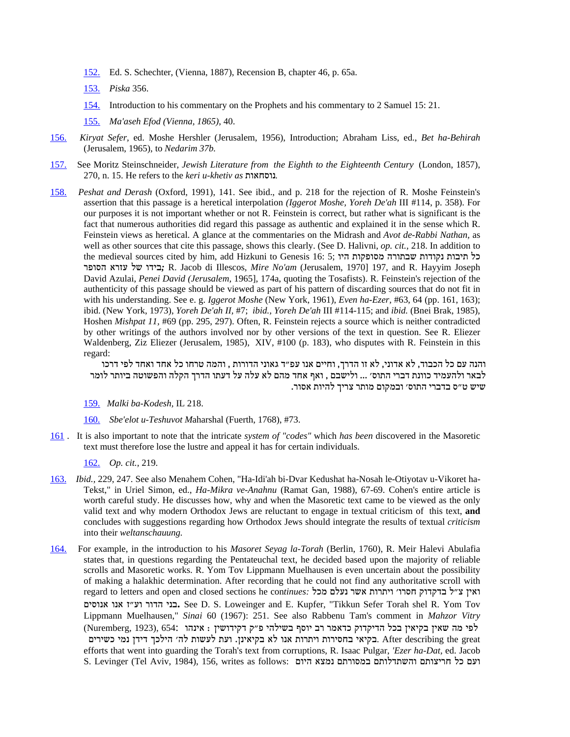- 152. Ed. S. Schechter, (Vienna, 1887), Recension B, chapter 46, p. 65a.
- 153. *Piska* 356.
- 154. Introduction to his commentary on the Prophets and his commentary to 2 Samuel 15: 21.
- 155. *Ma'aseh Efod (Vienna, 1865)*, 40.
- 156. *Kiryat Sefer,* ed. Moshe Hershler (Jerusalem, 1956), Introduction; Abraham Liss, ed., *Bet ha-Behirah* (Jerusalem, 1965), to *Nedarim 37b.*
- 157. See Moritz Steinschneider, *Jewish Literature from the Eighth to the Eighteenth Century* (London, 1857), 270, n. 15. He refers to the *keri u-khetiv as* נוסחאות*.*
- 158. *Peshat and Derash* (Oxford, 1991), 141. See ibid., and p. 218 for the rejection of R. Moshe Feinstein's assertion that this passage is a heretical interpolation *(Iggerot Moshe, Yoreh De'ah* III #114, p. 358). For our purposes it is not important whether or not R. Feinstein is correct, but rather what is significant is the fact that numerous authorities did regard this passage as authentic and explained it in the sense which R. Feinstein views as heretical. A glance at the commentaries on the Midrash and *Avot de-Rabbi Nathan,* as well as other sources that cite this passage, shows this clearly. (See D. Halivni, *op. cit.,* 218. In addition to the medieval sources cited by him, add Hizkuni to Genesis 16: 5; היו מסופקות שבתורה נקודות תיבות כל הסופר עזרא של בידו *;*R. Jacob di Illescos, *Mire No'am* (Jerusalem, 1970] 197, and R. Hayyim Joseph David Azulai, *Penei David (Jerusalem,* 1965], 174a, quoting the Tosafists). R. Feinstein's rejection of the authenticity of this passage should be viewed as part of his pattern of discarding sources that do not fit in with his understanding. See e. g. *Iggerot Moshe* (New York, 1961), *Even ha-Ezer,* #63, 64 (pp. 161, 163); ibid. (New York, 1973), *Yoreh De'ah II,* #7; *ibid., Yoreh De'ah* III #114-115; and *ibid.* (Bnei Brak, 1985), Hoshen *Mishpat 11,* #69 (pp. 295, 297). Often, R. Feinstein rejects a source which is neither contradicted by other writings of the authors involved nor by other versions of the text in question. See R. Eliezer Waldenberg, Ziz Eliezer (Jerusalem, 1985), XIV, #100 (p. 183), who disputes with R. Feinstein in this regard:

והנה עם כל הכבוד, לא אדוני, לא זו הדרך, וחיים אנו עפ"ד גאוני הדורות , והמה טרחו כל אחד ואחד לפי דרכו לבאר ולהעמיד כוונת דברי התוס' ... ולישבם , ואף אחד מהם לא עלה על דעתו הדרך הקלה והפשוטה ביותר לומר שיש ט"ס בדברי התוס' ובמקום מותר צריך להיות אסור.

159. *Malki ba-Kodesh,* IL 218.

- 160. *Sbe'elot u-Teshuvot M*aharshal (Fuerth, 1768), #73.
- 161 . It is also important to note that the intricate *system of "codes"* which *has been* discovered in the Masoretic text must therefore lose the lustre and appeal it has for certain individuals.

162. *Op. cit.,* 219.

- 163. *Ibid.,* 229, 247. See also Menahem Cohen, "Ha-Idi'ah bi-Dvar Kedushat ha-Nosah le-Otiyotav u-Vikoret ha-Tekst," in Uriel Simon, ed., *Ha-Mikra ve-Anahnu* (Ramat Gan, 1988), 67-69. Cohen's entire article is worth careful study. He discusses how, why and when the Masoretic text came to be viewed as the only valid text and why modern Orthodox Jews are reluctant to engage in textual criticism of this text, **and** concludes with suggestions regarding how Orthodox Jews should integrate the results of textual *criticism* into their *weltanschauung.*
- 164. For example, in the introduction to his *Masoret Seyag la-Torah* (Berlin, 1760), R. Meir Halevi Abulafia states that, in questions regarding the Pentateuchal text, he decided based upon the majority of reliable scrolls and Masoretic works. R. Yom Tov Lippmann Muelhausen is even uncertain about the possibility of making a halakhic determination. After recording that he could not find any authoritative scroll with regard to letters and open and closed sections he con*tinues:* מכל נעלם אשר ויתרות' חסרו בדקדוק ל"צ ואין אנוסים אנו ז"וע הדור בני**.** See D. S. Loweinger and E. Kupfer, "Tikkun Sefer Torah shel R. Yom Tov Lippmann Muelhausen," *Sinai* 60 (1967): 251. See also Rabbenu Tam's comment in *Mahzor Vitry* לפי מה שאין בקיאין בכל הדיקדוק כדאמר רב יוסף בשילהי פ"ק דקידושין : אינהו (Nuremberg, 1923), אינהו בקיאי בחסירות ויתרות אנו לא בקיאינן. ועת לעשות לה' הילכך דידן נמי כשירים. After describing the great efforts that went into guarding the Torah's text from corruptions, R. Isaac Pulgar, *'Ezer ha-Dat,* ed. Jacob ועם כל חריצותם והשתדלותם במסורתם נמצא היום :S. Levinger (Tel Aviv, 1984), 156, writes as follows: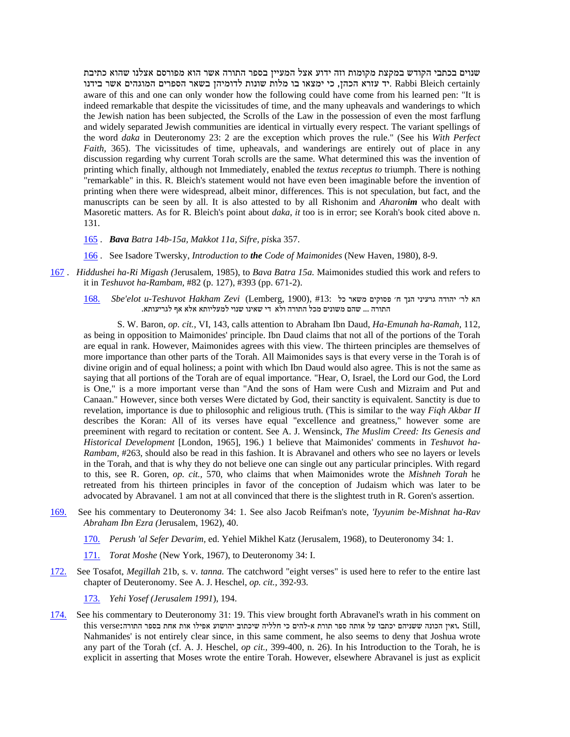שנוים בכתבי הקודש במקצת מקומות וזה ידוע אצל המעיין בספר התורה אשר הוא מפורסם אצלנו שהוא כתיבת certainly Bleich Rabbi .יד עזרא הכהן, כי ימצאו בו מלות שונות לדומיהן בשאר הספרים המוגהים אשר בידנו aware of this and one can only wonder how the following could have come from his learned pen: "It is indeed remarkable that despite the vicissitudes of time, and the many upheavals and wanderings to which the Jewish nation has been subjected, the Scrolls of the Law in the possession of even the most farflung and widely separated Jewish communities are identical in virtually every respect. The variant spellings of the word *daka* in Deuteronomy 23: 2 are the exception which proves the rule." (See his *With Perfect Faith,* 365). The vicissitudes of time, upheavals, and wanderings are entirely out of place in any discussion regarding why current Torah scrolls are the same. What determined this was the invention of printing which finally, although not Immediately, enabled the *textus receptus to* triumph. There is nothing "remarkable" in this. R. Bleich's statement would not have even been imaginable before the invention of printing when there were widespread, albeit minor, differences. This is not speculation, but fact, and the manuscripts can be seen by all. It is also attested to by all Rishonim and *Aharonim* who dealt with Masoretic matters. As for R. Bleich's point about *daka, it* too is in error; see Korah's book cited above n. 131.

- 165 . *Bava Batra 14b-15a, Makkot 11a, Sifre, pis*ka 357.
- 166 . See Isadore Twersky, *Introduction to the Code of Maimonides* (New Haven, 1980), 8-9.
- 167 . *Hiddushei ha-Ri Migash (*Jerusalem, 1985), to *Bava Batra 15a.* Maimonides studied this work and refers to it in *Teshuvot ha-Rambam,* #82 (p. 127), #393 (pp. 671-2).
	- הא לר' יהודה גרעיני הנך ח' פסוקים משאר כל #13: ,(1900 ,Lemberg(*Zevi Hakham Teshuvot-u elot'Sbe* 168. התורה ... שהם משונים מכל התורה ולא די שאינו שנוי למעליותא אלא אף לגריעותא.

S. W. Baron, *op. cit.,* VI, 143, calls attention to Abraham Ibn Daud, *Ha-Emunah ha-Ramah,* 112, as being in opposition to Maimonides' principle. Ibn Daud claims that not all of the portions of the Torah are equal in rank. However, Maimonides agrees with this view. The thirteen principles are themselves of more importance than other parts of the Torah. All Maimonides says is that every verse in the Torah is of divine origin and of equal holiness; a point with which Ibn Daud would also agree. This is not the same as saying that all portions of the Torah are of equal importance. "Hear, O, Israel, the Lord our God, the Lord is One," is a more important verse than "And the sons of Ham were Cush and Mizraim and Put and Canaan." However, since both verses Were dictated by God, their sanctity is equivalent. Sanctity is due to revelation, importance is due to philosophic and religious truth. (This is similar to the way *Fiqh Akbar II* describes the Koran: All of its verses have equal "excellence and greatness," however some are preeminent with regard to recitation or content. See A. J. Wensinck, *The Muslim Creed: Its Genesis and Historical Development* [London, 1965], 196.) 1 believe that Maimonides' comments in *Teshuvot ha-Rambam,* #263, should also be read in this fashion. It is Abravanel and others who see no layers or levels in the Torah, and that is why they do not believe one can single out any particular principles. With regard to this, see R. Goren, *op. cit.,* 570, who claims that when Maimonides wrote the *Mishneh Torah* he retreated from his thirteen principles in favor of the conception of Judaism which was later to be advocated by Abravanel. 1 am not at all convinced that there is the slightest truth in R. Goren's assertion.

- 169. See his commentary to Deuteronomy 34: 1. See also Jacob Reifman's note, *'Iyyunim be-Mishnat ha-Rav Abraham Ibn Ezra (*Jerusalem, 1962), 40.
	- 170. *Perush 'al Sefer Devarim,* ed. Yehiel Mikhel Katz (Jerusalem, 1968), to Deuteronomy 34: 1.
	- 171. *Torat Moshe* (New York, 1967), to Deuteronomy 34: I.
- 172. See Tosafot, *Megillah* 21b, s. v. *tanna.* The catchword "eight verses" is used here to refer to the entire last chapter of Deuteronomy. See A. J. Heschel, *op. cit.,* 392-93.

173. *Yehi Yosef (Jerusalem 1991*), 194.

174. See his commentary to Deuteronomy 31: 19. This view brought forth Abravanel's wrath in his comment on ,Still **.**ואין הכונה ששניהם יכתבו על אותה ספר תורת א-להים כי חלליה שיכתוב יהושוע אפילו אות אחת בספר התורה**:**verse this Nahmanides' is not entirely clear since, in this same comment, he also seems to deny that Joshua wrote any part of the Torah (cf. A. J. Heschel, *op cit.,* 399-400, n. 26). In his Introduction to the Torah, he is explicit in asserting that Moses wrote the entire Torah. However, elsewhere Abravanel is just as explicit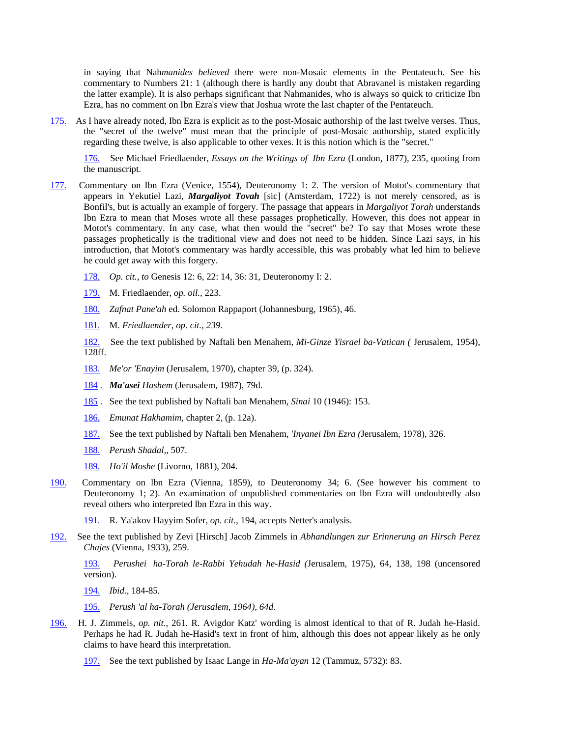in saying that Nah*manides believed* there were non-Mosaic elements in the Pentateuch. See his commentary to Numbers 21: 1 (although there is hardly any doubt that Abravanel is mistaken regarding the latter example). It is also perhaps significant that Nahmanides, who is always so quick to criticize Ibn Ezra, has no comment on Ibn Ezra's view that Joshua wrote the last chapter of the Pentateuch.

175. As I have already noted, Ibn Ezra is explicit as to the post-Mosaic authorship of the last twelve verses. Thus, the "secret of the twelve" must mean that the principle of post-Mosaic authorship, stated explicitly regarding these twelve, is also applicable to other vexes. It is this notion which is the "secret."

176. See Michael Friedlaender, *Essays on the Writings of Ibn Ezra* (London, 1877), 235, quoting from the manuscript.

- 177. Commentary on Ibn Ezra (Venice, 1554), Deuteronomy 1: 2. The version of Motot's commentary that appears in Yekutiel Lazi, *Margaliyot Tovah* [sic] (Amsterdam, 1722) is not merely censored, as is Bonfil's, but is actually an example of forgery. The passage that appears in *Margaliyot Torah* understands Ibn Ezra to mean that Moses wrote all these passages prophetically. However, this does not appear in Motot's commentary. In any case, what then would the "secret" be? To say that Moses wrote these passages prophetically is the traditional view and does not need to be hidden. Since Lazi says, in his introduction, that Motot's commentary was hardly accessible, this was probably what led him to believe he could get away with this forgery.
	- 178. *Op. cit., to* Genesis 12: 6, 22: 14, 36: 31, Deuteronomy I: 2.
	- 179. M. Friedlaender, *op. oil.,* 223.
	- 180. *Zafnat Pane'ah* ed. Solomon Rappaport (Johannesburg, 1965), 46.
	- 181. M. *Friedlaender, op. cit., 239.*

182. See the text published by Naftali ben Menahem, *Mi-Ginze Yisrael ba-Vatican (* Jerusalem, 1954), 128ff.

- 183. *Me'or 'Enayim* (Jerusalem, 1970), chapter 39, (p. 324).
- 184 . *Ma'asei Hashem* (Jerusalem, 1987), 79d.
- 185 . See the text published by Naftali ban Menahem, *Sinai* 10 (1946): 153.
- 186. *Emunat Hakhamim,* chapter 2, (p. 12a).
- 187. See the text published by Naftali ben Menahem, *'Inyanei Ibn Ezra (*Jerusalem, 1978), 326.
- 188. *Perush Shadal,,* 507.
- 189. *Ho'il Moshe* (Livorno, 1881), 204.
- 190. Commentary on lbn Ezra (Vienna, 1859), to Deuteronomy 34; 6. (See however his comment to Deuteronomy 1; 2). An examination of unpublished commentaries on lbn Ezra will undoubtedly also reveal others who interpreted lbn Ezra in this way.

191. R. Ya'akov Hayyim Sofer, *op. cit.,* 194, accepts Netter's analysis.

192. See the text published by Zevi [Hirsch] Jacob Zimmels in *Abhandlungen zur Erinnerung an Hirsch Perez Chajes* (Vienna, 1933), 259.

193. *Perushei ha-Torah le-Rabbi Yehudah he-Hasid (*Jerusalem, 1975), 64, 138, 198 (uncensored version).

194. *Ibid.,* 184-85.

195. *Perush 'al ha-Torah (Jerusalem, 1964), 64d.*

196. H. J. Zimmels, *op. nit.,* 261. R. Avigdor Katz' wording is almost identical to that of R. Judah he-Hasid. Perhaps he had R. Judah he-Hasid's text in front of him, although this does not appear likely as he only claims to have heard this interpretation.

<sup>197.</sup> See the text published by Isaac Lange in *Ha-Ma'ayan* 12 (Tammuz, 5732): 83.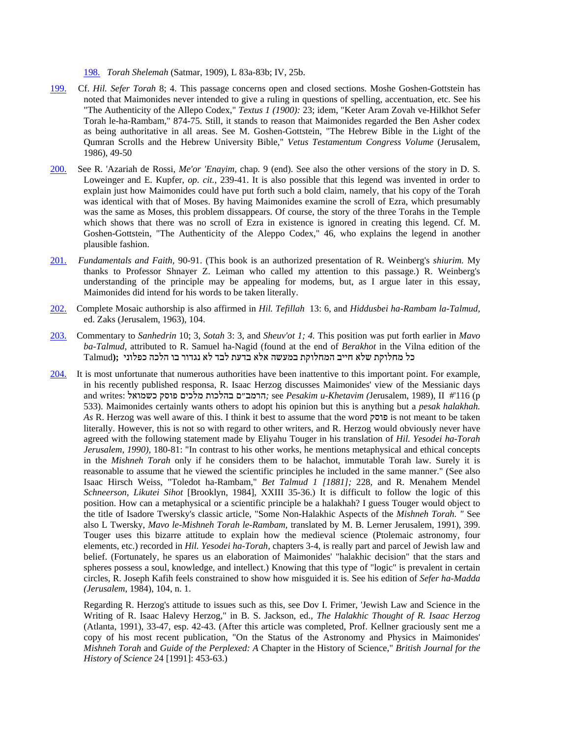198. *Torah Shelemah* (Satmar, 1909), L 83a-83b; IV, 25b.

- 199. Cf. *Hil. Sefer Torah* 8; 4. This passage concerns open and closed sections. Moshe Goshen-Gottstein has noted that Maimonides never intended to give a ruling in questions of spelling, accentuation, etc. See his "The Authenticity of the Allepo Codex," *Textus 1 (1900):* 23; idem, "Keter Aram Zovah ve-Hilkhot Sefer Torah le-ha-Rambam," 874-75. Still, it stands to reason that Maimonides regarded the Ben Asher codex as being authoritative in all areas. See M. Goshen-Gottstein, "The Hebrew Bible in the Light of the Qumran Scrolls and the Hebrew University Bible," *Vetus Testamentum Congress Volume* (Jerusalem, 1986), 49-50
- 200. See R. 'Azariah de Rossi, *Me'or 'Enayim,* chap. 9 (end). See also the other versions of the story in D. S. Loweinger and E. Kupfer, *op. cit.,* 239-41. It is also possible that this legend was invented in order to explain just how Maimonides could have put forth such a bold claim, namely, that his copy of the Torah was identical with that of Moses. By having Maimonides examine the scroll of Ezra, which presumably was the same as Moses, this problem dissappears. Of course, the story of the three Torahs in the Temple which shows that there was no scroll of Ezra in existence is ignored in creating this legend. Cf. M. Goshen-Gottstein, "The Authenticity of the Aleppo Codex," 46, who explains the legend in another plausible fashion.
- 201. *Fundamentals and Faith,* 90-91. (This book is an authorized presentation of R. Weinberg's *shiurim.* My thanks to Professor Shnayer Z. Leiman who called my attention to this passage.) R. Weinberg's understanding of the principle may be appealing for modems, but, as I argue later in this essay, Maimonides did intend for his words to be taken literally.
- 202. Complete Mosaic authorship is also affirmed in *Hil. Tefillah* 13: 6, and *Hiddusbei ha-Rambam la-Talmud,* ed. Zaks (Jerusalem, 1963), 104.
- 203. Commentary to *Sanhedrin* 10; 3, *Sotah* 3: 3, and *Sheuv'ot 1; 4.* This position was put forth earlier in *Mavo ba-Talmud,* attributed to R. Samuel ha-Nagid (found at the end of *Berakhot* in the Vilna edition of the כל מחלוקת שלא חייב המחלוקת במעשה אלא בדעת לבד לא נגדור בו הלכה כפלוני **;(**Talmud
- 204. It is most unfortunate that numerous authorities have been inattentive to this important point. For example, in his recently published responsa, R. Isaac Herzog discusses Maimonides' view of the Messianic days and writes: כשמואל פוסק מלכים בהלכות ם"הרמב *;*see *Pesakim u-Khetavim (*Jerusalem, 1989), II #'116 (p 533). Maimonides certainly wants others to adopt his opinion but this is anything but a *pesak halakhah. As* R. Herzog was well aware of this. I think it best to assume that the word פוסק is not meant to be taken literally. However, this is not so with regard to other writers, and R. Herzog would obviously never have agreed with the following statement made by Eliyahu Touger in his translation of *Hil. Yesodei ha-Torah Jerusalem, 1990),* 180-81: "In contrast to his other works, he mentions metaphysical and ethical concepts in the *Mishneh Torah* only if he considers them to be halachot, immutable Torah law. Surely it is reasonable to assume that he viewed the scientific principles he included in the same manner." (See also Isaac Hirsch Weiss, "Toledot ha-Rambam," *Bet Talmud 1 [1881];* 228, and R. Menahem Mendel *Schneerson, Likutei Sihot* [Brooklyn, 1984], XXIII 35-36.) It is difficult to follow the logic of this position. How can a metaphysical or a scientific principle be a halakhah? I guess Touger would object to the title of Isadore Twersky's classic article, "Some Non-Halakhic Aspects of the *Mishneh Torah. "* See also L Twersky, *Mavo le-Mishneh Torah le-Rambam,* translated by M. B. Lerner Jerusalem, 1991), 399. Touger uses this bizarre attitude to explain how the medieval science (Ptolemaic astronomy, four elements, etc.) recorded in *Hil. Yesodei ha-Torah,* chapters 3-4, is really part and parcel of Jewish law and belief. (Fortunately, he spares us an elaboration of Maimonides' "halakhic decision" that the stars and spheres possess a soul, knowledge, and intellect.) Knowing that this type of "logic" is prevalent in certain circles, R. Joseph Kafih feels constrained to show how misguided it is. See his edition of *Sefer ha-Madda (Jerusalem*, 1984), 104, n. 1.

Regarding R. Herzog's attitude to issues such as this, see Dov I. Frimer, 'Jewish Law and Science in the Writing of R. Isaac Halevy Herzog," in B. S. Jackson, ed., *The Halakhic Thought of R. Isaac Herzog* (Atlanta, 1991), 33-47, esp. 42-43. (After this article was completed, Prof. Kellner graciously sent me a copy of his most recent publication, "On the Status of the Astronomy and Physics in Maimonides' *Mishneh Torah* and *Guide of the Perplexed: A* Chapter in the History of Science," *British Journal for the History of Science* 24 [1991]: 453-63.)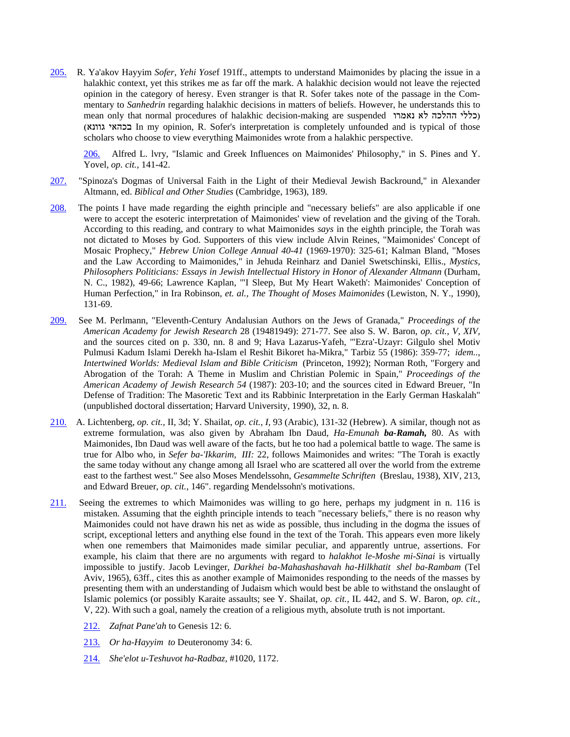205. R. Ya'akov Hayyim *Sofer, Yehi Yose*f 191ff., attempts to understand Maimonides by placing the issue in a halakhic context, yet this strikes me as far off the mark. A halakhic decision would not leave the rejected opinion in the category of heresy. Even stranger is that R. Sofer takes note of the passage in the Commentary to *Sanhedrin* regarding halakhic decisions in matters of beliefs. However, he understands this to mean only that normal procedures of halakhic decision-making are suspended נכללי ההלכה לא נאמרו (גוונא בכהאי In my opinion, R. Sofer's interpretation is completely unfounded and is typical of those scholars who choose to view everything Maimonides wrote from a halakhic perspective.

206. Alfred L. lvry, "Islamic and Greek Influences on Maimonides' Philosophy," in S. Pines and Y. Yovel, *op. cit.,* 141-42.

- 207. "Spinoza's Dogmas of Universal Faith in the Light of their Medieval Jewish Backround," in Alexander Altmann, ed. *Biblical and Other Studies* (Cambridge, 1963), 189.
- 208. The points I have made regarding the eighth principle and "necessary beliefs" are also applicable if one were to accept the esoteric interpretation of Maimonides' view of revelation and the giving of the Torah. According to this reading, and contrary to what Maimonides *says* in the eighth principle, the Torah was not dictated to Moses by God. Supporters of this view include Alvin Reines, "Maimonides' Concept of Mosaic Prophecy," *Hebrew Union College Annual 40-41* (1969-1970): 325-61; Kalman Bland, "Moses and the Law According to Maimonides," in Jehuda Reinharz and Daniel Swetschinski, Ellis., *Mystics, Philosophers Politicians: Essays in Jewish Intellectual History in Honor of Alexander Altmann* (Durham, N. C., 1982), 49-66; Lawrence Kaplan, '"I Sleep, But My Heart Waketh': Maimonides' Conception of Human Perfection," in Ira Robinson, *et. al., The Thought of Moses Maimonides* (Lewiston, N. Y., 1990), 131-69.
- 209. See M. Perlmann, "Eleventh-Century Andalusian Authors on the Jews of Granada," *Proceedings of the American Academy for Jewish Research* 28 (19481949): 271-77. See also S. W. Baron, *op. cit., V, XIV,* and the sources cited on p. 330, nn. 8 and 9; Hava Lazarus-Yafeh, '"Ezra'-Uzayr: Gilgulo shel Motiv Pulmusi Kadum Islami Derekh ha-Islam el Reshit Bikoret ha-Mikra," Tarbiz 55 (1986): 359-77; *idem.., Intertwined Worlds: Medieval Islam and Bible Criticism* (Princeton, 1992); Norman Roth, "Forgery and Abrogation of the Torah: A Theme in Muslim and Christian Polemic in Spain," *Proceedings of the American Academy of Jewish Research 54* (1987): 203-10; and the sources cited in Edward Breuer, "In Defense of Tradition: The Masoretic Text and its Rabbinic Interpretation in the Early German Haskalah" (unpublished doctoral dissertation; Harvard University, 1990), 32, n. 8.
- 210. A. Lichtenberg, *op. cit.,* II, 3d; Y. Shailat, *op. cit., I,* 93 (Arabic), 131-32 (Hebrew). A similar, though not as extreme formulation, was also given by Abraham Ibn Daud, *Ha-Emunah ba-Ramah,* 80. As with Maimonides, Ibn Daud was well aware of the facts, but he too had a polemical battle to wage. The same is true for Albo who, in *Sefer ba-'Ikkarim, III:* 22, follows Maimonides and writes: "The Torah is exactly the same today without any change among all Israel who are scattered all over the world from the extreme east to the farthest west." See also Moses Mendelssohn, *Gesammelte Schriften* (Breslau, 1938), XIV, 213, and Edward Breuer, *op. cit.,* 146". regarding Mendelssohn's motivations.
- 211. Seeing the extremes to which Maimonides was willing to go here, perhaps my judgment in n. 116 is mistaken. Assuming that the eighth principle intends to teach "necessary beliefs," there is no reason why Maimonides could not have drawn his net as wide as possible, thus including in the dogma the issues of script, exceptional letters and anything else found in the text of the Torah. This appears even more likely when one remembers that Maimonides made similar peculiar, and apparently untrue, assertions. For example, his claim that there are no arguments with regard to *halakhot le-Moshe mi-Sinai* is virtually impossible to justify. Jacob Levinger, *Darkhei ba-Mahashashavah ha-Hilkhatit shel ba-Rambam* (Tel Aviv, 1965), 63ff., cites this as another example of Maimonides responding to the needs of the masses by presenting them with an understanding of Judaism which would best be able to withstand the onslaught of Islamic polemics (or possibly Karaite assaults; see Y. Shailat, *op. cit.,* IL 442, and S. W. Baron, *op. cit.,* V, 22). With such a goal, namely the creation of a religious myth, absolute truth is not important.
	- 212. *Zafnat Pane'ah* to Genesis 12: 6.
	- 213. *Or ha-Hayyim to* Deuteronomy 34: 6.
	- 214. *She'elot u-Teshuvot ha-Radbaz,* #1020, 1172.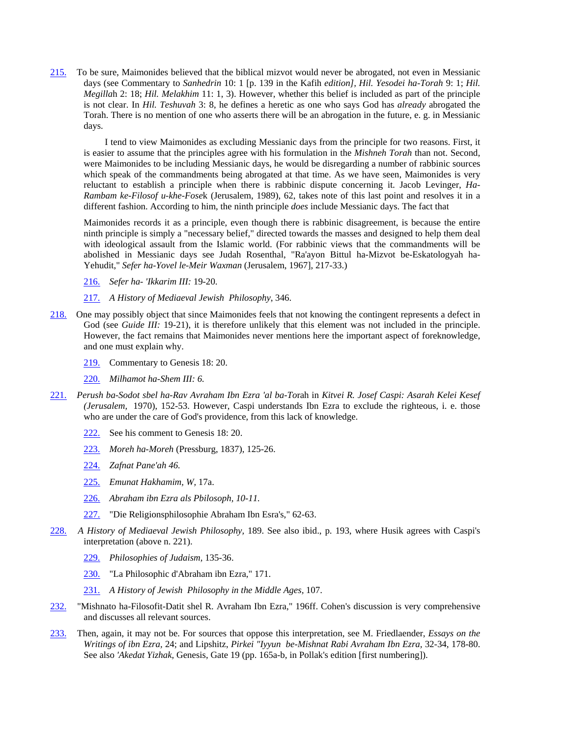215. To be sure, Maimonides believed that the biblical mizvot would never be abrogated, not even in Messianic days (see Commentary to *Sanhedrin* 10: 1 [p. 139 in the Kafih *edition], Hil. Yesodei ha-Torah* 9: 1; *Hil. Megilla*h 2: 18; *Hil. Melakhim* 11: 1, 3). However, whether this belief is included as part of the principle is not clear. In *Hil. Teshuvah* 3: 8, he defines a heretic as one who says God has *already* abrogated the Torah. There is no mention of one who asserts there will be an abrogation in the future, e. g. in Messianic days.

I tend to view Maimonides as excluding Messianic days from the principle for two reasons. First, it is easier to assume that the principles agree with his formulation in the *Mishneh Torah* than not. Second, were Maimonides to be including Messianic days, he would be disregarding a number of rabbinic sources which speak of the commandments being abrogated at that time. As we have seen, Maimonides is very reluctant to establish a principle when there is rabbinic dispute concerning it. Jacob Levinger, *Ha-Rambam ke-Filosof u-khe-Fose*k (Jerusalem, 1989), 62, takes note of this last point and resolves it in a different fashion. According to him, the ninth principle *does* include Messianic days. The fact that

Maimonides records it as a principle, even though there is rabbinic disagreement, is because the entire ninth principle is simply a "necessary belief," directed towards the masses and designed to help them deal with ideological assault from the Islamic world. (For rabbinic views that the commandments will be abolished in Messianic days see Judah Rosenthal, "Ra'ayon Bittul ha-Mizvot be-Eskatologyah ha-Yehudit," *Sefer ha-Yovel le-Meir Waxman* (Jerusalem, 1967], 217-33.)

- 216. *Sefer ha- 'Ikkarim III:* 19-20.
- 217. *A History of Mediaeval Jewish Philosophy*, 346.
- 218. One may possibly object that since Maimonides feels that not knowing the contingent represents a defect in God (see *Guide III:* 19-21), it is therefore unlikely that this element was not included in the principle. However, the fact remains that Maimonides never mentions here the important aspect of foreknowledge, and one must explain why.
	- 219. Commentary to Genesis 18: 20.
	- 220. *Milhamot ha-Shem III: 6.*
- 221. *Perush ba-Sodot sbel ha-Rav Avraham Ibn Ezra 'al ba-To*rah in *Kitvei R. Josef Caspi: Asarah Kelei Kesef (Jerusalem,* 1970), 152-53. However, Caspi understands Ibn Ezra to exclude the righteous, i. e. those who are under the care of God's providence, from this lack of knowledge.
	- 222. See his comment to Genesis 18: 20.
	- 223. *Moreh ha-Moreh* (Pressburg, 1837), 125-26.
	- 224. *Zafnat Pane'ah 46.*
	- 225. *Emunat Hakhamim, W,* 17a.
	- 226. *Abraham ibn Ezra als Pbilosoph, 10-11.*
	- 227. "Die Religionsphilosophie Abraham Ibn Esra's," 62-63.
- 228. *A History of Mediaeval Jewish Philosophy,* 189. See also ibid., p. 193, where Husik agrees with Caspi's interpretation (above n. 221).
	- 229. *Philosophies of Judaism,* 135-36.
	- 230. "La Philosophic d'Abraham ibn Ezra," 171.
	- 231. *A History of Jewish Philosophy in the Middle Ages,* 107.
- 232. "Mishnato ha-Filosofit-Datit shel R. Avraham Ibn Ezra," 196ff. Cohen's discussion is very comprehensive and discusses all relevant sources.
- 233. Then, again, it may not be. For sources that oppose this interpretation, see M. Friedlaender, *Essays on the Writings of ibn Ezra,* 24; and Lipshitz, *Pirkei "Iyyun be-Mishnat Rabi Avraham Ibn Ezra,* 32-34, 178-80. See also *'Akedat Yizhak,* Genesis, Gate 19 (pp. 165a-b, in Pollak's edition [first numbering]).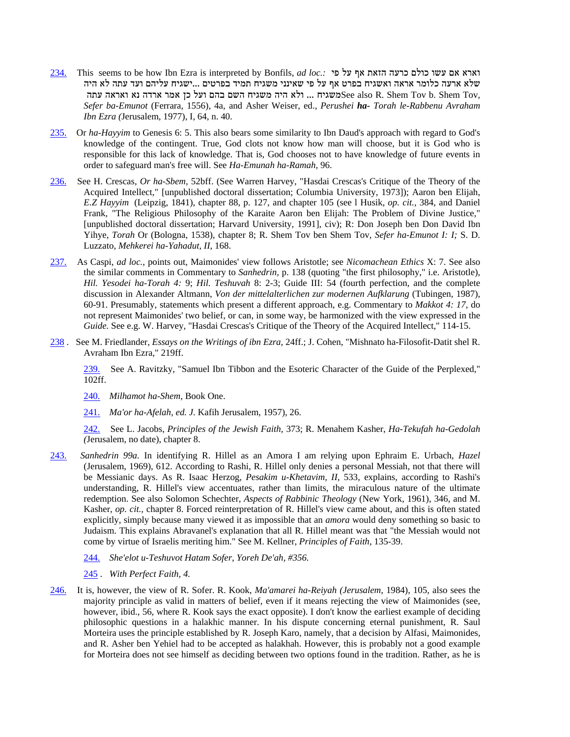- 234. This seems to be how Ibn Ezra is interpreted by Bonfils, *ad loc.:* פי על אף הזאת כרעה כולם עשו אם וארא שלא ארעה כלומר אראה ואשגיח בפרט אף על פי שאינני משגיח תמיד בפרטים ...ישגיח עליהם ועד עתה לא היה ה דיה משגיח השם בהם ועל כן אמר ארדה נא ואראה עתה השם השתול היה משגיח השביח השתה השתה עתה האראה עתה $\mathrm{See}\,$  also R. Shem Tov, b. Shem Tov, *Sefer ba-Emunot* (Ferrara, 1556), 4a, and Asher Weiser, ed., *Perushei ha- Torah le-Rabbenu Avraham Ibn Ezra (*Jerusalem, 1977), I, 64, n. 40.
- 235. Or *ha-Hayyim* to Genesis 6: 5. This also bears some similarity to Ibn Daud's approach with regard to God's knowledge of the contingent. True, God clots not know how man will choose, but it is God who is responsible for this lack of knowledge. That is, God chooses not to have knowledge of future events in order to safeguard man's free will. See *Ha-Emunah ha-Ramah,* 96.
- 236. See H. Crescas, *Or ha-Sbem,* 52bff. (See Warren Harvey, "Hasdai Crescas's Critique of the Theory of the Acquired Intellect," [unpublished doctoral dissertation; Columbia University, 1973]); Aaron ben Elijah, *E.Z Hayyim* (Leipzig, 1841), chapter 88, p. 127, and chapter 105 (see l Husik, *op. cit.,* 384, and Daniel Frank, "The Religious Philosophy of the Karaite Aaron ben Elijah: The Problem of Divine Justice," [unpublished doctoral dissertation; Harvard University, 1991], civ); R: Don Joseph ben Don David Ibn Yihye, *Torah* Or (Bologna, 1538), chapter 8; R. Shem Tov ben Shem Tov, *Sefer ha-Emunot I: I;* S. D. Luzzato, *Mehkerei ha-Yahadut, II*, 168.
- 237. As Caspi, *ad loc.,* points out, Maimonides' view follows Aristotle; see *Nicomachean Ethics* X: 7. See also the similar comments in Commentary to *Sanhedrin,* p. 138 (quoting "the first philosophy," i.e. Aristotle), *Hil. Yesodei ha-Torah 4:* 9; *Hil. Teshuvah* 8: 2-3; Guide III: 54 (fourth perfection, and the complete discussion in Alexander Altmann, *Von der mittelalterlichen zur modernen Aufklarung* (Tubingen, 1987), 60-91. Presumably, statements which present a different approach, e.g. Commentary to *Makkot 4: 17,* do not represent Maimonides' two belief, or can, in some way, be harmonized with the view expressed in the *Guide.* See e.g. W. Harvey, "Hasdai Crescas's Critique of the Theory of the Acquired Intellect," 114-15.
- 238 . See M. Friedlander, *Essays on the Writings of ibn Ezra,* 24ff.; J. Cohen, "Mishnato ha-Filosofit-Datit shel R. Avraham Ibn Ezra," 219ff.

239. See A. Ravitzky, "Samuel Ibn Tibbon and the Esoteric Character of the Guide of the Perplexed," 102ff.

- 240. *Milhamot ha-Shem,* Book One.
- 241. *Ma'or ha-Afelah, ed. J.* Kafih Jerusalem, 1957), 26.

242. See L. Jacobs, *Principles of the Jewish Faith,* 373; R. Menahem Kasher, *Ha-Tekufah ha-Gedolah (*Jerusalem, no date), chapter 8.

243. *Sanhedrin 99a.* In identifying R. Hillel as an Amora I am relying upon Ephraim E. Urbach, *Hazel* (Jerusalem, 1969), 612. According to Rashi, R. Hillel only denies a personal Messiah, not that there will be Messianic days. As R. Isaac Herzog, *Pesakim u-Khetavim, II,* 533, explains, according to Rashi's understanding, R. Hillel's view accentuates, rather than limits, the miraculous nature of the ultimate redemption. See also Solomon Schechter, *Aspects of Rabbinic Theology* (New York, 1961), 346, and M. Kasher, *op. cit.,* chapter 8. Forced reinterpretation of R. Hillel's view came about, and this is often stated explicitly, simply because many viewed it as impossible that an *amora* would deny something so basic to Judaism. This explains Abravanel's explanation that all R. Hillel meant was that "the Messiah would not come by virtue of Israelis meriting him." See M. Kellner, *Principles of Faith*, 135-39.

244. *She'elot u-Teshuvot Hatam Sofer, Yoreh De'ah, #356.*

245 . *With Perfect Faith, 4.*

246. It is, however, the view of R. Sofer. R. Kook, *Ma'amarei ha-Reiyah (Jerusalem,* 1984), 105, also sees the majority principle as valid in matters of belief, even if it means rejecting the view of Maimonides (see, however, ibid., 56, where R. Kook says the exact opposite). I don't know the earliest example of deciding philosophic questions in a halakhic manner. In his dispute concerning eternal punishment, R. Saul Morteira uses the principle established by R. Joseph Karo, namely, that a decision by Alfasi, Maimonides, and R. Asher ben Yehiel had to be accepted as halakhah. However, this is probably not a good example for Morteira does not see himself as deciding between two options found in the tradition. Rather, as he is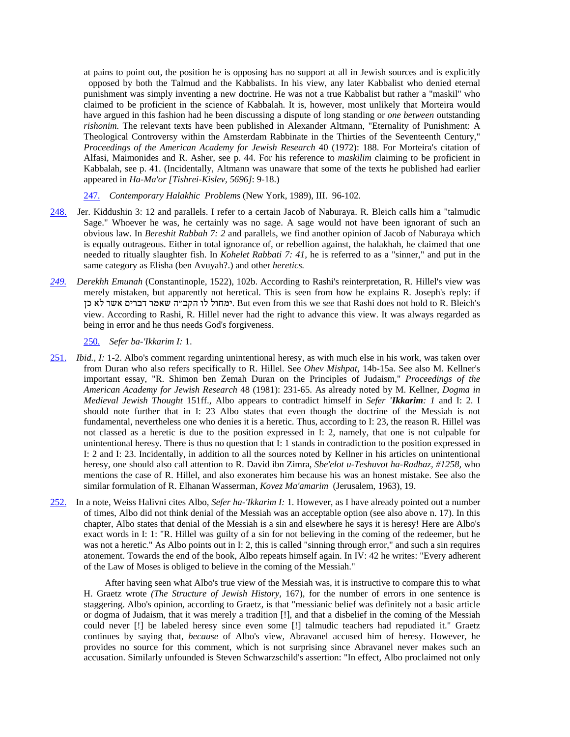at pains to point out, the position he is opposing has no support at all in Jewish sources and is explicitly opposed by both the Talmud and the Kabbalists. In his view, any later Kabbalist who denied eternal punishment was simply inventing a new doctrine. He was not a true Kabbalist but rather a "maskil" who claimed to be proficient in the science of Kabbalah. It is, however, most unlikely that Morteira would have argued in this fashion had he been discussing a dispute of long standing or *one between* outstanding *rishonim.* The relevant texts have been published in Alexander Altmann, "Eternality of Punishment: A Theological Controversy within the Amsterdam Rabbinate in the Thirties of the Seventeenth Century," *Proceedings of the American Academy for Jewish Research* 40 (1972): 188. For Morteira's citation of Alfasi, Maimonides and R. Asher, see p. 44. For his reference to *maskilim* claiming to be proficient in Kabbalah, see p. 41. (Incidentally, Altmann was unaware that some of the texts he published had earlier appeared in *Ha-Ma'or [Tishrei-Kislev, 5696]*: 9-18.)

247. *Contemporary Halakhic Problems* (New York, 1989), III. 96-102.

- 248. Jer. Kiddushin 3: 12 and parallels. I refer to a certain Jacob of Naburaya. R. Bleich calls him a "talmudic Sage." Whoever he was, he certainly was no sage. A sage would not have been ignorant of such an obvious law. In *Bereshit Rabbah 7: 2* and parallels, we find another opinion of Jacob of Naburaya which is equally outrageous. Either in total ignorance of, or rebellion against, the halakhah, he claimed that one needed to ritually slaughter fish. In *Kohelet Rabbati 7: 41,* he is referred to as a "sinner," and put in the same category as Elisha (ben Avuyah?.) and other *heretics.*
- *249. Derekhh Emunah* (Constantinople, 1522), 102b. According to Rashi's reinterpretation, R. Hillel's view was merely mistaken, but apparently not heretical. This is seen from how he explains R. Joseph's reply: if כן לא אשר דברים שאמר ה"הקב לו ימחול. But even from this we *see* that Rashi does not hold to R. Bleich's view. According to Rashi, R. Hillel never had the right to advance this view. It was always regarded as being in error and he thus needs God's forgiveness.
	- 250. *Sefer ba-'Ikkarim I:* 1.
- 251. *Ibid., I:* 1-2. Albo's comment regarding unintentional heresy, as with much else in his work, was taken over from Duran who also refers specifically to R. Hillel. See *Ohev Mishpat,* 14b-15a. See also M. Kellner's important essay, "R. Shimon ben Zemah Duran on the Principles of Judaism," *Proceedings of the American Academy for Jewish Research* 48 (1981): 231-65. As already noted by M. Kellner, *Dogma in Medieval Jewish Thought* 151ff., Albo appears to contradict himself in *Sefer 'Ikkarim: 1* and I: 2. I should note further that in I: 23 Albo states that even though the doctrine of the Messiah is not fundamental, nevertheless one who denies it is a heretic. Thus, according to I: 23, the reason R. Hillel was not classed as a heretic is due to the position expressed in I: 2, namely, that one is not culpable for unintentional heresy. There is thus no question that I: 1 stands in contradiction to the position expressed in I: 2 and I: 23. Incidentally, in addition to all the sources noted by Kellner in his articles on unintentional heresy, one should also call attention to R. David ibn Zimra, *Sbe'elot u-Teshuvot ha-Radbaz, #1258,* who mentions the case of R. Hillel, and also exonerates him because his was an honest mistake. See also the similar formulation of R. Elhanan Wasserman, *Kovez Ma'amarim* (Jerusalem, 1963), 19.
- 252. In a note, Weiss Halivni cites Albo, *Sefer ha-'Ikkarim I:* 1. However, as I have already pointed out a number of times, Albo did not think denial of the Messiah was an acceptable option (see also above n. 17). In this chapter, Albo states that denial of the Messiah is a sin and elsewhere he says it is heresy! Here are Albo's exact words in I: 1: "R. Hillel was guilty of a sin for not believing in the coming of the redeemer, but he was not a heretic." As Albo points out in I: 2, this is called "sinning through error," and such a sin requires atonement. Towards the end of the book, Albo repeats himself again. In IV: 42 he writes: "Every adherent of the Law of Moses is obliged to believe in the coming of the Messiah."

After having seen what Albo's true view of the Messiah was, it is instructive to compare this to what H. Graetz wrote *(The Structure of Jewish History,* 167), for the number of errors in one sentence is staggering. Albo's opinion, according to Graetz, is that "messianic belief was definitely not a basic article or dogma of Judaism, that it was merely a tradition [!], and that a disbelief in the coming of the Messiah could never [!] be labeled heresy since even some [!] talmudic teachers had repudiated it." Graetz continues by saying that, *because* of Albo's view, Abravanel accused him of heresy. However, he provides no source for this comment, which is not surprising since Abravanel never makes such an accusation. Similarly unfounded is Steven Schwarzschild's assertion: "In effect, Albo proclaimed not only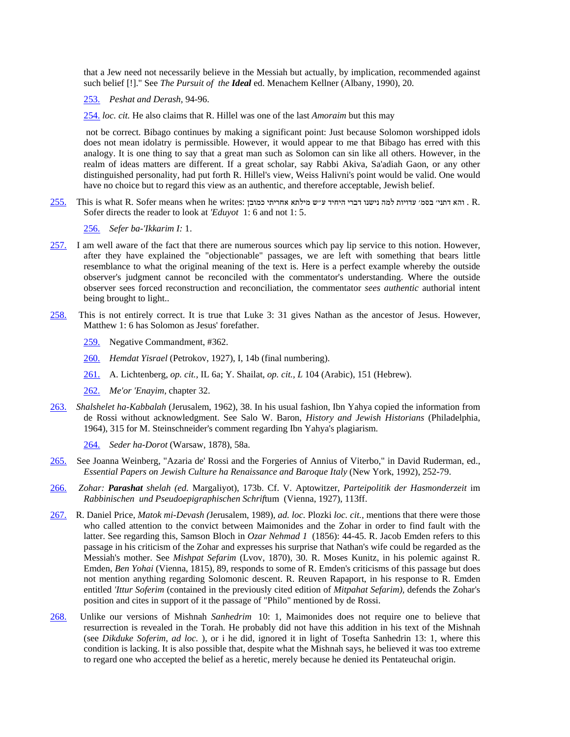that a Jew need not necessarily believe in the Messiah but actually, by implication, recommended against such belief [!]." See *The Pursuit of the Ideal* ed. Menachem Kellner (Albany, 1990), 20.

253. *Peshat and Derash,* 94-96.

254. *loc. cit.* He also claims that R. Hillel was one of the last *Amoraim* but this may

 not be correct. Bibago continues by making a significant point: Just because Solomon worshipped idols does not mean idolatry is permissible. However, it would appear to me that Bibago has erred with this analogy. It is one thing to say that a great man such as Solomon can sin like all others. However, in the realm of ideas matters are different. If a great scholar, say Rabbi Akiva, Sa'adiah Gaon, or any other distinguished personality, had put forth R. Hillel's view, Weiss Halivni's point would be valid. One would have no choice but to regard this view as an authentic, and therefore acceptable, Jewish belief.

. והא דתני' בסמ' עדויות למה נישנו דברי היחיד ע"ש מילתא אחריתי כמובן : 255. This is what R. Sofer means when he writes Sofer directs the reader to look at *'Eduyot* 1: 6 and not 1: 5.

256. *Sefer ba-'Ikkarim I:* 1.

- 257. I am well aware of the fact that there are numerous sources which pay lip service to this notion. However, after they have explained the "objectionable" passages, we are left with something that bears little resemblance to what the original meaning of the text is. Here is a perfect example whereby the outside observer's judgment cannot be reconciled with the commentator's understanding. Where the outside observer sees forced reconstruction and reconciliation, the commentator *sees authentic* authorial intent being brought to light..
- 258. This is not entirely correct. It is true that Luke 3: 31 gives Nathan as the ancestor of Jesus. However, Matthew 1: 6 has Solomon as Jesus' forefather.
	- 259. Negative Commandment, #362.
	- 260. *Hemdat Yisrael* (Petrokov, 1927), I, 14b (final numbering).
	- 261. A. Lichtenberg, *op. cit.,* IL 6a; Y. Shailat, *op. cit., L* 104 (Arabic), 151 (Hebrew).
	- 262. *Me'or 'Enayim,* chapter 32.
- 263. *Shalshelet ha-Kabbalah* (Jerusalem, 1962), 38. In his usual fashion, Ibn Yahya copied the information from de Rossi without acknowledgment. See Salo W. Baron, *History and Jewish Historians* (Philadelphia, 1964), 315 for M. Steinschneider's comment regarding Ibn Yahya's plagiarism.
	- 264. *Seder ha-Dorot* (Warsaw, 1878), 58a.
- 265. See Joanna Weinberg, "Azaria de' Rossi and the Forgeries of Annius of Viterbo," in David Ruderman, ed., *Essential Papers on Jewish Culture ha Renaissance and Baroque Italy* (New York, 1992), 252-79.
- 266. *Zohar: Parashat shelah (ed.* Margaliyot), 173b. Cf. V. Aptowitzer, *Parteipolitik der Hasmonderzeit* im *Rabbinischen und Pseudoepigraphischen Schrif*tum (Vienna, 1927), 113ff.
- 267. R. Daniel Price, *Matok mi-Devash (*Jerusalem, 1989), *ad. loc.* Plozki *loc. cit.,* mentions that there were those who called attention to the convict between Maimonides and the Zohar in order to find fault with the latter. See regarding this, Samson Bloch in *Ozar Nehmad 1* (1856): 44-45. R. Jacob Emden refers to this passage in his criticism of the Zohar and expresses his surprise that Nathan's wife could be regarded as the Messiah's mother. See *Mishpat Sefarim* (Lvov, 1870), 30. R. Moses Kunitz, in his polemic against R. Emden, *Ben Yohai* (Vienna, 1815), 89, responds to some of R. Emden's criticisms of this passage but does not mention anything regarding Solomonic descent. R. Reuven Rapaport, in his response to R. Emden entitled *'Ittur Soferim* (contained in the previously cited edition of *Mitpahat Sefarim),* defends the Zohar's position and cites in support of it the passage of "Philo" mentioned by de Rossi.
- 268. Unlike our versions of Mishnah *Sanhedrim* 10: 1, Maimonides does not require one to believe that resurrection is revealed in the Torah. He probably did not have this addition in his text of the Mishnah (see *Dikduke Soferim, ad loc.* ), or i he did, ignored it in light of Tosefta Sanhedrin 13: 1, where this condition is lacking. It is also possible that, despite what the Mishnah says, he believed it was too extreme to regard one who accepted the belief as a heretic, merely because he denied its Pentateuchal origin.